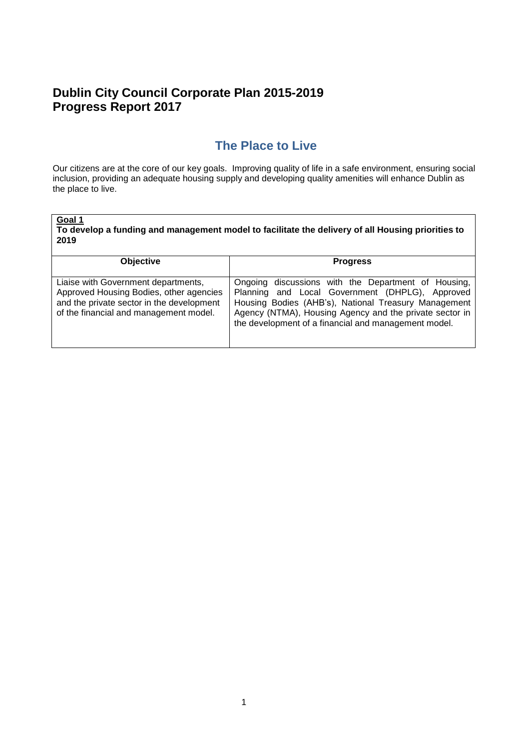# **Dublin City Council Corporate Plan 2015-2019 Progress Report 2017**

# **The Place to Live**

Our citizens are at the core of our key goals. Improving quality of life in a safe environment, ensuring social inclusion, providing an adequate housing supply and developing quality amenities will enhance Dublin as the place to live.

**Goal 1 To develop a funding and management model to facilitate the delivery of all Housing priorities to 2019**

| <b>Objective</b>                                                                                                                                                      | <b>Progress</b>                                                                                                                                                                                                                                                                   |
|-----------------------------------------------------------------------------------------------------------------------------------------------------------------------|-----------------------------------------------------------------------------------------------------------------------------------------------------------------------------------------------------------------------------------------------------------------------------------|
| Liaise with Government departments,<br>Approved Housing Bodies, other agencies<br>and the private sector in the development<br>of the financial and management model. | Ongoing discussions with the Department of Housing,<br>Planning and Local Government (DHPLG), Approved<br>Housing Bodies (AHB's), National Treasury Management<br>Agency (NTMA), Housing Agency and the private sector in<br>the development of a financial and management model. |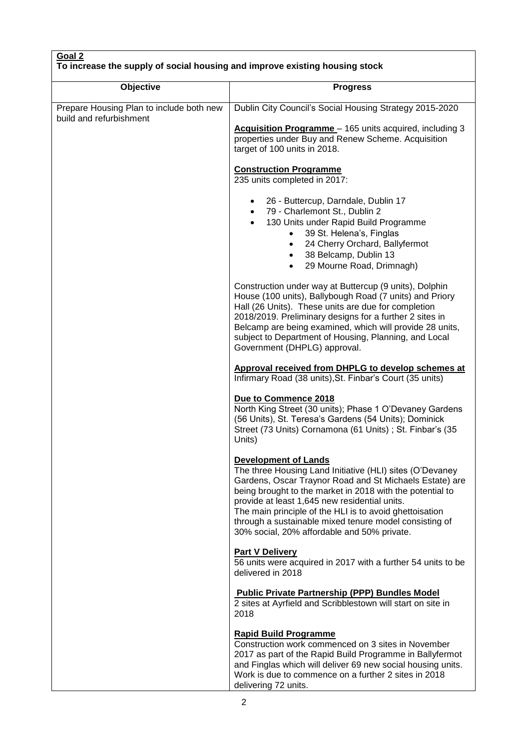| Goal 2<br>To increase the supply of social housing and improve existing housing stock |                                                                                                                                                                                                                                                                                                                                                                                                                                      |
|---------------------------------------------------------------------------------------|--------------------------------------------------------------------------------------------------------------------------------------------------------------------------------------------------------------------------------------------------------------------------------------------------------------------------------------------------------------------------------------------------------------------------------------|
| Objective                                                                             | <b>Progress</b>                                                                                                                                                                                                                                                                                                                                                                                                                      |
| Prepare Housing Plan to include both new<br>build and refurbishment                   | Dublin City Council's Social Housing Strategy 2015-2020<br>Acquisition Programme - 165 units acquired, including 3<br>properties under Buy and Renew Scheme. Acquisition                                                                                                                                                                                                                                                             |
|                                                                                       | target of 100 units in 2018.<br><b>Construction Programme</b><br>235 units completed in 2017:<br>26 - Buttercup, Darndale, Dublin 17<br>$\bullet$                                                                                                                                                                                                                                                                                    |
|                                                                                       | 79 - Charlemont St., Dublin 2<br>130 Units under Rapid Build Programme<br>39 St. Helena's, Finglas<br>$\bullet$<br>24 Cherry Orchard, Ballyfermot<br>$\bullet$<br>38 Belcamp, Dublin 13<br>$\bullet$<br>29 Mourne Road, Drimnagh)<br>$\bullet$                                                                                                                                                                                       |
|                                                                                       | Construction under way at Buttercup (9 units), Dolphin<br>House (100 units), Ballybough Road (7 units) and Priory<br>Hall (26 Units). These units are due for completion<br>2018/2019. Preliminary designs for a further 2 sites in<br>Belcamp are being examined, which will provide 28 units,<br>subject to Department of Housing, Planning, and Local<br>Government (DHPLG) approval.                                             |
|                                                                                       | Approval received from DHPLG to develop schemes at<br>Infirmary Road (38 units), St. Finbar's Court (35 units)                                                                                                                                                                                                                                                                                                                       |
|                                                                                       | Due to Commence 2018<br>North King Street (30 units); Phase 1 O'Devaney Gardens<br>(56 Units), St. Teresa's Gardens (54 Units); Dominick<br>Street (73 Units) Cornamona (61 Units); St. Finbar's (35<br>Units)                                                                                                                                                                                                                       |
|                                                                                       | <b>Development of Lands</b><br>The three Housing Land Initiative (HLI) sites (O'Devaney<br>Gardens, Oscar Traynor Road and St Michaels Estate) are<br>being brought to the market in 2018 with the potential to<br>provide at least 1,645 new residential units.<br>The main principle of the HLI is to avoid ghettoisation<br>through a sustainable mixed tenure model consisting of<br>30% social, 20% affordable and 50% private. |
|                                                                                       | <b>Part V Delivery</b><br>56 units were acquired in 2017 with a further 54 units to be<br>delivered in 2018                                                                                                                                                                                                                                                                                                                          |
|                                                                                       | <b>Public Private Partnership (PPP) Bundles Model</b><br>2 sites at Ayrfield and Scribblestown will start on site in<br>2018                                                                                                                                                                                                                                                                                                         |
|                                                                                       | <b>Rapid Build Programme</b><br>Construction work commenced on 3 sites in November<br>2017 as part of the Rapid Build Programme in Ballyfermot<br>and Finglas which will deliver 69 new social housing units.<br>Work is due to commence on a further 2 sites in 2018<br>delivering 72 units.                                                                                                                                        |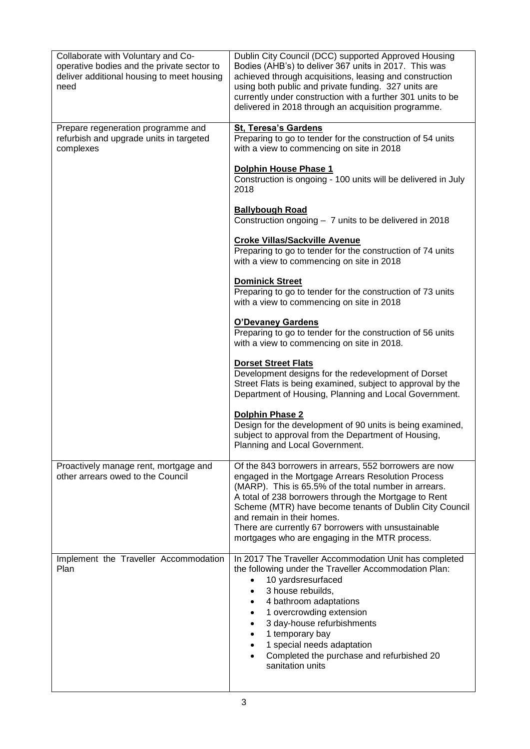| Collaborate with Voluntary and Co-<br>operative bodies and the private sector to<br>deliver additional housing to meet housing<br>need | Dublin City Council (DCC) supported Approved Housing<br>Bodies (AHB's) to deliver 367 units in 2017. This was<br>achieved through acquisitions, leasing and construction<br>using both public and private funding. 327 units are<br>currently under construction with a further 301 units to be<br>delivered in 2018 through an acquisition programme.                                                                                         |
|----------------------------------------------------------------------------------------------------------------------------------------|------------------------------------------------------------------------------------------------------------------------------------------------------------------------------------------------------------------------------------------------------------------------------------------------------------------------------------------------------------------------------------------------------------------------------------------------|
| Prepare regeneration programme and<br>refurbish and upgrade units in targeted<br>complexes                                             | <b>St, Teresa's Gardens</b><br>Preparing to go to tender for the construction of 54 units<br>with a view to commencing on site in 2018                                                                                                                                                                                                                                                                                                         |
|                                                                                                                                        | <b>Dolphin House Phase 1</b><br>Construction is ongoing - 100 units will be delivered in July<br>2018                                                                                                                                                                                                                                                                                                                                          |
|                                                                                                                                        | <b>Ballybough Road</b><br>Construction ongoing - 7 units to be delivered in 2018                                                                                                                                                                                                                                                                                                                                                               |
|                                                                                                                                        | <b>Croke Villas/Sackville Avenue</b><br>Preparing to go to tender for the construction of 74 units<br>with a view to commencing on site in 2018                                                                                                                                                                                                                                                                                                |
|                                                                                                                                        | <b>Dominick Street</b><br>Preparing to go to tender for the construction of 73 units<br>with a view to commencing on site in 2018                                                                                                                                                                                                                                                                                                              |
|                                                                                                                                        | <b>O'Devaney Gardens</b><br>Preparing to go to tender for the construction of 56 units<br>with a view to commencing on site in 2018.                                                                                                                                                                                                                                                                                                           |
|                                                                                                                                        | <b>Dorset Street Flats</b><br>Development designs for the redevelopment of Dorset<br>Street Flats is being examined, subject to approval by the<br>Department of Housing, Planning and Local Government.                                                                                                                                                                                                                                       |
|                                                                                                                                        | <b>Dolphin Phase 2</b><br>Design for the development of 90 units is being examined,<br>subject to approval from the Department of Housing,<br>Planning and Local Government.                                                                                                                                                                                                                                                                   |
| Proactively manage rent, mortgage and<br>other arrears owed to the Council                                                             | Of the 843 borrowers in arrears, 552 borrowers are now<br>engaged in the Mortgage Arrears Resolution Process<br>(MARP). This is 65.5% of the total number in arrears.<br>A total of 238 borrowers through the Mortgage to Rent<br>Scheme (MTR) have become tenants of Dublin City Council<br>and remain in their homes.<br>There are currently 67 borrowers with unsustainable<br>mortgages who are engaging in the MTR process.               |
| Implement the Traveller Accommodation<br>Plan                                                                                          | In 2017 The Traveller Accommodation Unit has completed<br>the following under the Traveller Accommodation Plan:<br>10 yardsresurfaced<br>$\bullet$<br>3 house rebuilds,<br>$\bullet$<br>4 bathroom adaptations<br>$\bullet$<br>1 overcrowding extension<br>$\bullet$<br>3 day-house refurbishments<br>$\bullet$<br>1 temporary bay<br>$\bullet$<br>1 special needs adaptation<br>Completed the purchase and refurbished 20<br>sanitation units |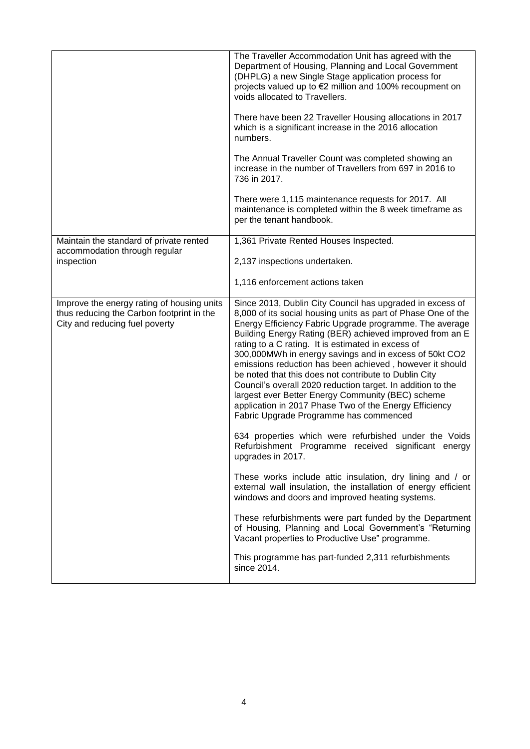|                                                                                                                           | The Traveller Accommodation Unit has agreed with the<br>Department of Housing, Planning and Local Government<br>(DHPLG) a new Single Stage application process for<br>projects valued up to €2 million and 100% recoupment on<br>voids allocated to Travellers.                                                                                                                                                                                                                                                                                                                                                                                                                                                |
|---------------------------------------------------------------------------------------------------------------------------|----------------------------------------------------------------------------------------------------------------------------------------------------------------------------------------------------------------------------------------------------------------------------------------------------------------------------------------------------------------------------------------------------------------------------------------------------------------------------------------------------------------------------------------------------------------------------------------------------------------------------------------------------------------------------------------------------------------|
|                                                                                                                           | There have been 22 Traveller Housing allocations in 2017<br>which is a significant increase in the 2016 allocation<br>numbers.                                                                                                                                                                                                                                                                                                                                                                                                                                                                                                                                                                                 |
|                                                                                                                           | The Annual Traveller Count was completed showing an<br>increase in the number of Travellers from 697 in 2016 to<br>736 in 2017.                                                                                                                                                                                                                                                                                                                                                                                                                                                                                                                                                                                |
|                                                                                                                           | There were 1,115 maintenance requests for 2017. All<br>maintenance is completed within the 8 week timeframe as<br>per the tenant handbook.                                                                                                                                                                                                                                                                                                                                                                                                                                                                                                                                                                     |
| Maintain the standard of private rented                                                                                   | 1,361 Private Rented Houses Inspected.                                                                                                                                                                                                                                                                                                                                                                                                                                                                                                                                                                                                                                                                         |
| accommodation through regular<br>inspection                                                                               | 2,137 inspections undertaken.                                                                                                                                                                                                                                                                                                                                                                                                                                                                                                                                                                                                                                                                                  |
|                                                                                                                           | 1,116 enforcement actions taken                                                                                                                                                                                                                                                                                                                                                                                                                                                                                                                                                                                                                                                                                |
| Improve the energy rating of housing units<br>thus reducing the Carbon footprint in the<br>City and reducing fuel poverty | Since 2013, Dublin City Council has upgraded in excess of<br>8,000 of its social housing units as part of Phase One of the<br>Energy Efficiency Fabric Upgrade programme. The average<br>Building Energy Rating (BER) achieved improved from an E<br>rating to a C rating. It is estimated in excess of<br>300,000MWh in energy savings and in excess of 50kt CO2<br>emissions reduction has been achieved, however it should<br>be noted that this does not contribute to Dublin City<br>Council's overall 2020 reduction target. In addition to the<br>largest ever Better Energy Community (BEC) scheme<br>application in 2017 Phase Two of the Energy Efficiency<br>Fabric Upgrade Programme has commenced |
|                                                                                                                           | 634 properties which were refurbished under the Voids<br>Refurbishment Programme received significant energy<br>upgrades in 2017.                                                                                                                                                                                                                                                                                                                                                                                                                                                                                                                                                                              |
|                                                                                                                           | These works include attic insulation, dry lining and / or<br>external wall insulation, the installation of energy efficient<br>windows and doors and improved heating systems.                                                                                                                                                                                                                                                                                                                                                                                                                                                                                                                                 |
|                                                                                                                           | These refurbishments were part funded by the Department<br>of Housing, Planning and Local Government's "Returning<br>Vacant properties to Productive Use" programme.                                                                                                                                                                                                                                                                                                                                                                                                                                                                                                                                           |
|                                                                                                                           | This programme has part-funded 2,311 refurbishments<br>since 2014.                                                                                                                                                                                                                                                                                                                                                                                                                                                                                                                                                                                                                                             |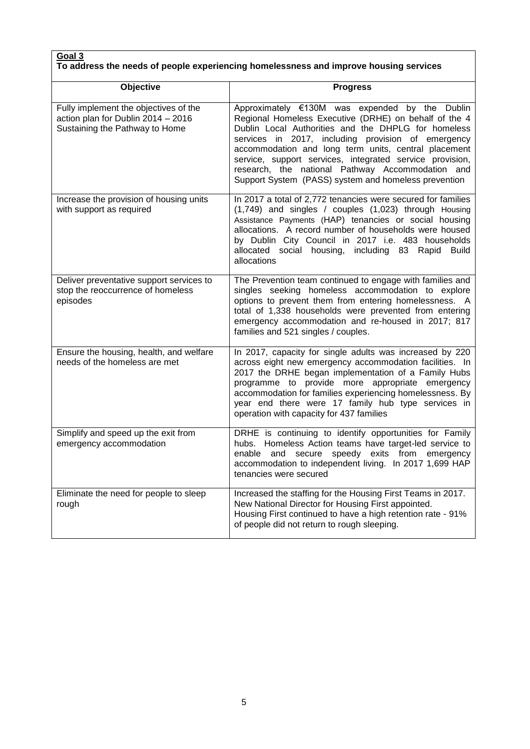#### **Goal 3 To address the needs of people experiencing homelessness and improve housing services**

| <b>Objective</b>                                                                                              | <b>Progress</b>                                                                                                                                                                                                                                                                                                                                                                                                                                      |
|---------------------------------------------------------------------------------------------------------------|------------------------------------------------------------------------------------------------------------------------------------------------------------------------------------------------------------------------------------------------------------------------------------------------------------------------------------------------------------------------------------------------------------------------------------------------------|
| Fully implement the objectives of the<br>action plan for Dublin 2014 - 2016<br>Sustaining the Pathway to Home | Approximately €130M was expended by the Dublin<br>Regional Homeless Executive (DRHE) on behalf of the 4<br>Dublin Local Authorities and the DHPLG for homeless<br>services in 2017, including provision of emergency<br>accommodation and long term units, central placement<br>service, support services, integrated service provision,<br>research, the national Pathway Accommodation and<br>Support System (PASS) system and homeless prevention |
| Increase the provision of housing units<br>with support as required                                           | In 2017 a total of 2,772 tenancies were secured for families<br>(1,749) and singles / couples (1,023) through Housing<br>Assistance Payments (HAP) tenancies or social housing<br>allocations. A record number of households were housed<br>by Dublin City Council in 2017 i.e. 483 households<br>allocated social housing, including 83 Rapid Build<br>allocations                                                                                  |
| Deliver preventative support services to<br>stop the reoccurrence of homeless<br>episodes                     | The Prevention team continued to engage with families and<br>singles seeking homeless accommodation to explore<br>options to prevent them from entering homelessness. A<br>total of 1,338 households were prevented from entering<br>emergency accommodation and re-housed in 2017; 817<br>families and 521 singles / couples.                                                                                                                       |
| Ensure the housing, health, and welfare<br>needs of the homeless are met                                      | In 2017, capacity for single adults was increased by 220<br>across eight new emergency accommodation facilities. In<br>2017 the DRHE began implementation of a Family Hubs<br>programme to provide more appropriate emergency<br>accommodation for families experiencing homelessness. By<br>year end there were 17 family hub type services in<br>operation with capacity for 437 families                                                          |
| Simplify and speed up the exit from<br>emergency accommodation                                                | DRHE is continuing to identify opportunities for Family<br>hubs. Homeless Action teams have target-led service to<br>and secure speedy exits from emergency<br>enable<br>accommodation to independent living. In 2017 1,699 HAP<br>tenancies were secured                                                                                                                                                                                            |
| Eliminate the need for people to sleep<br>rough                                                               | Increased the staffing for the Housing First Teams in 2017.<br>New National Director for Housing First appointed.<br>Housing First continued to have a high retention rate - 91%<br>of people did not return to rough sleeping.                                                                                                                                                                                                                      |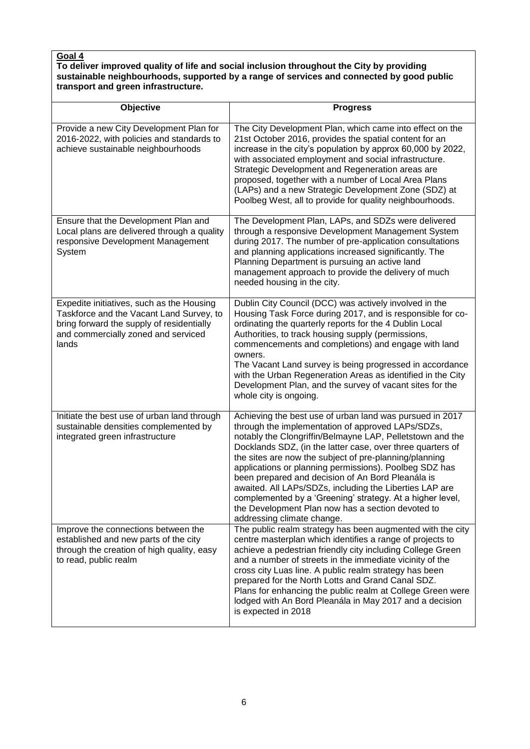**To deliver improved quality of life and social inclusion throughout the City by providing sustainable neighbourhoods, supported by a range of services and connected by good public transport and green infrastructure.**

| Objective                                                                                                                                                                          | <b>Progress</b>                                                                                                                                                                                                                                                                                                                                                                                                                                                                                                                                                                                                              |
|------------------------------------------------------------------------------------------------------------------------------------------------------------------------------------|------------------------------------------------------------------------------------------------------------------------------------------------------------------------------------------------------------------------------------------------------------------------------------------------------------------------------------------------------------------------------------------------------------------------------------------------------------------------------------------------------------------------------------------------------------------------------------------------------------------------------|
| Provide a new City Development Plan for<br>2016-2022, with policies and standards to<br>achieve sustainable neighbourhoods                                                         | The City Development Plan, which came into effect on the<br>21st October 2016, provides the spatial content for an<br>increase in the city's population by approx 60,000 by 2022,<br>with associated employment and social infrastructure.<br>Strategic Development and Regeneration areas are<br>proposed, together with a number of Local Area Plans<br>(LAPs) and a new Strategic Development Zone (SDZ) at<br>Poolbeg West, all to provide for quality neighbourhoods.                                                                                                                                                   |
| Ensure that the Development Plan and<br>Local plans are delivered through a quality<br>responsive Development Management<br>System                                                 | The Development Plan, LAPs, and SDZs were delivered<br>through a responsive Development Management System<br>during 2017. The number of pre-application consultations<br>and planning applications increased significantly. The<br>Planning Department is pursuing an active land<br>management approach to provide the delivery of much<br>needed housing in the city.                                                                                                                                                                                                                                                      |
| Expedite initiatives, such as the Housing<br>Taskforce and the Vacant Land Survey, to<br>bring forward the supply of residentially<br>and commercially zoned and serviced<br>lands | Dublin City Council (DCC) was actively involved in the<br>Housing Task Force during 2017, and is responsible for co-<br>ordinating the quarterly reports for the 4 Dublin Local<br>Authorities, to track housing supply (permissions,<br>commencements and completions) and engage with land<br>owners.<br>The Vacant Land survey is being progressed in accordance<br>with the Urban Regeneration Areas as identified in the City<br>Development Plan, and the survey of vacant sites for the<br>whole city is ongoing.                                                                                                     |
| Initiate the best use of urban land through<br>sustainable densities complemented by<br>integrated green infrastructure                                                            | Achieving the best use of urban land was pursued in 2017<br>through the implementation of approved LAPs/SDZs,<br>notably the Clongriffin/Belmayne LAP, Pelletstown and the<br>Docklands SDZ, (in the latter case, over three quarters of<br>the sites are now the subject of pre-planning/planning<br>applications or planning permissions). Poolbeg SDZ has<br>been prepared and decision of An Bord Pleanála is<br>awaited. All LAPs/SDZs, including the Liberties LAP are<br>complemented by a 'Greening' strategy. At a higher level,<br>the Development Plan now has a section devoted to<br>addressing climate change. |
| Improve the connections between the<br>established and new parts of the city<br>through the creation of high quality, easy<br>to read, public realm                                | The public realm strategy has been augmented with the city<br>centre masterplan which identifies a range of projects to<br>achieve a pedestrian friendly city including College Green<br>and a number of streets in the immediate vicinity of the<br>cross city Luas line. A public realm strategy has been<br>prepared for the North Lotts and Grand Canal SDZ.<br>Plans for enhancing the public realm at College Green were<br>lodged with An Bord Pleanála in May 2017 and a decision<br>is expected in 2018                                                                                                             |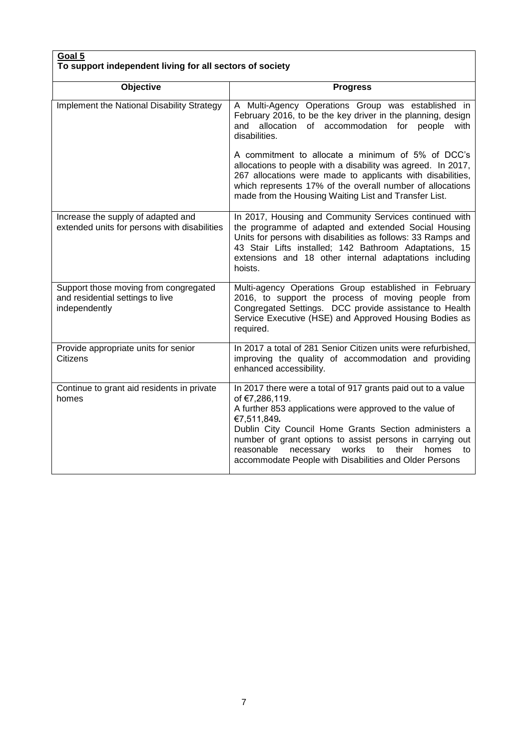| Goal 5<br>To support independent living for all sectors of society                         |                                                                                                                                                                                                                                                                                                                                                                                                             |
|--------------------------------------------------------------------------------------------|-------------------------------------------------------------------------------------------------------------------------------------------------------------------------------------------------------------------------------------------------------------------------------------------------------------------------------------------------------------------------------------------------------------|
| <b>Objective</b>                                                                           | <b>Progress</b>                                                                                                                                                                                                                                                                                                                                                                                             |
| Implement the National Disability Strategy                                                 | A Multi-Agency Operations Group was established in<br>February 2016, to be the key driver in the planning, design<br>allocation of accommodation for<br>people<br>with<br>and<br>disabilities.                                                                                                                                                                                                              |
|                                                                                            | A commitment to allocate a minimum of 5% of DCC's<br>allocations to people with a disability was agreed. In 2017,<br>267 allocations were made to applicants with disabilities,<br>which represents 17% of the overall number of allocations<br>made from the Housing Waiting List and Transfer List.                                                                                                       |
| Increase the supply of adapted and<br>extended units for persons with disabilities         | In 2017, Housing and Community Services continued with<br>the programme of adapted and extended Social Housing<br>Units for persons with disabilities as follows: 33 Ramps and<br>43 Stair Lifts installed; 142 Bathroom Adaptations, 15<br>extensions and 18 other internal adaptations including<br>hoists.                                                                                               |
| Support those moving from congregated<br>and residential settings to live<br>independently | Multi-agency Operations Group established in February<br>2016, to support the process of moving people from<br>Congregated Settings. DCC provide assistance to Health<br>Service Executive (HSE) and Approved Housing Bodies as<br>required.                                                                                                                                                                |
| Provide appropriate units for senior<br>Citizens                                           | In 2017 a total of 281 Senior Citizen units were refurbished,<br>improving the quality of accommodation and providing<br>enhanced accessibility.                                                                                                                                                                                                                                                            |
| Continue to grant aid residents in private<br>homes                                        | In 2017 there were a total of 917 grants paid out to a value<br>of €7,286,119.<br>A further 853 applications were approved to the value of<br>€7,511,849.<br>Dublin City Council Home Grants Section administers a<br>number of grant options to assist persons in carrying out<br>reasonable<br>necessary<br>works<br>their<br>homes<br>to<br>to<br>accommodate People with Disabilities and Older Persons |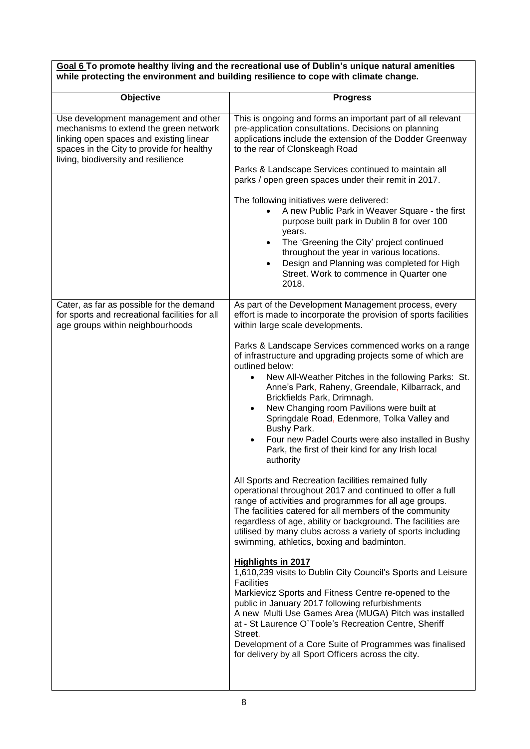#### **Goal 6 To promote healthy living and the recreational use of Dublin's unique natural amenities while protecting the environment and building resilience to cope with climate change.**

| Objective                                                                                                                                                                                                     | <b>Progress</b>                                                                                                                                                                                                                                                                                                                                                                                                                                                                                                                                                                                                                                                                                                                                                                                                                                                                                                                                                                                                                                                                                                                                                                                                                                                                                                                                                                                                                                 |
|---------------------------------------------------------------------------------------------------------------------------------------------------------------------------------------------------------------|-------------------------------------------------------------------------------------------------------------------------------------------------------------------------------------------------------------------------------------------------------------------------------------------------------------------------------------------------------------------------------------------------------------------------------------------------------------------------------------------------------------------------------------------------------------------------------------------------------------------------------------------------------------------------------------------------------------------------------------------------------------------------------------------------------------------------------------------------------------------------------------------------------------------------------------------------------------------------------------------------------------------------------------------------------------------------------------------------------------------------------------------------------------------------------------------------------------------------------------------------------------------------------------------------------------------------------------------------------------------------------------------------------------------------------------------------|
|                                                                                                                                                                                                               |                                                                                                                                                                                                                                                                                                                                                                                                                                                                                                                                                                                                                                                                                                                                                                                                                                                                                                                                                                                                                                                                                                                                                                                                                                                                                                                                                                                                                                                 |
| Use development management and other<br>mechanisms to extend the green network<br>linking open spaces and existing linear<br>spaces in the City to provide for healthy<br>living, biodiversity and resilience | This is ongoing and forms an important part of all relevant<br>pre-application consultations. Decisions on planning<br>applications include the extension of the Dodder Greenway<br>to the rear of Clonskeagh Road                                                                                                                                                                                                                                                                                                                                                                                                                                                                                                                                                                                                                                                                                                                                                                                                                                                                                                                                                                                                                                                                                                                                                                                                                              |
|                                                                                                                                                                                                               | Parks & Landscape Services continued to maintain all<br>parks / open green spaces under their remit in 2017.                                                                                                                                                                                                                                                                                                                                                                                                                                                                                                                                                                                                                                                                                                                                                                                                                                                                                                                                                                                                                                                                                                                                                                                                                                                                                                                                    |
|                                                                                                                                                                                                               | The following initiatives were delivered:<br>A new Public Park in Weaver Square - the first<br>purpose built park in Dublin 8 for over 100<br>years.<br>The 'Greening the City' project continued<br>throughout the year in various locations.<br>Design and Planning was completed for High<br>Street. Work to commence in Quarter one<br>2018.                                                                                                                                                                                                                                                                                                                                                                                                                                                                                                                                                                                                                                                                                                                                                                                                                                                                                                                                                                                                                                                                                                |
| Cater, as far as possible for the demand<br>for sports and recreational facilities for all<br>age groups within neighbourhoods                                                                                | As part of the Development Management process, every<br>effort is made to incorporate the provision of sports facilities<br>within large scale developments.                                                                                                                                                                                                                                                                                                                                                                                                                                                                                                                                                                                                                                                                                                                                                                                                                                                                                                                                                                                                                                                                                                                                                                                                                                                                                    |
|                                                                                                                                                                                                               | Parks & Landscape Services commenced works on a range<br>of infrastructure and upgrading projects some of which are<br>outlined below:<br>New All-Weather Pitches in the following Parks: St.<br>$\bullet$<br>Anne's Park, Raheny, Greendale, Kilbarrack, and<br>Brickfields Park, Drimnagh.<br>New Changing room Pavilions were built at<br>$\bullet$<br>Springdale Road, Edenmore, Tolka Valley and<br>Bushy Park.<br>Four new Padel Courts were also installed in Bushy<br>Park, the first of their kind for any Irish local<br>authority<br>All Sports and Recreation facilities remained fully<br>operational throughout 2017 and continued to offer a full<br>range of activities and programmes for all age groups.<br>The facilities catered for all members of the community<br>regardless of age, ability or background. The facilities are<br>utilised by many clubs across a variety of sports including<br>swimming, athletics, boxing and badminton.<br><b>Highlights in 2017</b><br>1,610,239 visits to Dublin City Council's Sports and Leisure<br><b>Facilities</b><br>Markievicz Sports and Fitness Centre re-opened to the<br>public in January 2017 following refurbishments<br>A new Multi Use Games Area (MUGA) Pitch was installed<br>at - St Laurence O'Toole's Recreation Centre, Sheriff<br>Street.<br>Development of a Core Suite of Programmes was finalised<br>for delivery by all Sport Officers across the city. |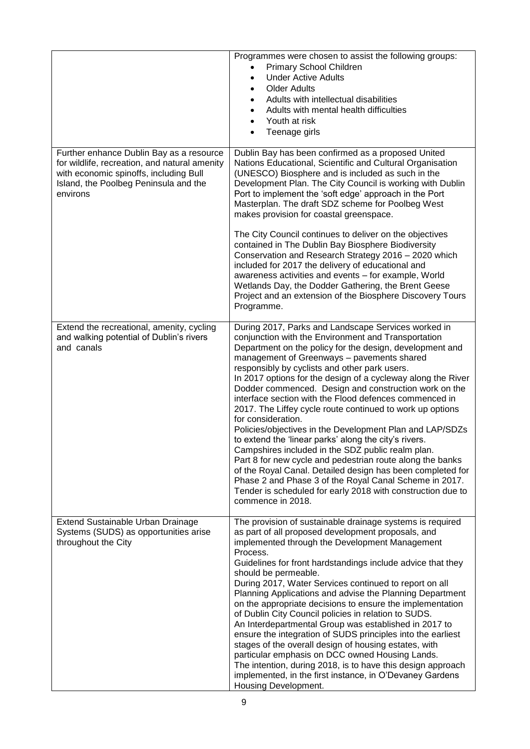|                                                                                                                                                                                          | Programmes were chosen to assist the following groups:<br>Primary School Children<br><b>Under Active Adults</b><br>$\bullet$<br><b>Older Adults</b><br>$\bullet$<br>Adults with intellectual disabilities<br>$\bullet$<br>Adults with mental health difficulties<br>$\bullet$<br>Youth at risk<br>$\bullet$<br>Teenage girls                                                                                                                                                                                                                                                                                                                                                                                                                                                                                                                                                                                                                                                                   |
|------------------------------------------------------------------------------------------------------------------------------------------------------------------------------------------|------------------------------------------------------------------------------------------------------------------------------------------------------------------------------------------------------------------------------------------------------------------------------------------------------------------------------------------------------------------------------------------------------------------------------------------------------------------------------------------------------------------------------------------------------------------------------------------------------------------------------------------------------------------------------------------------------------------------------------------------------------------------------------------------------------------------------------------------------------------------------------------------------------------------------------------------------------------------------------------------|
| Further enhance Dublin Bay as a resource<br>for wildlife, recreation, and natural amenity<br>with economic spinoffs, including Bull<br>Island, the Poolbeg Peninsula and the<br>environs | Dublin Bay has been confirmed as a proposed United<br>Nations Educational, Scientific and Cultural Organisation<br>(UNESCO) Biosphere and is included as such in the<br>Development Plan. The City Council is working with Dublin<br>Port to implement the 'soft edge' approach in the Port<br>Masterplan. The draft SDZ scheme for Poolbeg West<br>makes provision for coastal greenspace.                                                                                                                                                                                                                                                                                                                                                                                                                                                                                                                                                                                                    |
|                                                                                                                                                                                          | The City Council continues to deliver on the objectives<br>contained in The Dublin Bay Biosphere Biodiversity<br>Conservation and Research Strategy 2016 - 2020 which<br>included for 2017 the delivery of educational and<br>awareness activities and events - for example, World<br>Wetlands Day, the Dodder Gathering, the Brent Geese<br>Project and an extension of the Biosphere Discovery Tours<br>Programme.                                                                                                                                                                                                                                                                                                                                                                                                                                                                                                                                                                           |
| Extend the recreational, amenity, cycling<br>and walking potential of Dublin's rivers<br>and canals                                                                                      | During 2017, Parks and Landscape Services worked in<br>conjunction with the Environment and Transportation<br>Department on the policy for the design, development and<br>management of Greenways - pavements shared<br>responsibly by cyclists and other park users.<br>In 2017 options for the design of a cycleway along the River<br>Dodder commenced. Design and construction work on the<br>interface section with the Flood defences commenced in<br>2017. The Liffey cycle route continued to work up options<br>for consideration.<br>Policies/objectives in the Development Plan and LAP/SDZs<br>to extend the 'linear parks' along the city's rivers.<br>Campshires included in the SDZ public realm plan.<br>Part 8 for new cycle and pedestrian route along the banks<br>of the Royal Canal. Detailed design has been completed for<br>Phase 2 and Phase 3 of the Royal Canal Scheme in 2017.<br>Tender is scheduled for early 2018 with construction due to<br>commence in 2018. |
| Extend Sustainable Urban Drainage<br>Systems (SUDS) as opportunities arise<br>throughout the City                                                                                        | The provision of sustainable drainage systems is required<br>as part of all proposed development proposals, and<br>implemented through the Development Management<br>Process.<br>Guidelines for front hardstandings include advice that they<br>should be permeable.<br>During 2017, Water Services continued to report on all<br>Planning Applications and advise the Planning Department<br>on the appropriate decisions to ensure the implementation<br>of Dublin City Council policies in relation to SUDS.<br>An Interdepartmental Group was established in 2017 to<br>ensure the integration of SUDS principles into the earliest<br>stages of the overall design of housing estates, with<br>particular emphasis on DCC owned Housing Lands.<br>The intention, during 2018, is to have this design approach<br>implemented, in the first instance, in O'Devaney Gardens<br>Housing Development.                                                                                         |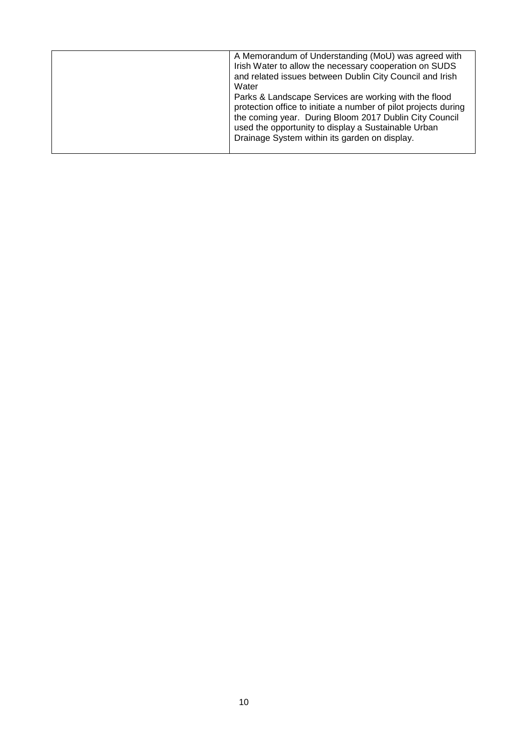|  | A Memorandum of Understanding (MoU) was agreed with<br>Irish Water to allow the necessary cooperation on SUDS<br>and related issues between Dublin City Council and Irish<br>Water<br>Parks & Landscape Services are working with the flood<br>protection office to initiate a number of pilot projects during<br>the coming year. During Bloom 2017 Dublin City Council<br>used the opportunity to display a Sustainable Urban<br>Drainage System within its garden on display. |
|--|----------------------------------------------------------------------------------------------------------------------------------------------------------------------------------------------------------------------------------------------------------------------------------------------------------------------------------------------------------------------------------------------------------------------------------------------------------------------------------|
|--|----------------------------------------------------------------------------------------------------------------------------------------------------------------------------------------------------------------------------------------------------------------------------------------------------------------------------------------------------------------------------------------------------------------------------------------------------------------------------------|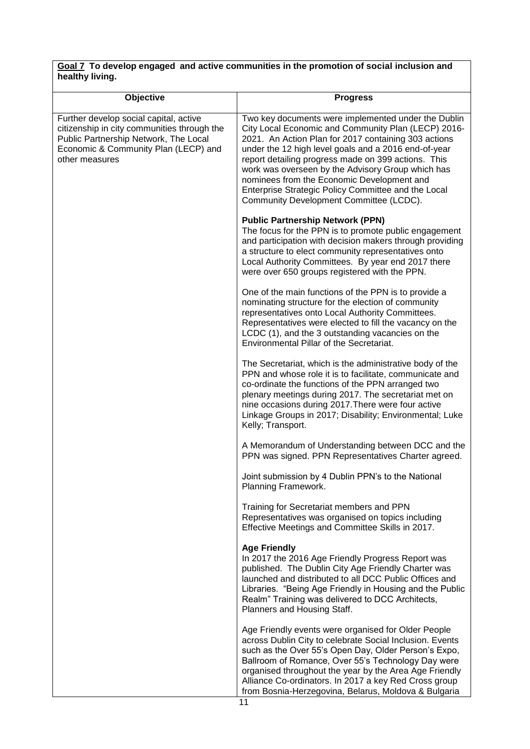### **Goal 7 To develop engaged and active communities in the promotion of social inclusion and healthy living.**

| Objective                                                                                                                                                                                | <b>Progress</b>                                                                                                                                                                                                                                                                                                                                                                                                                                                                        |
|------------------------------------------------------------------------------------------------------------------------------------------------------------------------------------------|----------------------------------------------------------------------------------------------------------------------------------------------------------------------------------------------------------------------------------------------------------------------------------------------------------------------------------------------------------------------------------------------------------------------------------------------------------------------------------------|
| Further develop social capital, active<br>citizenship in city communities through the<br>Public Partnership Network, The Local<br>Economic & Community Plan (LECP) and<br>other measures | Two key documents were implemented under the Dublin<br>City Local Economic and Community Plan (LECP) 2016-<br>2021. An Action Plan for 2017 containing 303 actions<br>under the 12 high level goals and a 2016 end-of-year<br>report detailing progress made on 399 actions. This<br>work was overseen by the Advisory Group which has<br>nominees from the Economic Development and<br>Enterprise Strategic Policy Committee and the Local<br>Community Development Committee (LCDC). |
|                                                                                                                                                                                          | <b>Public Partnership Network (PPN)</b><br>The focus for the PPN is to promote public engagement<br>and participation with decision makers through providing<br>a structure to elect community representatives onto<br>Local Authority Committees. By year end 2017 there<br>were over 650 groups registered with the PPN.                                                                                                                                                             |
|                                                                                                                                                                                          | One of the main functions of the PPN is to provide a<br>nominating structure for the election of community<br>representatives onto Local Authority Committees.<br>Representatives were elected to fill the vacancy on the<br>LCDC (1), and the 3 outstanding vacancies on the<br>Environmental Pillar of the Secretariat.                                                                                                                                                              |
|                                                                                                                                                                                          | The Secretariat, which is the administrative body of the<br>PPN and whose role it is to facilitate, communicate and<br>co-ordinate the functions of the PPN arranged two<br>plenary meetings during 2017. The secretariat met on<br>nine occasions during 2017. There were four active<br>Linkage Groups in 2017; Disability; Environmental; Luke<br>Kelly; Transport.                                                                                                                 |
|                                                                                                                                                                                          | A Memorandum of Understanding between DCC and the<br>PPN was signed. PPN Representatives Charter agreed.                                                                                                                                                                                                                                                                                                                                                                               |
|                                                                                                                                                                                          | Joint submission by 4 Dublin PPN's to the National<br>Planning Framework.                                                                                                                                                                                                                                                                                                                                                                                                              |
|                                                                                                                                                                                          | Training for Secretariat members and PPN<br>Representatives was organised on topics including<br>Effective Meetings and Committee Skills in 2017.                                                                                                                                                                                                                                                                                                                                      |
|                                                                                                                                                                                          | <b>Age Friendly</b><br>In 2017 the 2016 Age Friendly Progress Report was<br>published. The Dublin City Age Friendly Charter was<br>launched and distributed to all DCC Public Offices and<br>Libraries. "Being Age Friendly in Housing and the Public<br>Realm" Training was delivered to DCC Architects,<br>Planners and Housing Staff.                                                                                                                                               |
|                                                                                                                                                                                          | Age Friendly events were organised for Older People<br>across Dublin City to celebrate Social Inclusion. Events<br>such as the Over 55's Open Day, Older Person's Expo,<br>Ballroom of Romance, Over 55's Technology Day were<br>organised throughout the year by the Area Age Friendly<br>Alliance Co-ordinators. In 2017 a key Red Cross group<br>from Bosnia-Herzegovina, Belarus, Moldova & Bulgaria                                                                               |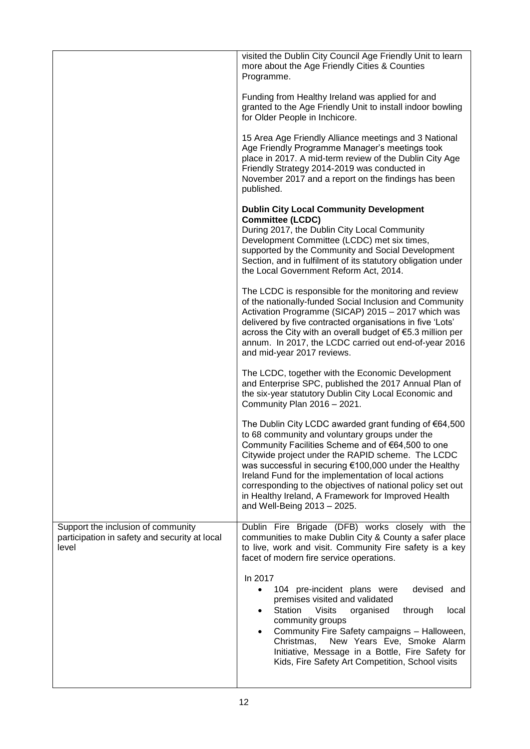|                                                                                              | visited the Dublin City Council Age Friendly Unit to learn<br>more about the Age Friendly Cities & Counties<br>Programme.                                                                                                                                                                                                                                                                                                                                                              |
|----------------------------------------------------------------------------------------------|----------------------------------------------------------------------------------------------------------------------------------------------------------------------------------------------------------------------------------------------------------------------------------------------------------------------------------------------------------------------------------------------------------------------------------------------------------------------------------------|
|                                                                                              | Funding from Healthy Ireland was applied for and<br>granted to the Age Friendly Unit to install indoor bowling<br>for Older People in Inchicore.                                                                                                                                                                                                                                                                                                                                       |
|                                                                                              | 15 Area Age Friendly Alliance meetings and 3 National<br>Age Friendly Programme Manager's meetings took<br>place in 2017. A mid-term review of the Dublin City Age<br>Friendly Strategy 2014-2019 was conducted in<br>November 2017 and a report on the findings has been<br>published.                                                                                                                                                                                                |
|                                                                                              | <b>Dublin City Local Community Development</b><br><b>Committee (LCDC)</b><br>During 2017, the Dublin City Local Community<br>Development Committee (LCDC) met six times,<br>supported by the Community and Social Development<br>Section, and in fulfilment of its statutory obligation under<br>the Local Government Reform Act, 2014.                                                                                                                                                |
|                                                                                              | The LCDC is responsible for the monitoring and review<br>of the nationally-funded Social Inclusion and Community<br>Activation Programme (SICAP) 2015 - 2017 which was<br>delivered by five contracted organisations in five 'Lots'<br>across the City with an overall budget of €5.3 million per<br>annum. In 2017, the LCDC carried out end-of-year 2016<br>and mid-year 2017 reviews.                                                                                               |
|                                                                                              | The LCDC, together with the Economic Development<br>and Enterprise SPC, published the 2017 Annual Plan of<br>the six-year statutory Dublin City Local Economic and<br>Community Plan 2016 - 2021.                                                                                                                                                                                                                                                                                      |
|                                                                                              | The Dublin City LCDC awarded grant funding of €64,500<br>to 68 community and voluntary groups under the<br>Community Facilities Scheme and of €64,500 to one<br>Citywide project under the RAPID scheme. The LCDC<br>was successful in securing €100,000 under the Healthy<br>Ireland Fund for the implementation of local actions<br>corresponding to the objectives of national policy set out<br>in Healthy Ireland, A Framework for Improved Health<br>and Well-Being 2013 - 2025. |
| Support the inclusion of community<br>participation in safety and security at local<br>level | Dublin Fire Brigade (DFB) works closely with the<br>communities to make Dublin City & County a safer place<br>to live, work and visit. Community Fire safety is a key<br>facet of modern fire service operations.                                                                                                                                                                                                                                                                      |
|                                                                                              | In 2017<br>104 pre-incident plans were<br>devised and<br>$\bullet$<br>premises visited and validated<br>Station<br><b>Visits</b><br>organised<br>through<br>local<br>$\bullet$<br>community groups<br>Community Fire Safety campaigns - Halloween,<br>$\bullet$<br>New Years Eve, Smoke Alarm<br>Christmas,<br>Initiative, Message in a Bottle, Fire Safety for<br>Kids, Fire Safety Art Competition, School visits                                                                    |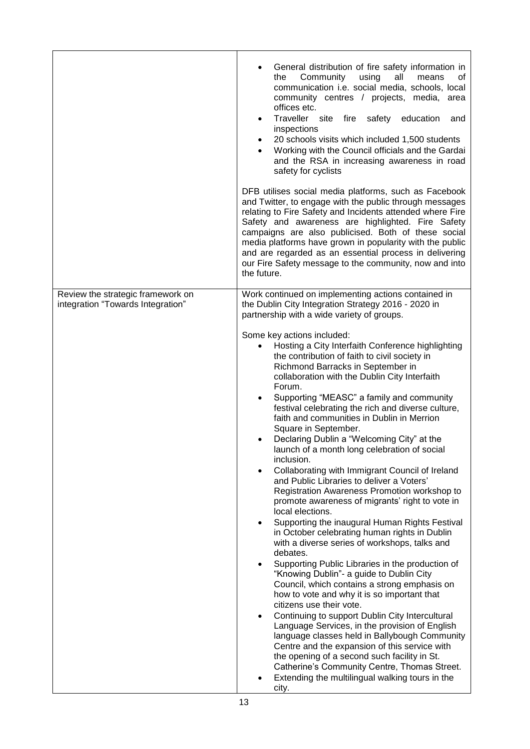|                                                                        | General distribution of fire safety information in<br>Community<br>using<br>all<br>the<br>means<br>of<br>communication i.e. social media, schools, local<br>community centres / projects, media, area<br>offices etc.<br>Traveller site fire safety education<br>and<br>٠<br>inspections<br>20 schools visits which included 1,500 students<br>$\bullet$<br>Working with the Council officials and the Gardai<br>and the RSA in increasing awareness in road<br>safety for cyclists<br>DFB utilises social media platforms, such as Facebook<br>and Twitter, to engage with the public through messages<br>relating to Fire Safety and Incidents attended where Fire<br>Safety and awareness are highlighted. Fire Safety<br>campaigns are also publicised. Both of these social<br>media platforms have grown in popularity with the public<br>and are regarded as an essential process in delivering<br>our Fire Safety message to the community, now and into<br>the future.                                                                                                                                                                                                                                                                                                                                                                                                                                                                                                                                                                                                                                                                                                                                                 |
|------------------------------------------------------------------------|---------------------------------------------------------------------------------------------------------------------------------------------------------------------------------------------------------------------------------------------------------------------------------------------------------------------------------------------------------------------------------------------------------------------------------------------------------------------------------------------------------------------------------------------------------------------------------------------------------------------------------------------------------------------------------------------------------------------------------------------------------------------------------------------------------------------------------------------------------------------------------------------------------------------------------------------------------------------------------------------------------------------------------------------------------------------------------------------------------------------------------------------------------------------------------------------------------------------------------------------------------------------------------------------------------------------------------------------------------------------------------------------------------------------------------------------------------------------------------------------------------------------------------------------------------------------------------------------------------------------------------------------------------------------------------------------------------------------------------|
| Review the strategic framework on<br>integration "Towards Integration" | Work continued on implementing actions contained in<br>the Dublin City Integration Strategy 2016 - 2020 in<br>partnership with a wide variety of groups.<br>Some key actions included:<br>Hosting a City Interfaith Conference highlighting<br>$\bullet$<br>the contribution of faith to civil society in<br>Richmond Barracks in September in<br>collaboration with the Dublin City Interfaith<br>Forum.<br>Supporting "MEASC" a family and community<br>festival celebrating the rich and diverse culture,<br>faith and communities in Dublin in Merrion<br>Square in September.<br>Declaring Dublin a "Welcoming City" at the<br>launch of a month long celebration of social<br>inclusion.<br>Collaborating with Immigrant Council of Ireland<br>$\bullet$<br>and Public Libraries to deliver a Voters'<br>Registration Awareness Promotion workshop to<br>promote awareness of migrants' right to vote in<br>local elections.<br>Supporting the inaugural Human Rights Festival<br>$\bullet$<br>in October celebrating human rights in Dublin<br>with a diverse series of workshops, talks and<br>debates.<br>Supporting Public Libraries in the production of<br>٠<br>"Knowing Dublin"- a guide to Dublin City<br>Council, which contains a strong emphasis on<br>how to vote and why it is so important that<br>citizens use their vote.<br>Continuing to support Dublin City Intercultural<br>$\bullet$<br>Language Services, in the provision of English<br>language classes held in Ballybough Community<br>Centre and the expansion of this service with<br>the opening of a second such facility in St.<br>Catherine's Community Centre, Thomas Street.<br>Extending the multilingual walking tours in the<br>city. |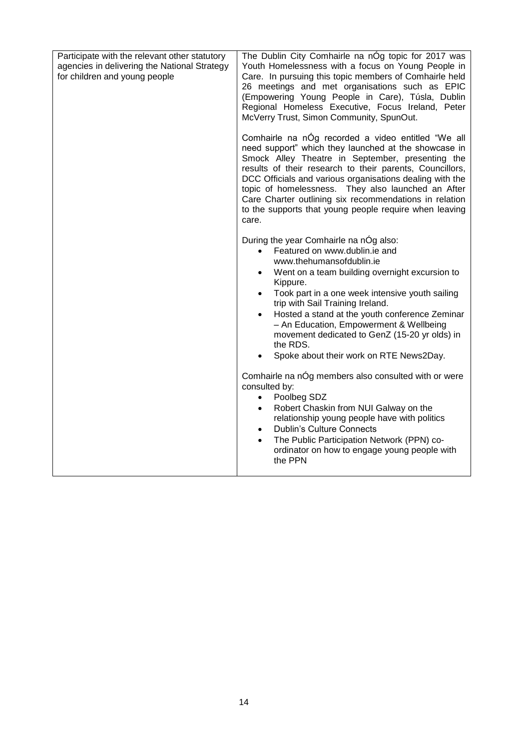| Participate with the relevant other statutory<br>agencies in delivering the National Strategy<br>for children and young people | The Dublin City Comhairle na nÓg topic for 2017 was<br>Youth Homelessness with a focus on Young People in<br>Care. In pursuing this topic members of Comhairle held<br>26 meetings and met organisations such as EPIC<br>(Empowering Young People in Care), Túsla, Dublin<br>Regional Homeless Executive, Focus Ireland, Peter<br>McVerry Trust, Simon Community, SpunOut.<br>Comhairle na nÓg recorded a video entitled "We all                                                        |
|--------------------------------------------------------------------------------------------------------------------------------|-----------------------------------------------------------------------------------------------------------------------------------------------------------------------------------------------------------------------------------------------------------------------------------------------------------------------------------------------------------------------------------------------------------------------------------------------------------------------------------------|
|                                                                                                                                | need support" which they launched at the showcase in<br>Smock Alley Theatre in September, presenting the<br>results of their research to their parents, Councillors,<br>DCC Officials and various organisations dealing with the<br>topic of homelessness. They also launched an After<br>Care Charter outlining six recommendations in relation<br>to the supports that young people require when leaving<br>care.                                                                     |
|                                                                                                                                | During the year Comhairle na nÓg also:<br>Featured on www.dublin.ie and<br>www.thehumansofdublin.ie<br>Went on a team building overnight excursion to<br>$\bullet$<br>Kippure.<br>Took part in a one week intensive youth sailing<br>$\bullet$<br>trip with Sail Training Ireland.<br>Hosted a stand at the youth conference Zeminar<br>- An Education, Empowerment & Wellbeing<br>movement dedicated to GenZ (15-20 yr olds) in<br>the RDS.<br>Spoke about their work on RTE News2Day. |
|                                                                                                                                | Comhairle na nÓg members also consulted with or were<br>consulted by:<br>Poolbeg SDZ<br>$\bullet$<br>Robert Chaskin from NUI Galway on the<br>$\bullet$<br>relationship young people have with politics<br><b>Dublin's Culture Connects</b><br>$\bullet$<br>The Public Participation Network (PPN) co-<br>ordinator on how to engage young people with<br>the PPN                                                                                                                       |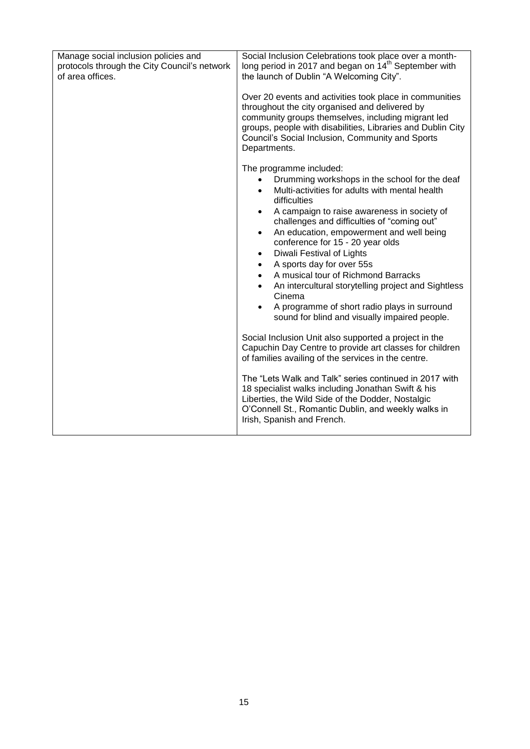| Manage social inclusion policies and<br>protocols through the City Council's network<br>of area offices. | Social Inclusion Celebrations took place over a month-<br>long period in 2017 and began on 14 <sup>th</sup> September with<br>the launch of Dublin "A Welcoming City".                                                                                                                             |
|----------------------------------------------------------------------------------------------------------|----------------------------------------------------------------------------------------------------------------------------------------------------------------------------------------------------------------------------------------------------------------------------------------------------|
|                                                                                                          | Over 20 events and activities took place in communities<br>throughout the city organised and delivered by<br>community groups themselves, including migrant led<br>groups, people with disabilities, Libraries and Dublin City<br>Council's Social Inclusion, Community and Sports<br>Departments. |
|                                                                                                          | The programme included:<br>Drumming workshops in the school for the deaf<br>$\bullet$<br>Multi-activities for adults with mental health<br>$\bullet$<br>difficulties                                                                                                                               |
|                                                                                                          | A campaign to raise awareness in society of<br>challenges and difficulties of "coming out"<br>An education, empowerment and well being<br>$\bullet$<br>conference for 15 - 20 year olds                                                                                                            |
|                                                                                                          | Diwali Festival of Lights<br>$\bullet$                                                                                                                                                                                                                                                             |
|                                                                                                          | A sports day for over 55s<br>$\bullet$                                                                                                                                                                                                                                                             |
|                                                                                                          | A musical tour of Richmond Barracks<br>$\bullet$<br>An intercultural storytelling project and Sightless                                                                                                                                                                                            |
|                                                                                                          | Cinema                                                                                                                                                                                                                                                                                             |
|                                                                                                          | A programme of short radio plays in surround<br>sound for blind and visually impaired people.                                                                                                                                                                                                      |
|                                                                                                          | Social Inclusion Unit also supported a project in the<br>Capuchin Day Centre to provide art classes for children<br>of families availing of the services in the centre.                                                                                                                            |
|                                                                                                          | The "Lets Walk and Talk" series continued in 2017 with<br>18 specialist walks including Jonathan Swift & his<br>Liberties, the Wild Side of the Dodder, Nostalgic<br>O'Connell St., Romantic Dublin, and weekly walks in<br>Irish, Spanish and French.                                             |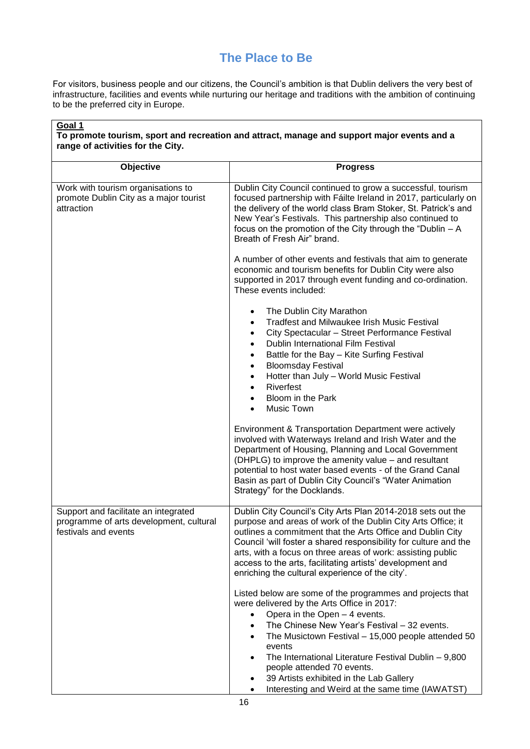# **The Place to Be**

For visitors, business people and our citizens, the Council's ambition is that Dublin delivers the very best of infrastructure, facilities and events while nurturing our heritage and traditions with the ambition of continuing to be the preferred city in Europe.

| Goal 1<br>To promote tourism, sport and recreation and attract, manage and support major events and a<br>range of activities for the City. |                                                                                                                                                                                                                                                                                                                                                                                                                                                                         |
|--------------------------------------------------------------------------------------------------------------------------------------------|-------------------------------------------------------------------------------------------------------------------------------------------------------------------------------------------------------------------------------------------------------------------------------------------------------------------------------------------------------------------------------------------------------------------------------------------------------------------------|
| Objective                                                                                                                                  | <b>Progress</b>                                                                                                                                                                                                                                                                                                                                                                                                                                                         |
| Work with tourism organisations to<br>promote Dublin City as a major tourist<br>attraction                                                 | Dublin City Council continued to grow a successful, tourism<br>focused partnership with Fáilte Ireland in 2017, particularly on<br>the delivery of the world class Bram Stoker, St. Patrick's and<br>New Year's Festivals. This partnership also continued to<br>focus on the promotion of the City through the "Dublin $- A$<br>Breath of Fresh Air" brand.                                                                                                            |
|                                                                                                                                            | A number of other events and festivals that aim to generate<br>economic and tourism benefits for Dublin City were also<br>supported in 2017 through event funding and co-ordination.<br>These events included:                                                                                                                                                                                                                                                          |
|                                                                                                                                            | The Dublin City Marathon<br><b>Tradfest and Milwaukee Irish Music Festival</b><br>$\bullet$<br>City Spectacular - Street Performance Festival<br>٠<br><b>Dublin International Film Festival</b><br>$\bullet$<br>Battle for the Bay - Kite Surfing Festival<br>٠<br><b>Bloomsday Festival</b><br>٠<br>Hotter than July - World Music Festival<br>Riverfest<br>$\bullet$<br>Bloom in the Park<br>Music Town<br>$\bullet$                                                  |
|                                                                                                                                            | Environment & Transportation Department were actively<br>involved with Waterways Ireland and Irish Water and the<br>Department of Housing, Planning and Local Government<br>(DHPLG) to improve the amenity value - and resultant<br>potential to host water based events - of the Grand Canal<br>Basin as part of Dublin City Council's "Water Animation<br>Strategy" for the Docklands.                                                                                |
| Support and facilitate an integrated<br>programme of arts development, cultural<br>festivals and events                                    | Dublin City Council's City Arts Plan 2014-2018 sets out the<br>purpose and areas of work of the Dublin City Arts Office; it<br>outlines a commitment that the Arts Office and Dublin City<br>Council 'will foster a shared responsibility for culture and the<br>arts, with a focus on three areas of work: assisting public<br>access to the arts, facilitating artists' development and<br>enriching the cultural experience of the city'.                            |
|                                                                                                                                            | Listed below are some of the programmes and projects that<br>were delivered by the Arts Office in 2017:<br>Opera in the Open - 4 events.<br>$\bullet$<br>The Chinese New Year's Festival - 32 events.<br>$\bullet$<br>The Musictown Festival - 15,000 people attended 50<br>events<br>The International Literature Festival Dublin - 9,800<br>people attended 70 events.<br>39 Artists exhibited in the Lab Gallery<br>Interesting and Weird at the same time (IAWATST) |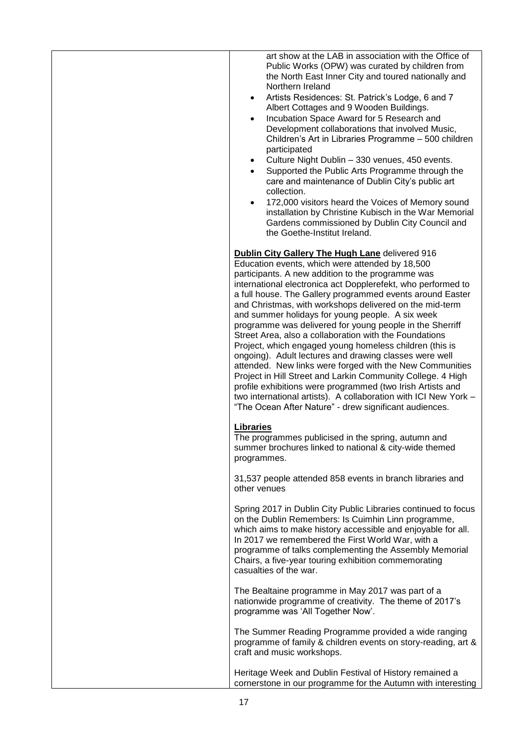| art show at the LAB in association with the Office of<br>Public Works (OPW) was curated by children from<br>the North East Inner City and toured nationally and<br>Northern Ireland<br>Artists Residences: St. Patrick's Lodge, 6 and 7<br>$\bullet$<br>Albert Cottages and 9 Wooden Buildings.<br>Incubation Space Award for 5 Research and<br>$\bullet$<br>Development collaborations that involved Music,<br>Children's Art in Libraries Programme - 500 children<br>participated<br>Culture Night Dublin - 330 venues, 450 events.<br>$\bullet$<br>Supported the Public Arts Programme through the<br>care and maintenance of Dublin City's public art<br>collection.<br>172,000 visitors heard the Voices of Memory sound<br>installation by Christine Kubisch in the War Memorial<br>Gardens commissioned by Dublin City Council and<br>the Goethe-Institut Ireland.                                                                                                  |
|-----------------------------------------------------------------------------------------------------------------------------------------------------------------------------------------------------------------------------------------------------------------------------------------------------------------------------------------------------------------------------------------------------------------------------------------------------------------------------------------------------------------------------------------------------------------------------------------------------------------------------------------------------------------------------------------------------------------------------------------------------------------------------------------------------------------------------------------------------------------------------------------------------------------------------------------------------------------------------|
|                                                                                                                                                                                                                                                                                                                                                                                                                                                                                                                                                                                                                                                                                                                                                                                                                                                                                                                                                                             |
| <b>Dublin City Gallery The Hugh Lane delivered 916</b><br>Education events, which were attended by 18,500<br>participants. A new addition to the programme was<br>international electronica act Dopplerefekt, who performed to<br>a full house. The Gallery programmed events around Easter<br>and Christmas, with workshops delivered on the mid-term<br>and summer holidays for young people. A six week<br>programme was delivered for young people in the Sherriff<br>Street Area, also a collaboration with the Foundations<br>Project, which engaged young homeless children (this is<br>ongoing). Adult lectures and drawing classes were well<br>attended. New links were forged with the New Communities<br>Project in Hill Street and Larkin Community College. 4 High<br>profile exhibitions were programmed (two Irish Artists and<br>two international artists). A collaboration with ICI New York -<br>"The Ocean After Nature" - drew significant audiences. |
| <b>Libraries</b><br>The programmes publicised in the spring, autumn and<br>summer brochures linked to national & city-wide themed<br>programmes.                                                                                                                                                                                                                                                                                                                                                                                                                                                                                                                                                                                                                                                                                                                                                                                                                            |
| 31,537 people attended 858 events in branch libraries and<br>other venues                                                                                                                                                                                                                                                                                                                                                                                                                                                                                                                                                                                                                                                                                                                                                                                                                                                                                                   |
| Spring 2017 in Dublin City Public Libraries continued to focus<br>on the Dublin Remembers: Is Cuimhin Linn programme,<br>which aims to make history accessible and enjoyable for all.<br>In 2017 we remembered the First World War, with a<br>programme of talks complementing the Assembly Memorial<br>Chairs, a five-year touring exhibition commemorating<br>casualties of the war.                                                                                                                                                                                                                                                                                                                                                                                                                                                                                                                                                                                      |
| The Bealtaine programme in May 2017 was part of a<br>nationwide programme of creativity. The theme of 2017's<br>programme was 'All Together Now'.                                                                                                                                                                                                                                                                                                                                                                                                                                                                                                                                                                                                                                                                                                                                                                                                                           |
| The Summer Reading Programme provided a wide ranging<br>programme of family & children events on story-reading, art &<br>craft and music workshops.                                                                                                                                                                                                                                                                                                                                                                                                                                                                                                                                                                                                                                                                                                                                                                                                                         |
| Heritage Week and Dublin Festival of History remained a<br>cornerstone in our programme for the Autumn with interesting                                                                                                                                                                                                                                                                                                                                                                                                                                                                                                                                                                                                                                                                                                                                                                                                                                                     |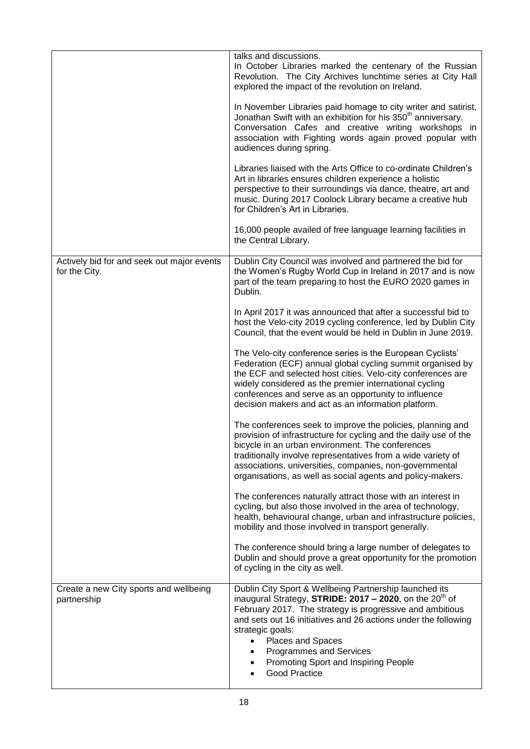|                                                             | talks and discussions.<br>In October Libraries marked the centenary of the Russian<br>Revolution. The City Archives lunchtime series at City Hall<br>explored the impact of the revolution on Ireland.<br>In November Libraries paid homage to city writer and satirist,<br>Jonathan Swift with an exhibition for his 350 <sup>th</sup> anniversary.<br>Conversation Cafes and creative writing workshops in<br>association with Fighting words again proved popular with<br>audiences during spring.<br>Libraries liaised with the Arts Office to co-ordinate Children's<br>Art in libraries ensures children experience a holistic<br>perspective to their surroundings via dance, theatre, art and<br>music. During 2017 Coolock Library became a creative hub<br>for Children's Art in Libraries.<br>16,000 people availed of free language learning facilities in<br>the Central Library. |
|-------------------------------------------------------------|------------------------------------------------------------------------------------------------------------------------------------------------------------------------------------------------------------------------------------------------------------------------------------------------------------------------------------------------------------------------------------------------------------------------------------------------------------------------------------------------------------------------------------------------------------------------------------------------------------------------------------------------------------------------------------------------------------------------------------------------------------------------------------------------------------------------------------------------------------------------------------------------|
|                                                             |                                                                                                                                                                                                                                                                                                                                                                                                                                                                                                                                                                                                                                                                                                                                                                                                                                                                                                |
| Actively bid for and seek out major events<br>for the City. | Dublin City Council was involved and partnered the bid for<br>the Women's Rugby World Cup in Ireland in 2017 and is now<br>part of the team preparing to host the EURO 2020 games in<br>Dublin.                                                                                                                                                                                                                                                                                                                                                                                                                                                                                                                                                                                                                                                                                                |
|                                                             | In April 2017 it was announced that after a successful bid to<br>host the Velo-city 2019 cycling conference, led by Dublin City<br>Council, that the event would be held in Dublin in June 2019.                                                                                                                                                                                                                                                                                                                                                                                                                                                                                                                                                                                                                                                                                               |
|                                                             | The Velo-city conference series is the European Cyclists'<br>Federation (ECF) annual global cycling summit organised by<br>the ECF and selected host cities. Velo-city conferences are<br>widely considered as the premier international cycling<br>conferences and serve as an opportunity to influence<br>decision makers and act as an information platform.                                                                                                                                                                                                                                                                                                                                                                                                                                                                                                                                |
|                                                             | The conferences seek to improve the policies, planning and<br>provision of infrastructure for cycling and the daily use of the<br>bicycle in an urban environment. The conferences<br>traditionally involve representatives from a wide variety of<br>associations, universities, companies, non-governmental<br>organisations, as well as social agents and policy-makers.                                                                                                                                                                                                                                                                                                                                                                                                                                                                                                                    |
|                                                             | The conferences naturally attract those with an interest in<br>cycling, but also those involved in the area of technology,<br>health, behavioural change, urban and infrastructure policies,<br>mobility and those involved in transport generally.                                                                                                                                                                                                                                                                                                                                                                                                                                                                                                                                                                                                                                            |
|                                                             | The conference should bring a large number of delegates to<br>Dublin and should prove a great opportunity for the promotion<br>of cycling in the city as well.                                                                                                                                                                                                                                                                                                                                                                                                                                                                                                                                                                                                                                                                                                                                 |
| Create a new City sports and wellbeing<br>partnership       | Dublin City Sport & Wellbeing Partnership launched its<br>inaugural Strategy, STRIDE: 2017 - 2020, on the 20 <sup>th</sup> of<br>February 2017. The strategy is progressive and ambitious<br>and sets out 16 initiatives and 26 actions under the following<br>strategic goals:<br>Places and Spaces<br>$\bullet$<br>Programmes and Services<br>Promoting Sport and Inspiring People<br><b>Good Practice</b>                                                                                                                                                                                                                                                                                                                                                                                                                                                                                   |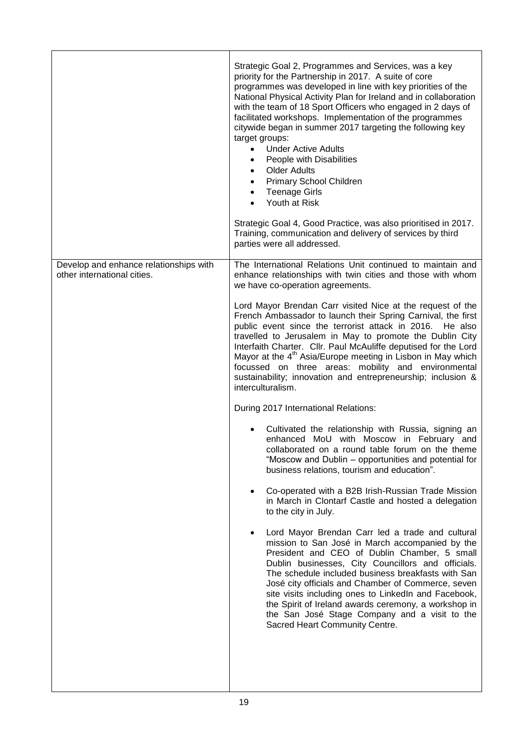|                                                                       | Strategic Goal 2, Programmes and Services, was a key<br>priority for the Partnership in 2017. A suite of core<br>programmes was developed in line with key priorities of the<br>National Physical Activity Plan for Ireland and in collaboration<br>with the team of 18 Sport Officers who engaged in 2 days of<br>facilitated workshops. Implementation of the programmes<br>citywide began in summer 2017 targeting the following key<br>target groups:<br><b>Under Active Adults</b><br>People with Disabilities<br><b>Older Adults</b><br>Primary School Children<br><b>Teenage Girls</b><br>$\bullet$<br>Youth at Risk<br>Strategic Goal 4, Good Practice, was also prioritised in 2017.<br>Training, communication and delivery of services by third<br>parties were all addressed. |
|-----------------------------------------------------------------------|-------------------------------------------------------------------------------------------------------------------------------------------------------------------------------------------------------------------------------------------------------------------------------------------------------------------------------------------------------------------------------------------------------------------------------------------------------------------------------------------------------------------------------------------------------------------------------------------------------------------------------------------------------------------------------------------------------------------------------------------------------------------------------------------|
| Develop and enhance relationships with<br>other international cities. | The International Relations Unit continued to maintain and<br>enhance relationships with twin cities and those with whom<br>we have co-operation agreements.                                                                                                                                                                                                                                                                                                                                                                                                                                                                                                                                                                                                                              |
|                                                                       | Lord Mayor Brendan Carr visited Nice at the request of the<br>French Ambassador to launch their Spring Carnival, the first<br>public event since the terrorist attack in 2016. He also<br>travelled to Jerusalem in May to promote the Dublin City<br>Interfaith Charter. Cllr. Paul McAuliffe deputised for the Lord<br>Mayor at the 4 <sup>th</sup> Asia/Europe meeting in Lisbon in May which<br>focussed on three areas: mobility and environmental<br>sustainability; innovation and entrepreneurship; inclusion &<br>interculturalism.                                                                                                                                                                                                                                              |
|                                                                       | During 2017 International Relations:                                                                                                                                                                                                                                                                                                                                                                                                                                                                                                                                                                                                                                                                                                                                                      |
|                                                                       | Cultivated the relationship with Russia, signing an<br>enhanced MoU with Moscow in February and<br>collaborated on a round table forum on the theme<br>"Moscow and Dublin - opportunities and potential for<br>business relations, tourism and education".                                                                                                                                                                                                                                                                                                                                                                                                                                                                                                                                |
|                                                                       | Co-operated with a B2B Irish-Russian Trade Mission<br>in March in Clontarf Castle and hosted a delegation<br>to the city in July.                                                                                                                                                                                                                                                                                                                                                                                                                                                                                                                                                                                                                                                         |
|                                                                       | Lord Mayor Brendan Carr led a trade and cultural<br>mission to San José in March accompanied by the<br>President and CEO of Dublin Chamber, 5 small<br>Dublin businesses, City Councillors and officials.<br>The schedule included business breakfasts with San<br>José city officials and Chamber of Commerce, seven<br>site visits including ones to LinkedIn and Facebook,<br>the Spirit of Ireland awards ceremony, a workshop in<br>the San José Stage Company and a visit to the<br>Sacred Heart Community Centre.                                                                                                                                                                                                                                                                  |
|                                                                       |                                                                                                                                                                                                                                                                                                                                                                                                                                                                                                                                                                                                                                                                                                                                                                                           |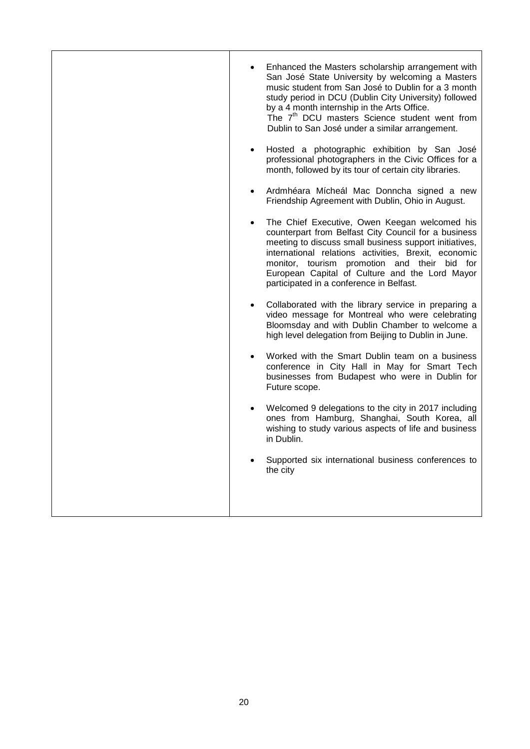| Enhanced the Masters scholarship arrangement with<br>San José State University by welcoming a Masters<br>music student from San José to Dublin for a 3 month<br>study period in DCU (Dublin City University) followed<br>by a 4 month internship in the Arts Office.<br>The 7 <sup>th</sup> DCU masters Science student went from<br>Dublin to San José under a similar arrangement. |
|--------------------------------------------------------------------------------------------------------------------------------------------------------------------------------------------------------------------------------------------------------------------------------------------------------------------------------------------------------------------------------------|
| Hosted a photographic exhibition by San José<br>professional photographers in the Civic Offices for a<br>month, followed by its tour of certain city libraries.                                                                                                                                                                                                                      |
| Ardmhéara Mícheál Mac Donncha signed a new<br>Friendship Agreement with Dublin, Ohio in August.                                                                                                                                                                                                                                                                                      |
| The Chief Executive, Owen Keegan welcomed his<br>counterpart from Belfast City Council for a business<br>meeting to discuss small business support initiatives,<br>international relations activities, Brexit, economic<br>monitor, tourism promotion and their bid for<br>European Capital of Culture and the Lord Mayor<br>participated in a conference in Belfast.                |
| Collaborated with the library service in preparing a<br>video message for Montreal who were celebrating<br>Bloomsday and with Dublin Chamber to welcome a<br>high level delegation from Beijing to Dublin in June.                                                                                                                                                                   |
| Worked with the Smart Dublin team on a business<br>conference in City Hall in May for Smart Tech<br>businesses from Budapest who were in Dublin for<br>Future scope.                                                                                                                                                                                                                 |
| Welcomed 9 delegations to the city in 2017 including<br>ones from Hamburg, Shanghai, South Korea, all<br>wishing to study various aspects of life and business<br>in Dublin.                                                                                                                                                                                                         |
| Supported six international business conferences to<br>the city                                                                                                                                                                                                                                                                                                                      |
|                                                                                                                                                                                                                                                                                                                                                                                      |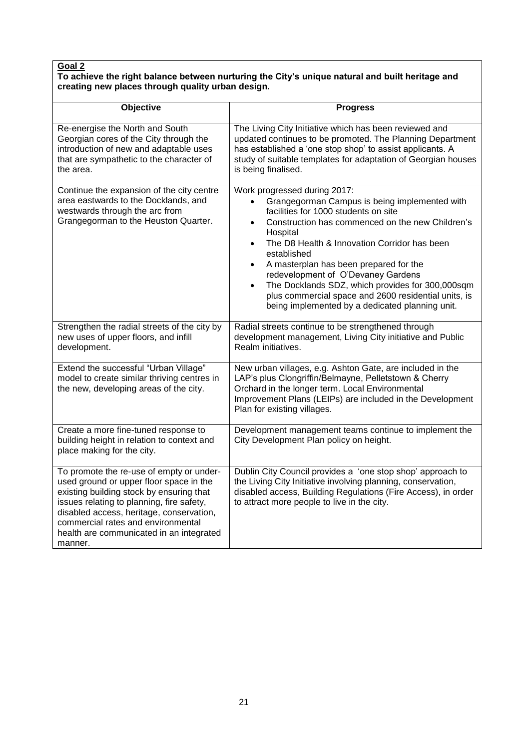### **To achieve the right balance between nurturing the City's unique natural and built heritage and creating new places through quality urban design.**

| Objective                                                                                                                                                                                                                                                                                                             | <b>Progress</b>                                                                                                                                                                                                                                                                                                                                                                                                                                                                                                                            |
|-----------------------------------------------------------------------------------------------------------------------------------------------------------------------------------------------------------------------------------------------------------------------------------------------------------------------|--------------------------------------------------------------------------------------------------------------------------------------------------------------------------------------------------------------------------------------------------------------------------------------------------------------------------------------------------------------------------------------------------------------------------------------------------------------------------------------------------------------------------------------------|
| Re-energise the North and South<br>Georgian cores of the City through the<br>introduction of new and adaptable uses<br>that are sympathetic to the character of<br>the area.                                                                                                                                          | The Living City Initiative which has been reviewed and<br>updated continues to be promoted. The Planning Department<br>has established a 'one stop shop' to assist applicants. A<br>study of suitable templates for adaptation of Georgian houses<br>is being finalised.                                                                                                                                                                                                                                                                   |
| Continue the expansion of the city centre<br>area eastwards to the Docklands, and<br>westwards through the arc from<br>Grangegorman to the Heuston Quarter.                                                                                                                                                           | Work progressed during 2017:<br>Grangegorman Campus is being implemented with<br>facilities for 1000 students on site<br>Construction has commenced on the new Children's<br>$\bullet$<br>Hospital<br>The D8 Health & Innovation Corridor has been<br>$\bullet$<br>established<br>A masterplan has been prepared for the<br>$\bullet$<br>redevelopment of O'Devaney Gardens<br>The Docklands SDZ, which provides for 300,000sqm<br>plus commercial space and 2600 residential units, is<br>being implemented by a dedicated planning unit. |
| Strengthen the radial streets of the city by<br>new uses of upper floors, and infill<br>development.                                                                                                                                                                                                                  | Radial streets continue to be strengthened through<br>development management, Living City initiative and Public<br>Realm initiatives.                                                                                                                                                                                                                                                                                                                                                                                                      |
| Extend the successful "Urban Village"<br>model to create similar thriving centres in<br>the new, developing areas of the city.                                                                                                                                                                                        | New urban villages, e.g. Ashton Gate, are included in the<br>LAP's plus Clongriffin/Belmayne, Pelletstown & Cherry<br>Orchard in the longer term. Local Environmental<br>Improvement Plans (LEIPs) are included in the Development<br>Plan for existing villages.                                                                                                                                                                                                                                                                          |
| Create a more fine-tuned response to<br>building height in relation to context and<br>place making for the city.                                                                                                                                                                                                      | Development management teams continue to implement the<br>City Development Plan policy on height.                                                                                                                                                                                                                                                                                                                                                                                                                                          |
| To promote the re-use of empty or under-<br>used ground or upper floor space in the<br>existing building stock by ensuring that<br>issues relating to planning, fire safety,<br>disabled access, heritage, conservation,<br>commercial rates and environmental<br>health are communicated in an integrated<br>manner. | Dublin City Council provides a 'one stop shop' approach to<br>the Living City Initiative involving planning, conservation,<br>disabled access, Building Regulations (Fire Access), in order<br>to attract more people to live in the city.                                                                                                                                                                                                                                                                                                 |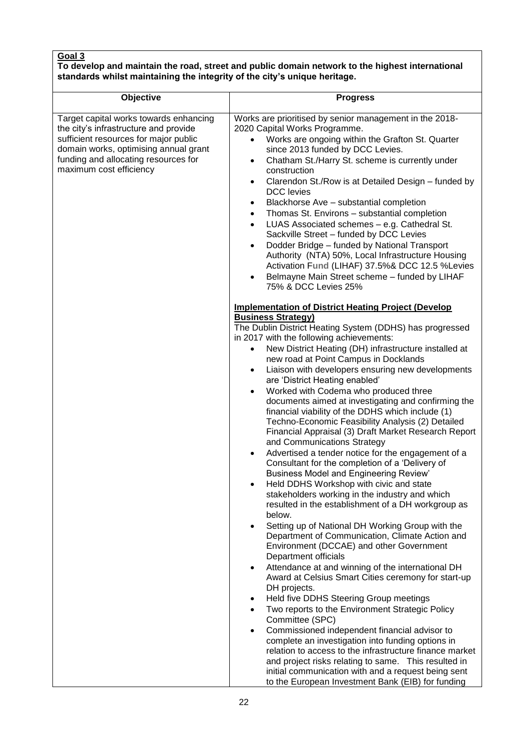### **To develop and maintain the road, street and public domain network to the highest international standards whilst maintaining the integrity of the city's unique heritage.**

| Objective                                                                                                                                                                                                                            | <b>Progress</b>                                                                                                                                                                                                                                                                                                                                                                                                                                                                                                                                                                                                                                                                                                                                                                                                                                                                                                                                                                                                                                                                                                                                                                                                                                                                                                                                                                                                                                                                                                                                                                                                                                                                                                                                                                                                                |
|--------------------------------------------------------------------------------------------------------------------------------------------------------------------------------------------------------------------------------------|--------------------------------------------------------------------------------------------------------------------------------------------------------------------------------------------------------------------------------------------------------------------------------------------------------------------------------------------------------------------------------------------------------------------------------------------------------------------------------------------------------------------------------------------------------------------------------------------------------------------------------------------------------------------------------------------------------------------------------------------------------------------------------------------------------------------------------------------------------------------------------------------------------------------------------------------------------------------------------------------------------------------------------------------------------------------------------------------------------------------------------------------------------------------------------------------------------------------------------------------------------------------------------------------------------------------------------------------------------------------------------------------------------------------------------------------------------------------------------------------------------------------------------------------------------------------------------------------------------------------------------------------------------------------------------------------------------------------------------------------------------------------------------------------------------------------------------|
| Target capital works towards enhancing<br>the city's infrastructure and provide<br>sufficient resources for major public<br>domain works, optimising annual grant<br>funding and allocating resources for<br>maximum cost efficiency | Works are prioritised by senior management in the 2018-<br>2020 Capital Works Programme.<br>Works are ongoing within the Grafton St. Quarter<br>$\bullet$<br>since 2013 funded by DCC Levies.<br>Chatham St./Harry St. scheme is currently under<br>$\bullet$<br>construction<br>Clarendon St./Row is at Detailed Design - funded by<br>$\bullet$<br><b>DCC</b> levies<br>Blackhorse Ave - substantial completion<br>٠<br>Thomas St. Environs - substantial completion<br>$\bullet$<br>LUAS Associated schemes - e.g. Cathedral St.<br>$\bullet$<br>Sackville Street - funded by DCC Levies<br>Dodder Bridge - funded by National Transport<br>$\bullet$<br>Authority (NTA) 50%, Local Infrastructure Housing<br>Activation Fund (LIHAF) 37.5%& DCC 12.5 %Levies<br>Belmayne Main Street scheme - funded by LIHAF<br>75% & DCC Levies 25%                                                                                                                                                                                                                                                                                                                                                                                                                                                                                                                                                                                                                                                                                                                                                                                                                                                                                                                                                                                      |
|                                                                                                                                                                                                                                      | <b>Implementation of District Heating Project (Develop</b><br><b>Business Strategy)</b><br>The Dublin District Heating System (DDHS) has progressed<br>in 2017 with the following achievements:<br>New District Heating (DH) infrastructure installed at<br>new road at Point Campus in Docklands<br>Liaison with developers ensuring new developments<br>are 'District Heating enabled'<br>Worked with Codema who produced three<br>documents aimed at investigating and confirming the<br>financial viability of the DDHS which include (1)<br>Techno-Economic Feasibility Analysis (2) Detailed<br>Financial Appraisal (3) Draft Market Research Report<br>and Communications Strategy<br>Advertised a tender notice for the engagement of a<br>$\bullet$<br>Consultant for the completion of a 'Delivery of<br>Business Model and Engineering Review'<br>Held DDHS Workshop with civic and state<br>stakeholders working in the industry and which<br>resulted in the establishment of a DH workgroup as<br>below.<br>Setting up of National DH Working Group with the<br>٠<br>Department of Communication, Climate Action and<br>Environment (DCCAE) and other Government<br>Department officials<br>Attendance at and winning of the international DH<br>Award at Celsius Smart Cities ceremony for start-up<br>DH projects.<br>Held five DDHS Steering Group meetings<br>$\bullet$<br>Two reports to the Environment Strategic Policy<br>$\bullet$<br>Committee (SPC)<br>Commissioned independent financial advisor to<br>$\bullet$<br>complete an investigation into funding options in<br>relation to access to the infrastructure finance market<br>and project risks relating to same. This resulted in<br>initial communication with and a request being sent<br>to the European Investment Bank (EIB) for funding |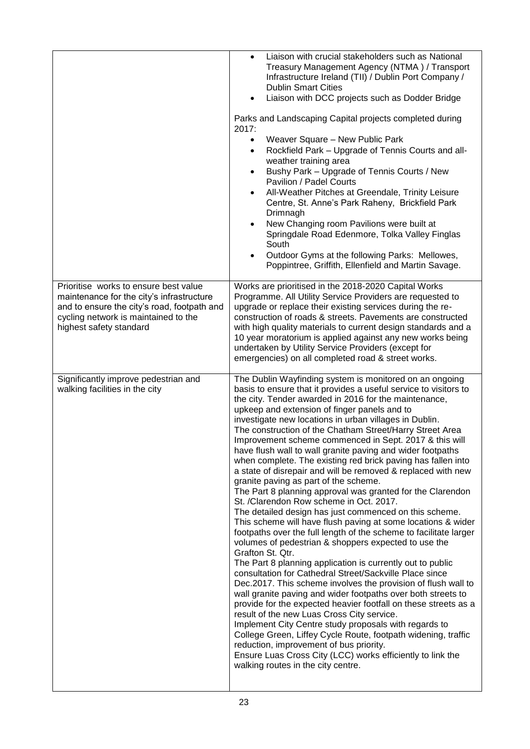|                                                                                                                                                             | Liaison with crucial stakeholders such as National<br>Treasury Management Agency (NTMA) / Transport<br>Infrastructure Ireland (TII) / Dublin Port Company /<br><b>Dublin Smart Cities</b><br>Liaison with DCC projects such as Dodder Bridge<br>Parks and Landscaping Capital projects completed during<br>2017:<br>Weaver Square - New Public Park<br>$\bullet$<br>Rockfield Park - Upgrade of Tennis Courts and all-<br>weather training area<br>Bushy Park - Upgrade of Tennis Courts / New<br>$\bullet$<br>Pavilion / Padel Courts<br>All-Weather Pitches at Greendale, Trinity Leisure<br>Centre, St. Anne's Park Raheny, Brickfield Park<br>Drimnagh<br>New Changing room Pavilions were built at<br>Springdale Road Edenmore, Tolka Valley Finglas<br>South<br>Outdoor Gyms at the following Parks: Mellowes,                                                                                                                                                                                                                                                                                                                                                                                                                                                                                                                                                                                                                                                                                                                                                                                                                                                                                |
|-------------------------------------------------------------------------------------------------------------------------------------------------------------|-----------------------------------------------------------------------------------------------------------------------------------------------------------------------------------------------------------------------------------------------------------------------------------------------------------------------------------------------------------------------------------------------------------------------------------------------------------------------------------------------------------------------------------------------------------------------------------------------------------------------------------------------------------------------------------------------------------------------------------------------------------------------------------------------------------------------------------------------------------------------------------------------------------------------------------------------------------------------------------------------------------------------------------------------------------------------------------------------------------------------------------------------------------------------------------------------------------------------------------------------------------------------------------------------------------------------------------------------------------------------------------------------------------------------------------------------------------------------------------------------------------------------------------------------------------------------------------------------------------------------------------------------------------------------------------------------------|
| Prioritise works to ensure best value                                                                                                                       | Poppintree, Griffith, Ellenfield and Martin Savage.<br>Works are prioritised in the 2018-2020 Capital Works                                                                                                                                                                                                                                                                                                                                                                                                                                                                                                                                                                                                                                                                                                                                                                                                                                                                                                                                                                                                                                                                                                                                                                                                                                                                                                                                                                                                                                                                                                                                                                                         |
| maintenance for the city's infrastructure<br>and to ensure the city's road, footpath and<br>cycling network is maintained to the<br>highest safety standard | Programme. All Utility Service Providers are requested to<br>upgrade or replace their existing services during the re-<br>construction of roads & streets. Pavements are constructed<br>with high quality materials to current design standards and a<br>10 year moratorium is applied against any new works being<br>undertaken by Utility Service Providers (except for<br>emergencies) on all completed road & street works.                                                                                                                                                                                                                                                                                                                                                                                                                                                                                                                                                                                                                                                                                                                                                                                                                                                                                                                                                                                                                                                                                                                                                                                                                                                                     |
| Significantly improve pedestrian and<br>walking facilities in the city                                                                                      | The Dublin Wayfinding system is monitored on an ongoing<br>basis to ensure that it provides a useful service to visitors to<br>the city. Tender awarded in 2016 for the maintenance,<br>upkeep and extension of finger panels and to<br>investigate new locations in urban villages in Dublin.<br>The construction of the Chatham Street/Harry Street Area<br>Improvement scheme commenced in Sept. 2017 & this will<br>have flush wall to wall granite paving and wider footpaths<br>when complete. The existing red brick paving has fallen into<br>a state of disrepair and will be removed & replaced with new<br>granite paving as part of the scheme.<br>The Part 8 planning approval was granted for the Clarendon<br>St. /Clarendon Row scheme in Oct. 2017.<br>The detailed design has just commenced on this scheme.<br>This scheme will have flush paving at some locations & wider<br>footpaths over the full length of the scheme to facilitate larger<br>volumes of pedestrian & shoppers expected to use the<br>Grafton St. Qtr.<br>The Part 8 planning application is currently out to public<br>consultation for Cathedral Street/Sackville Place since<br>Dec.2017. This scheme involves the provision of flush wall to<br>wall granite paving and wider footpaths over both streets to<br>provide for the expected heavier footfall on these streets as a<br>result of the new Luas Cross City service.<br>Implement City Centre study proposals with regards to<br>College Green, Liffey Cycle Route, footpath widening, traffic<br>reduction, improvement of bus priority.<br>Ensure Luas Cross City (LCC) works efficiently to link the<br>walking routes in the city centre. |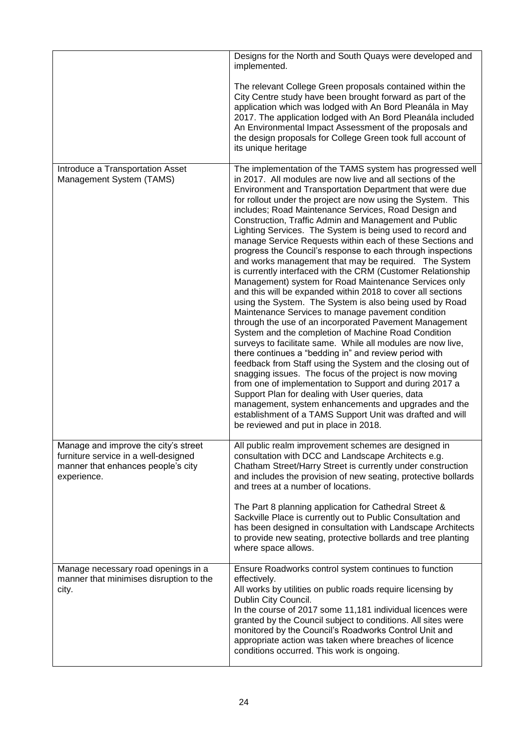|                                                                                                                                   | Designs for the North and South Quays were developed and<br>implemented.                                                                                                                                                                                                                                                                                                                                                                                                                                                                                                                                                                                                                                                                                                                                                                                                                                                                                                                                                                                                                                                                                                                                                                                                                                                                                                                                                                                                                                                                                                    |
|-----------------------------------------------------------------------------------------------------------------------------------|-----------------------------------------------------------------------------------------------------------------------------------------------------------------------------------------------------------------------------------------------------------------------------------------------------------------------------------------------------------------------------------------------------------------------------------------------------------------------------------------------------------------------------------------------------------------------------------------------------------------------------------------------------------------------------------------------------------------------------------------------------------------------------------------------------------------------------------------------------------------------------------------------------------------------------------------------------------------------------------------------------------------------------------------------------------------------------------------------------------------------------------------------------------------------------------------------------------------------------------------------------------------------------------------------------------------------------------------------------------------------------------------------------------------------------------------------------------------------------------------------------------------------------------------------------------------------------|
|                                                                                                                                   | The relevant College Green proposals contained within the<br>City Centre study have been brought forward as part of the<br>application which was lodged with An Bord Pleanála in May<br>2017. The application lodged with An Bord Pleanála included<br>An Environmental Impact Assessment of the proposals and<br>the design proposals for College Green took full account of<br>its unique heritage                                                                                                                                                                                                                                                                                                                                                                                                                                                                                                                                                                                                                                                                                                                                                                                                                                                                                                                                                                                                                                                                                                                                                                        |
| Introduce a Transportation Asset<br>Management System (TAMS)                                                                      | The implementation of the TAMS system has progressed well<br>in 2017. All modules are now live and all sections of the<br>Environment and Transportation Department that were due<br>for rollout under the project are now using the System. This<br>includes; Road Maintenance Services, Road Design and<br>Construction, Traffic Admin and Management and Public<br>Lighting Services. The System is being used to record and<br>manage Service Requests within each of these Sections and<br>progress the Council's response to each through inspections<br>and works management that may be required. The System<br>is currently interfaced with the CRM (Customer Relationship<br>Management) system for Road Maintenance Services only<br>and this will be expanded within 2018 to cover all sections<br>using the System. The System is also being used by Road<br>Maintenance Services to manage pavement condition<br>through the use of an incorporated Pavement Management<br>System and the completion of Machine Road Condition<br>surveys to facilitate same. While all modules are now live,<br>there continues a "bedding in" and review period with<br>feedback from Staff using the System and the closing out of<br>snagging issues. The focus of the project is now moving<br>from one of implementation to Support and during 2017 a<br>Support Plan for dealing with User queries, data<br>management, system enhancements and upgrades and the<br>establishment of a TAMS Support Unit was drafted and will<br>be reviewed and put in place in 2018. |
| Manage and improve the city's street<br>furniture service in a well-designed<br>manner that enhances people's city<br>experience. | All public realm improvement schemes are designed in<br>consultation with DCC and Landscape Architects e.g.<br>Chatham Street/Harry Street is currently under construction<br>and includes the provision of new seating, protective bollards<br>and trees at a number of locations.<br>The Part 8 planning application for Cathedral Street &<br>Sackville Place is currently out to Public Consultation and                                                                                                                                                                                                                                                                                                                                                                                                                                                                                                                                                                                                                                                                                                                                                                                                                                                                                                                                                                                                                                                                                                                                                                |
|                                                                                                                                   | has been designed in consultation with Landscape Architects<br>to provide new seating, protective bollards and tree planting<br>where space allows.                                                                                                                                                                                                                                                                                                                                                                                                                                                                                                                                                                                                                                                                                                                                                                                                                                                                                                                                                                                                                                                                                                                                                                                                                                                                                                                                                                                                                         |
| Manage necessary road openings in a<br>manner that minimises disruption to the<br>city.                                           | Ensure Roadworks control system continues to function<br>effectively.<br>All works by utilities on public roads require licensing by<br>Dublin City Council.<br>In the course of 2017 some 11,181 individual licences were<br>granted by the Council subject to conditions. All sites were<br>monitored by the Council's Roadworks Control Unit and<br>appropriate action was taken where breaches of licence<br>conditions occurred. This work is ongoing.                                                                                                                                                                                                                                                                                                                                                                                                                                                                                                                                                                                                                                                                                                                                                                                                                                                                                                                                                                                                                                                                                                                 |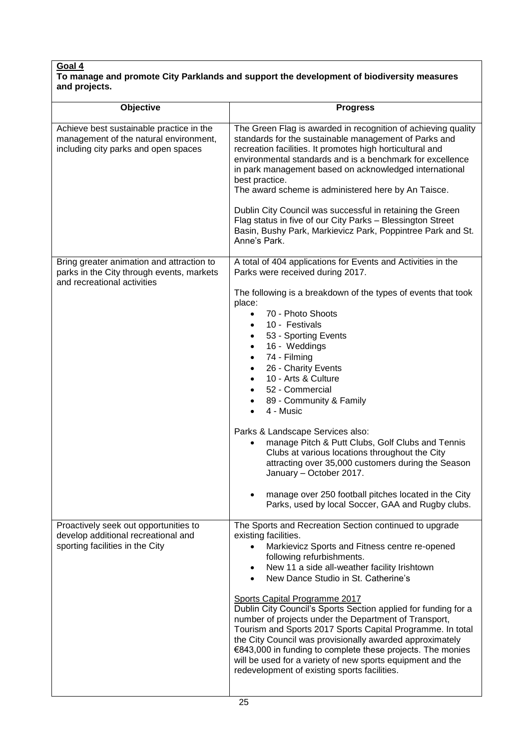#### **Goal 4 To manage and promote City Parklands and support the development of biodiversity measures and projects.**

| Objective                                                                                                                  | <b>Progress</b>                                                                                                                                                                                                                                                                                                                                                                                                                                                                                                                                                                                                                                                                                                                     |
|----------------------------------------------------------------------------------------------------------------------------|-------------------------------------------------------------------------------------------------------------------------------------------------------------------------------------------------------------------------------------------------------------------------------------------------------------------------------------------------------------------------------------------------------------------------------------------------------------------------------------------------------------------------------------------------------------------------------------------------------------------------------------------------------------------------------------------------------------------------------------|
|                                                                                                                            |                                                                                                                                                                                                                                                                                                                                                                                                                                                                                                                                                                                                                                                                                                                                     |
| Achieve best sustainable practice in the<br>management of the natural environment,<br>including city parks and open spaces | The Green Flag is awarded in recognition of achieving quality<br>standards for the sustainable management of Parks and<br>recreation facilities. It promotes high horticultural and<br>environmental standards and is a benchmark for excellence<br>in park management based on acknowledged international<br>best practice.<br>The award scheme is administered here by An Taisce.<br>Dublin City Council was successful in retaining the Green<br>Flag status in five of our City Parks - Blessington Street<br>Basin, Bushy Park, Markievicz Park, Poppintree Park and St.<br>Anne's Park.                                                                                                                                       |
| Bring greater animation and attraction to<br>parks in the City through events, markets<br>and recreational activities      | A total of 404 applications for Events and Activities in the<br>Parks were received during 2017.                                                                                                                                                                                                                                                                                                                                                                                                                                                                                                                                                                                                                                    |
|                                                                                                                            | The following is a breakdown of the types of events that took<br>place:<br>70 - Photo Shoots<br>10 - Festivals<br>53 - Sporting Events<br>16 - Weddings<br>$\bullet$<br>74 - Filming<br>$\bullet$<br>26 - Charity Events<br>10 - Arts & Culture<br>52 - Commercial<br>89 - Community & Family<br>4 - Music<br>Parks & Landscape Services also:<br>manage Pitch & Putt Clubs, Golf Clubs and Tennis<br>Clubs at various locations throughout the City<br>attracting over 35,000 customers during the Season<br>January - October 2017.<br>manage over 250 football pitches located in the City<br>Parks, used by local Soccer, GAA and Rugby clubs.                                                                                  |
| Proactively seek out opportunities to<br>develop additional recreational and<br>sporting facilities in the City            | The Sports and Recreation Section continued to upgrade<br>existing facilities.<br>Markievicz Sports and Fitness centre re-opened<br>$\bullet$<br>following refurbishments.<br>New 11 a side all-weather facility Irishtown<br>New Dance Studio in St. Catherine's<br>Sports Capital Programme 2017<br>Dublin City Council's Sports Section applied for funding for a<br>number of projects under the Department of Transport,<br>Tourism and Sports 2017 Sports Capital Programme. In total<br>the City Council was provisionally awarded approximately<br>€843,000 in funding to complete these projects. The monies<br>will be used for a variety of new sports equipment and the<br>redevelopment of existing sports facilities. |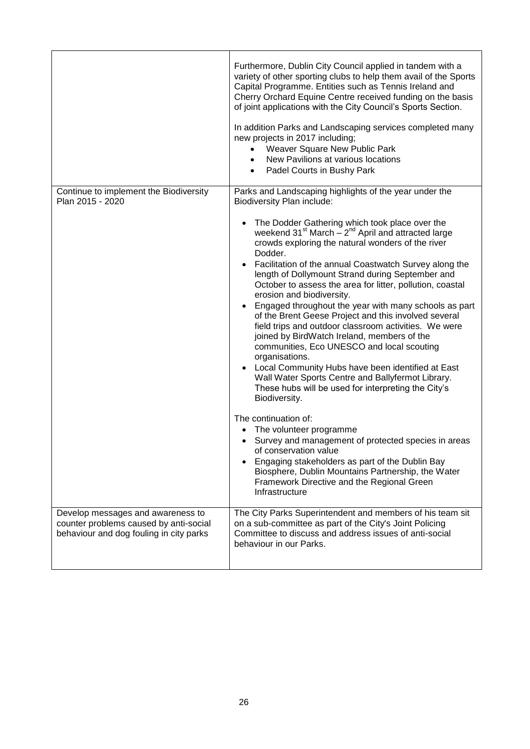|                                                                                                                        | Furthermore, Dublin City Council applied in tandem with a<br>variety of other sporting clubs to help them avail of the Sports<br>Capital Programme. Entities such as Tennis Ireland and<br>Cherry Orchard Equine Centre received funding on the basis<br>of joint applications with the City Council's Sports Section.<br>In addition Parks and Landscaping services completed many<br>new projects in 2017 including;<br>Weaver Square New Public Park<br>New Pavilions at various locations<br>• Padel Courts in Bushy Park                                                                                                                                                                                                                                                                                                                                                                                                                                                                                                                                                                                                                                                                                                                                               |
|------------------------------------------------------------------------------------------------------------------------|-----------------------------------------------------------------------------------------------------------------------------------------------------------------------------------------------------------------------------------------------------------------------------------------------------------------------------------------------------------------------------------------------------------------------------------------------------------------------------------------------------------------------------------------------------------------------------------------------------------------------------------------------------------------------------------------------------------------------------------------------------------------------------------------------------------------------------------------------------------------------------------------------------------------------------------------------------------------------------------------------------------------------------------------------------------------------------------------------------------------------------------------------------------------------------------------------------------------------------------------------------------------------------|
| Continue to implement the Biodiversity<br>Plan 2015 - 2020                                                             | Parks and Landscaping highlights of the year under the<br><b>Biodiversity Plan include:</b><br>The Dodder Gathering which took place over the<br>weekend $31^{st}$ March $-2^{nd}$ April and attracted large<br>crowds exploring the natural wonders of the river<br>Dodder.<br>Facilitation of the annual Coastwatch Survey along the<br>length of Dollymount Strand during September and<br>October to assess the area for litter, pollution, coastal<br>erosion and biodiversity.<br>Engaged throughout the year with many schools as part<br>of the Brent Geese Project and this involved several<br>field trips and outdoor classroom activities. We were<br>joined by BirdWatch Ireland, members of the<br>communities, Eco UNESCO and local scouting<br>organisations.<br>Local Community Hubs have been identified at East<br>Wall Water Sports Centre and Ballyfermot Library.<br>These hubs will be used for interpreting the City's<br>Biodiversity.<br>The continuation of:<br>The volunteer programme<br>Survey and management of protected species in areas<br>of conservation value<br>Engaging stakeholders as part of the Dublin Bay<br>Biosphere, Dublin Mountains Partnership, the Water<br>Framework Directive and the Regional Green<br>Infrastructure |
| Develop messages and awareness to<br>counter problems caused by anti-social<br>behaviour and dog fouling in city parks | The City Parks Superintendent and members of his team sit<br>on a sub-committee as part of the City's Joint Policing<br>Committee to discuss and address issues of anti-social<br>behaviour in our Parks.                                                                                                                                                                                                                                                                                                                                                                                                                                                                                                                                                                                                                                                                                                                                                                                                                                                                                                                                                                                                                                                                   |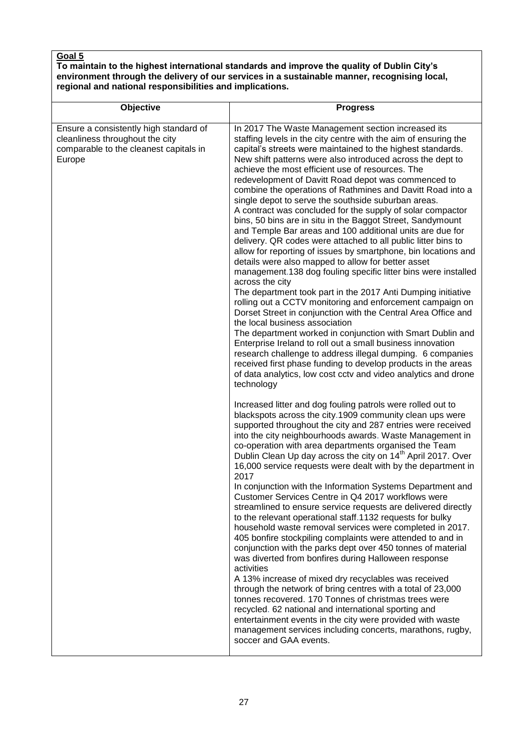**To maintain to the highest international standards and improve the quality of Dublin City's environment through the delivery of our services in a sustainable manner, recognising local, regional and national responsibilities and implications.**

| Objective                                                                                                                     | <b>Progress</b>                                                                                                                                                                                                                                                                                                                                                                                                                                                                                                                                                                                                                                                                                                                                                                                                                                                                                                                                                                                                                                                                                                                                                                                                                                                                                                                                                                                                                                                                                                                                                                                                                                                                                                                                                                                                                                                                                                                                                                                                                                                                                                                                                                                                                                                                                                                                                                                                                                                                                                                                                                                                                                                                                                                                                                                                                                                                                                     |
|-------------------------------------------------------------------------------------------------------------------------------|---------------------------------------------------------------------------------------------------------------------------------------------------------------------------------------------------------------------------------------------------------------------------------------------------------------------------------------------------------------------------------------------------------------------------------------------------------------------------------------------------------------------------------------------------------------------------------------------------------------------------------------------------------------------------------------------------------------------------------------------------------------------------------------------------------------------------------------------------------------------------------------------------------------------------------------------------------------------------------------------------------------------------------------------------------------------------------------------------------------------------------------------------------------------------------------------------------------------------------------------------------------------------------------------------------------------------------------------------------------------------------------------------------------------------------------------------------------------------------------------------------------------------------------------------------------------------------------------------------------------------------------------------------------------------------------------------------------------------------------------------------------------------------------------------------------------------------------------------------------------------------------------------------------------------------------------------------------------------------------------------------------------------------------------------------------------------------------------------------------------------------------------------------------------------------------------------------------------------------------------------------------------------------------------------------------------------------------------------------------------------------------------------------------------------------------------------------------------------------------------------------------------------------------------------------------------------------------------------------------------------------------------------------------------------------------------------------------------------------------------------------------------------------------------------------------------------------------------------------------------------------------------------------------------|
|                                                                                                                               |                                                                                                                                                                                                                                                                                                                                                                                                                                                                                                                                                                                                                                                                                                                                                                                                                                                                                                                                                                                                                                                                                                                                                                                                                                                                                                                                                                                                                                                                                                                                                                                                                                                                                                                                                                                                                                                                                                                                                                                                                                                                                                                                                                                                                                                                                                                                                                                                                                                                                                                                                                                                                                                                                                                                                                                                                                                                                                                     |
| Ensure a consistently high standard of<br>cleanliness throughout the city<br>comparable to the cleanest capitals in<br>Europe | In 2017 The Waste Management section increased its<br>staffing levels in the city centre with the aim of ensuring the<br>capital's streets were maintained to the highest standards.<br>New shift patterns were also introduced across the dept to<br>achieve the most efficient use of resources. The<br>redevelopment of Davitt Road depot was commenced to<br>combine the operations of Rathmines and Davitt Road into a<br>single depot to serve the southside suburban areas.<br>A contract was concluded for the supply of solar compactor<br>bins, 50 bins are in situ in the Baggot Street, Sandymount<br>and Temple Bar areas and 100 additional units are due for<br>delivery. QR codes were attached to all public litter bins to<br>allow for reporting of issues by smartphone, bin locations and<br>details were also mapped to allow for better asset<br>management.138 dog fouling specific litter bins were installed<br>across the city<br>The department took part in the 2017 Anti Dumping initiative<br>rolling out a CCTV monitoring and enforcement campaign on<br>Dorset Street in conjunction with the Central Area Office and<br>the local business association<br>The department worked in conjunction with Smart Dublin and<br>Enterprise Ireland to roll out a small business innovation<br>research challenge to address illegal dumping. 6 companies<br>received first phase funding to develop products in the areas<br>of data analytics, low cost cctv and video analytics and drone<br>technology<br>Increased litter and dog fouling patrols were rolled out to<br>blackspots across the city.1909 community clean ups were<br>supported throughout the city and 287 entries were received<br>into the city neighbourhoods awards. Waste Management in<br>co-operation with area departments organised the Team<br>Dublin Clean Up day across the city on 14 <sup>th</sup> April 2017. Over<br>16,000 service requests were dealt with by the department in<br>2017<br>In conjunction with the Information Systems Department and<br>Customer Services Centre in Q4 2017 workflows were<br>streamlined to ensure service requests are delivered directly<br>to the relevant operational staff.1132 requests for bulky<br>household waste removal services were completed in 2017.<br>405 bonfire stockpiling complaints were attended to and in<br>conjunction with the parks dept over 450 tonnes of material<br>was diverted from bonfires during Halloween response<br>activities<br>A 13% increase of mixed dry recyclables was received<br>through the network of bring centres with a total of 23,000<br>tonnes recovered. 170 Tonnes of christmas trees were<br>recycled. 62 national and international sporting and<br>entertainment events in the city were provided with waste<br>management services including concerts, marathons, rugby,<br>soccer and GAA events. |
|                                                                                                                               |                                                                                                                                                                                                                                                                                                                                                                                                                                                                                                                                                                                                                                                                                                                                                                                                                                                                                                                                                                                                                                                                                                                                                                                                                                                                                                                                                                                                                                                                                                                                                                                                                                                                                                                                                                                                                                                                                                                                                                                                                                                                                                                                                                                                                                                                                                                                                                                                                                                                                                                                                                                                                                                                                                                                                                                                                                                                                                                     |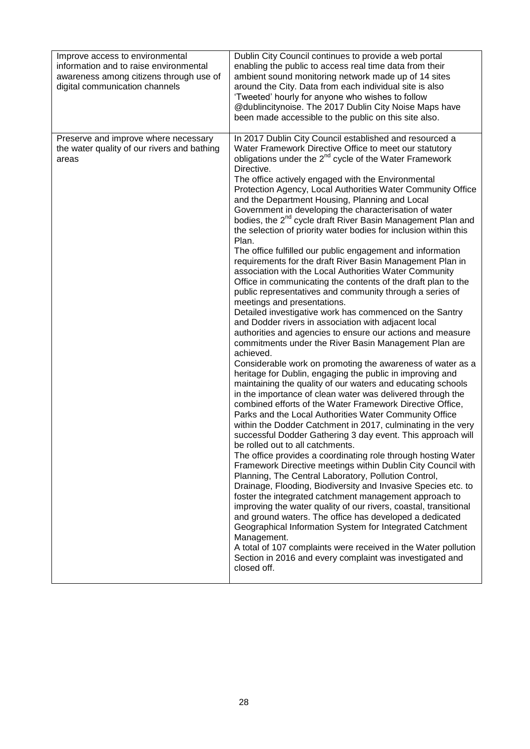| Improve access to environmental<br>information and to raise environmental<br>awareness among citizens through use of<br>digital communication channels | Dublin City Council continues to provide a web portal<br>enabling the public to access real time data from their<br>ambient sound monitoring network made up of 14 sites<br>around the City. Data from each individual site is also<br>'Tweeted' hourly for anyone who wishes to follow<br>@dublincitynoise. The 2017 Dublin City Noise Maps have<br>been made accessible to the public on this site also.                                                                                                                                                                                                                                                                                                                                                                                                                                                                                                                                                                                                                                                                                                                                                                                                                                                                                                                                                                                                                                                                                                                                                                                                                                                                                                                                                                                                                                                                                                                                                                                                                                                                                                                                                                                                                                                                                                                                                                                                                          |
|--------------------------------------------------------------------------------------------------------------------------------------------------------|-------------------------------------------------------------------------------------------------------------------------------------------------------------------------------------------------------------------------------------------------------------------------------------------------------------------------------------------------------------------------------------------------------------------------------------------------------------------------------------------------------------------------------------------------------------------------------------------------------------------------------------------------------------------------------------------------------------------------------------------------------------------------------------------------------------------------------------------------------------------------------------------------------------------------------------------------------------------------------------------------------------------------------------------------------------------------------------------------------------------------------------------------------------------------------------------------------------------------------------------------------------------------------------------------------------------------------------------------------------------------------------------------------------------------------------------------------------------------------------------------------------------------------------------------------------------------------------------------------------------------------------------------------------------------------------------------------------------------------------------------------------------------------------------------------------------------------------------------------------------------------------------------------------------------------------------------------------------------------------------------------------------------------------------------------------------------------------------------------------------------------------------------------------------------------------------------------------------------------------------------------------------------------------------------------------------------------------------------------------------------------------------------------------------------------------|
| Preserve and improve where necessary<br>the water quality of our rivers and bathing<br>areas                                                           | In 2017 Dublin City Council established and resourced a<br>Water Framework Directive Office to meet our statutory<br>obligations under the 2 <sup>nd</sup> cycle of the Water Framework<br>Directive.<br>The office actively engaged with the Environmental<br>Protection Agency, Local Authorities Water Community Office<br>and the Department Housing, Planning and Local<br>Government in developing the characterisation of water<br>bodies, the 2 <sup>nd</sup> cycle draft River Basin Management Plan and<br>the selection of priority water bodies for inclusion within this<br>Plan.<br>The office fulfilled our public engagement and information<br>requirements for the draft River Basin Management Plan in<br>association with the Local Authorities Water Community<br>Office in communicating the contents of the draft plan to the<br>public representatives and community through a series of<br>meetings and presentations.<br>Detailed investigative work has commenced on the Santry<br>and Dodder rivers in association with adjacent local<br>authorities and agencies to ensure our actions and measure<br>commitments under the River Basin Management Plan are<br>achieved.<br>Considerable work on promoting the awareness of water as a<br>heritage for Dublin, engaging the public in improving and<br>maintaining the quality of our waters and educating schools<br>in the importance of clean water was delivered through the<br>combined efforts of the Water Framework Directive Office,<br>Parks and the Local Authorities Water Community Office<br>within the Dodder Catchment in 2017, culminating in the very<br>successful Dodder Gathering 3 day event. This approach will<br>be rolled out to all catchments.<br>The office provides a coordinating role through hosting Water<br>Framework Directive meetings within Dublin City Council with<br>Planning, The Central Laboratory, Pollution Control,<br>Drainage, Flooding, Biodiversity and Invasive Species etc. to<br>foster the integrated catchment management approach to<br>improving the water quality of our rivers, coastal, transitional<br>and ground waters. The office has developed a dedicated<br>Geographical Information System for Integrated Catchment<br>Management.<br>A total of 107 complaints were received in the Water pollution<br>Section in 2016 and every complaint was investigated and<br>closed off. |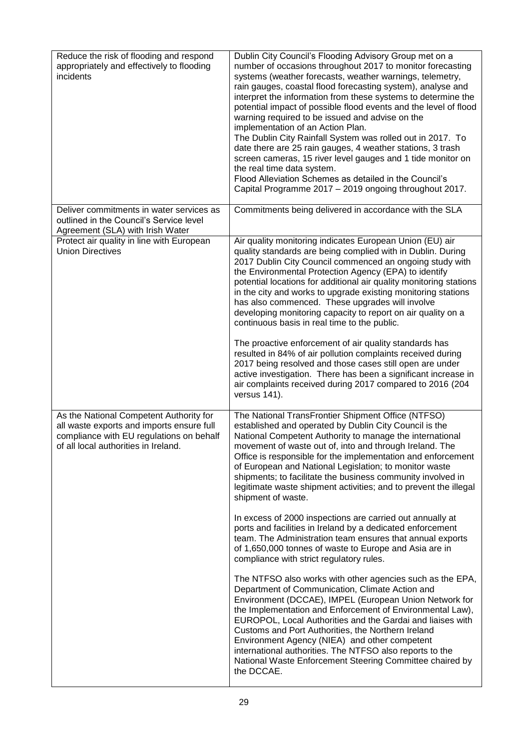| Reduce the risk of flooding and respond<br>appropriately and effectively to flooding<br>incidents                                                                        | Dublin City Council's Flooding Advisory Group met on a<br>number of occasions throughout 2017 to monitor forecasting<br>systems (weather forecasts, weather warnings, telemetry,<br>rain gauges, coastal flood forecasting system), analyse and<br>interpret the information from these systems to determine the<br>potential impact of possible flood events and the level of flood<br>warning required to be issued and advise on the<br>implementation of an Action Plan.<br>The Dublin City Rainfall System was rolled out in 2017. To<br>date there are 25 rain gauges, 4 weather stations, 3 trash<br>screen cameras, 15 river level gauges and 1 tide monitor on<br>the real time data system.<br>Flood Alleviation Schemes as detailed in the Council's<br>Capital Programme 2017 - 2019 ongoing throughout 2017.                                                                                                                                                                                                                                                                                                                                                                                                                                                                                                                                              |
|--------------------------------------------------------------------------------------------------------------------------------------------------------------------------|------------------------------------------------------------------------------------------------------------------------------------------------------------------------------------------------------------------------------------------------------------------------------------------------------------------------------------------------------------------------------------------------------------------------------------------------------------------------------------------------------------------------------------------------------------------------------------------------------------------------------------------------------------------------------------------------------------------------------------------------------------------------------------------------------------------------------------------------------------------------------------------------------------------------------------------------------------------------------------------------------------------------------------------------------------------------------------------------------------------------------------------------------------------------------------------------------------------------------------------------------------------------------------------------------------------------------------------------------------------------|
| Deliver commitments in water services as<br>outlined in the Council's Service level<br>Agreement (SLA) with Irish Water                                                  | Commitments being delivered in accordance with the SLA                                                                                                                                                                                                                                                                                                                                                                                                                                                                                                                                                                                                                                                                                                                                                                                                                                                                                                                                                                                                                                                                                                                                                                                                                                                                                                                 |
| Protect air quality in line with European<br><b>Union Directives</b>                                                                                                     | Air quality monitoring indicates European Union (EU) air<br>quality standards are being complied with in Dublin. During<br>2017 Dublin City Council commenced an ongoing study with<br>the Environmental Protection Agency (EPA) to identify<br>potential locations for additional air quality monitoring stations<br>in the city and works to upgrade existing monitoring stations<br>has also commenced. These upgrades will involve<br>developing monitoring capacity to report on air quality on a<br>continuous basis in real time to the public.<br>The proactive enforcement of air quality standards has<br>resulted in 84% of air pollution complaints received during<br>2017 being resolved and those cases still open are under<br>active investigation. There has been a significant increase in<br>air complaints received during 2017 compared to 2016 (204<br>versus 141).                                                                                                                                                                                                                                                                                                                                                                                                                                                                             |
| As the National Competent Authority for<br>all waste exports and imports ensure full<br>compliance with EU regulations on behalf<br>of all local authorities in Ireland. | The National TransFrontier Shipment Office (NTFSO)<br>established and operated by Dublin City Council is the<br>National Competent Authority to manage the international<br>movement of waste out of, into and through Ireland. The<br>Office is responsible for the implementation and enforcement<br>of European and National Legislation; to monitor waste<br>shipments; to facilitate the business community involved in<br>legitimate waste shipment activities; and to prevent the illegal<br>shipment of waste.<br>In excess of 2000 inspections are carried out annually at<br>ports and facilities in Ireland by a dedicated enforcement<br>team. The Administration team ensures that annual exports<br>of 1,650,000 tonnes of waste to Europe and Asia are in<br>compliance with strict regulatory rules.<br>The NTFSO also works with other agencies such as the EPA,<br>Department of Communication, Climate Action and<br>Environment (DCCAE), IMPEL (European Union Network for<br>the Implementation and Enforcement of Environmental Law),<br>EUROPOL, Local Authorities and the Gardai and liaises with<br>Customs and Port Authorities, the Northern Ireland<br>Environment Agency (NIEA) and other competent<br>international authorities. The NTFSO also reports to the<br>National Waste Enforcement Steering Committee chaired by<br>the DCCAE. |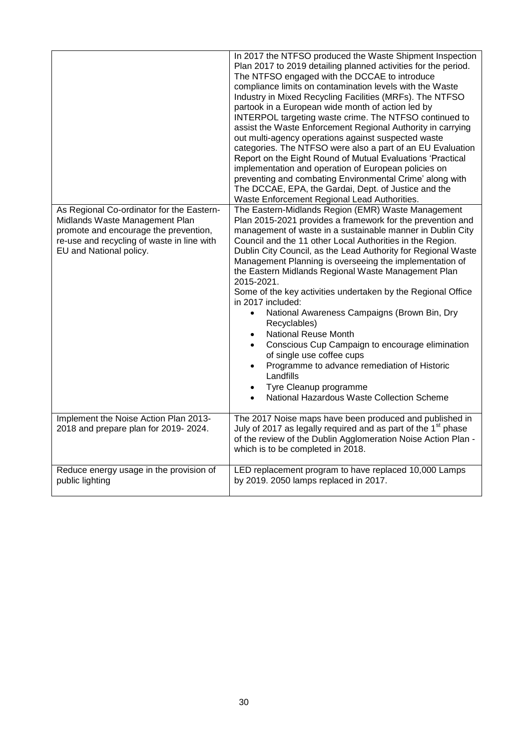| As Regional Co-ordinator for the Eastern-<br>Midlands Waste Management Plan<br>promote and encourage the prevention,<br>re-use and recycling of waste in line with<br>EU and National policy. | In 2017 the NTFSO produced the Waste Shipment Inspection<br>Plan 2017 to 2019 detailing planned activities for the period.<br>The NTFSO engaged with the DCCAE to introduce<br>compliance limits on contamination levels with the Waste<br>Industry in Mixed Recycling Facilities (MRFs). The NTFSO<br>partook in a European wide month of action led by<br>INTERPOL targeting waste crime. The NTFSO continued to<br>assist the Waste Enforcement Regional Authority in carrying<br>out multi-agency operations against suspected waste<br>categories. The NTFSO were also a part of an EU Evaluation<br>Report on the Eight Round of Mutual Evaluations 'Practical<br>implementation and operation of European policies on<br>preventing and combating Environmental Crime' along with<br>The DCCAE, EPA, the Gardai, Dept. of Justice and the<br>Waste Enforcement Regional Lead Authorities.<br>The Eastern-Midlands Region (EMR) Waste Management<br>Plan 2015-2021 provides a framework for the prevention and<br>management of waste in a sustainable manner in Dublin City<br>Council and the 11 other Local Authorities in the Region.<br>Dublin City Council, as the Lead Authority for Regional Waste<br>Management Planning is overseeing the implementation of<br>the Eastern Midlands Regional Waste Management Plan<br>2015-2021.<br>Some of the key activities undertaken by the Regional Office<br>in 2017 included:<br>National Awareness Campaigns (Brown Bin, Dry<br>Recyclables)<br><b>National Reuse Month</b><br>Conscious Cup Campaign to encourage elimination<br>$\bullet$<br>of single use coffee cups<br>Programme to advance remediation of Historic<br>Landfills<br>Tyre Cleanup programme<br>$\bullet$<br>National Hazardous Waste Collection Scheme |
|-----------------------------------------------------------------------------------------------------------------------------------------------------------------------------------------------|-------------------------------------------------------------------------------------------------------------------------------------------------------------------------------------------------------------------------------------------------------------------------------------------------------------------------------------------------------------------------------------------------------------------------------------------------------------------------------------------------------------------------------------------------------------------------------------------------------------------------------------------------------------------------------------------------------------------------------------------------------------------------------------------------------------------------------------------------------------------------------------------------------------------------------------------------------------------------------------------------------------------------------------------------------------------------------------------------------------------------------------------------------------------------------------------------------------------------------------------------------------------------------------------------------------------------------------------------------------------------------------------------------------------------------------------------------------------------------------------------------------------------------------------------------------------------------------------------------------------------------------------------------------------------------------------------------------------------------------------------------------------------------------|
| Implement the Noise Action Plan 2013-<br>2018 and prepare plan for 2019-2024.                                                                                                                 | The 2017 Noise maps have been produced and published in<br>July of 2017 as legally required and as part of the 1 <sup>st</sup> phase<br>of the review of the Dublin Agglomeration Noise Action Plan -<br>which is to be completed in 2018.                                                                                                                                                                                                                                                                                                                                                                                                                                                                                                                                                                                                                                                                                                                                                                                                                                                                                                                                                                                                                                                                                                                                                                                                                                                                                                                                                                                                                                                                                                                                          |
| Reduce energy usage in the provision of<br>public lighting                                                                                                                                    | LED replacement program to have replaced 10,000 Lamps<br>by 2019. 2050 lamps replaced in 2017.                                                                                                                                                                                                                                                                                                                                                                                                                                                                                                                                                                                                                                                                                                                                                                                                                                                                                                                                                                                                                                                                                                                                                                                                                                                                                                                                                                                                                                                                                                                                                                                                                                                                                      |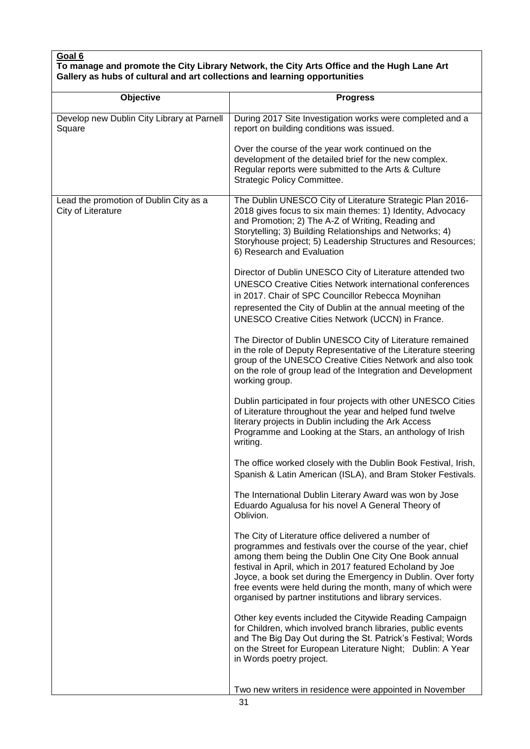#### **To manage and promote the City Library Network, the City Arts Office and the Hugh Lane Art Gallery as hubs of cultural and art collections and learning opportunities**

| Objective                                                    | <b>Progress</b>                                                                                                                                                                                                                                                                                                                                                                                                                  |
|--------------------------------------------------------------|----------------------------------------------------------------------------------------------------------------------------------------------------------------------------------------------------------------------------------------------------------------------------------------------------------------------------------------------------------------------------------------------------------------------------------|
| Develop new Dublin City Library at Parnell<br>Square         | During 2017 Site Investigation works were completed and a<br>report on building conditions was issued.                                                                                                                                                                                                                                                                                                                           |
|                                                              | Over the course of the year work continued on the<br>development of the detailed brief for the new complex.<br>Regular reports were submitted to the Arts & Culture<br>Strategic Policy Committee.                                                                                                                                                                                                                               |
| Lead the promotion of Dublin City as a<br>City of Literature | The Dublin UNESCO City of Literature Strategic Plan 2016-<br>2018 gives focus to six main themes: 1) Identity, Advocacy<br>and Promotion; 2) The A-Z of Writing, Reading and<br>Storytelling; 3) Building Relationships and Networks; 4)<br>Storyhouse project; 5) Leadership Structures and Resources;<br>6) Research and Evaluation                                                                                            |
|                                                              | Director of Dublin UNESCO City of Literature attended two<br><b>UNESCO Creative Cities Network international conferences</b><br>in 2017. Chair of SPC Councillor Rebecca Moynihan<br>represented the City of Dublin at the annual meeting of the<br><b>UNESCO Creative Cities Network (UCCN) in France.</b>                                                                                                                      |
|                                                              | The Director of Dublin UNESCO City of Literature remained<br>in the role of Deputy Representative of the Literature steering<br>group of the UNESCO Creative Cities Network and also took<br>on the role of group lead of the Integration and Development<br>working group.                                                                                                                                                      |
|                                                              | Dublin participated in four projects with other UNESCO Cities<br>of Literature throughout the year and helped fund twelve<br>literary projects in Dublin including the Ark Access<br>Programme and Looking at the Stars, an anthology of Irish<br>writing.                                                                                                                                                                       |
|                                                              | The office worked closely with the Dublin Book Festival, Irish,<br>Spanish & Latin American (ISLA), and Bram Stoker Festivals.                                                                                                                                                                                                                                                                                                   |
|                                                              | The International Dublin Literary Award was won by Jose<br>Eduardo Agualusa for his novel A General Theory of<br>Oblivion.                                                                                                                                                                                                                                                                                                       |
|                                                              | The City of Literature office delivered a number of<br>programmes and festivals over the course of the year, chief<br>among them being the Dublin One City One Book annual<br>festival in April, which in 2017 featured Echoland by Joe<br>Joyce, a book set during the Emergency in Dublin. Over forty<br>free events were held during the month, many of which were<br>organised by partner institutions and library services. |
|                                                              | Other key events included the Citywide Reading Campaign<br>for Children, which involved branch libraries, public events<br>and The Big Day Out during the St. Patrick's Festival; Words<br>on the Street for European Literature Night; Dublin: A Year<br>in Words poetry project.                                                                                                                                               |
|                                                              | Two new writers in residence were appointed in November                                                                                                                                                                                                                                                                                                                                                                          |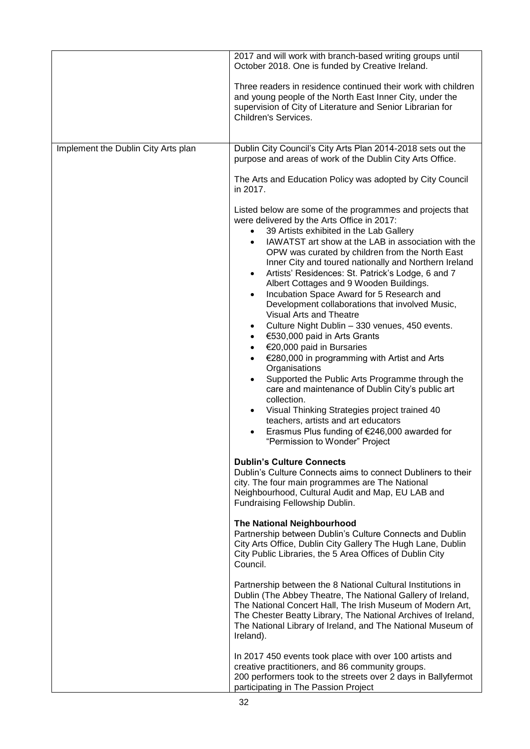|                                     | 2017 and will work with branch-based writing groups until<br>October 2018. One is funded by Creative Ireland.                                                                                                                                                                                                                                                                                                                                                                                                                                                                                                                                                                                                                                                                                                                                                                                                                                                                                                                                                                                                       |
|-------------------------------------|---------------------------------------------------------------------------------------------------------------------------------------------------------------------------------------------------------------------------------------------------------------------------------------------------------------------------------------------------------------------------------------------------------------------------------------------------------------------------------------------------------------------------------------------------------------------------------------------------------------------------------------------------------------------------------------------------------------------------------------------------------------------------------------------------------------------------------------------------------------------------------------------------------------------------------------------------------------------------------------------------------------------------------------------------------------------------------------------------------------------|
|                                     | Three readers in residence continued their work with children<br>and young people of the North East Inner City, under the<br>supervision of City of Literature and Senior Librarian for<br>Children's Services.                                                                                                                                                                                                                                                                                                                                                                                                                                                                                                                                                                                                                                                                                                                                                                                                                                                                                                     |
| Implement the Dublin City Arts plan | Dublin City Council's City Arts Plan 2014-2018 sets out the<br>purpose and areas of work of the Dublin City Arts Office.                                                                                                                                                                                                                                                                                                                                                                                                                                                                                                                                                                                                                                                                                                                                                                                                                                                                                                                                                                                            |
|                                     | The Arts and Education Policy was adopted by City Council<br>in 2017.                                                                                                                                                                                                                                                                                                                                                                                                                                                                                                                                                                                                                                                                                                                                                                                                                                                                                                                                                                                                                                               |
|                                     | Listed below are some of the programmes and projects that<br>were delivered by the Arts Office in 2017:<br>39 Artists exhibited in the Lab Gallery<br>IAWATST art show at the LAB in association with the<br>$\bullet$<br>OPW was curated by children from the North East<br>Inner City and toured nationally and Northern Ireland<br>Artists' Residences: St. Patrick's Lodge, 6 and 7<br>$\bullet$<br>Albert Cottages and 9 Wooden Buildings.<br>Incubation Space Award for 5 Research and<br>$\bullet$<br>Development collaborations that involved Music,<br>Visual Arts and Theatre<br>Culture Night Dublin - 330 venues, 450 events.<br>٠<br>€530,000 paid in Arts Grants<br>$\bullet$<br>€20,000 paid in Bursaries<br>€280,000 in programming with Artist and Arts<br>Organisations<br>Supported the Public Arts Programme through the<br>$\bullet$<br>care and maintenance of Dublin City's public art<br>collection.<br>Visual Thinking Strategies project trained 40<br>$\bullet$<br>teachers, artists and art educators<br>Erasmus Plus funding of €246,000 awarded for<br>"Permission to Wonder" Project |
|                                     | <b>Dublin's Culture Connects</b><br>Dublin's Culture Connects aims to connect Dubliners to their<br>city. The four main programmes are The National<br>Neighbourhood, Cultural Audit and Map, EU LAB and<br>Fundraising Fellowship Dublin.                                                                                                                                                                                                                                                                                                                                                                                                                                                                                                                                                                                                                                                                                                                                                                                                                                                                          |
|                                     | The National Neighbourhood<br>Partnership between Dublin's Culture Connects and Dublin<br>City Arts Office, Dublin City Gallery The Hugh Lane, Dublin<br>City Public Libraries, the 5 Area Offices of Dublin City<br>Council.                                                                                                                                                                                                                                                                                                                                                                                                                                                                                                                                                                                                                                                                                                                                                                                                                                                                                       |
|                                     | Partnership between the 8 National Cultural Institutions in<br>Dublin (The Abbey Theatre, The National Gallery of Ireland,<br>The National Concert Hall, The Irish Museum of Modern Art,<br>The Chester Beatty Library, The National Archives of Ireland,<br>The National Library of Ireland, and The National Museum of<br>Ireland).                                                                                                                                                                                                                                                                                                                                                                                                                                                                                                                                                                                                                                                                                                                                                                               |
|                                     | In 2017 450 events took place with over 100 artists and<br>creative practitioners, and 86 community groups.<br>200 performers took to the streets over 2 days in Ballyfermot<br>participating in The Passion Project                                                                                                                                                                                                                                                                                                                                                                                                                                                                                                                                                                                                                                                                                                                                                                                                                                                                                                |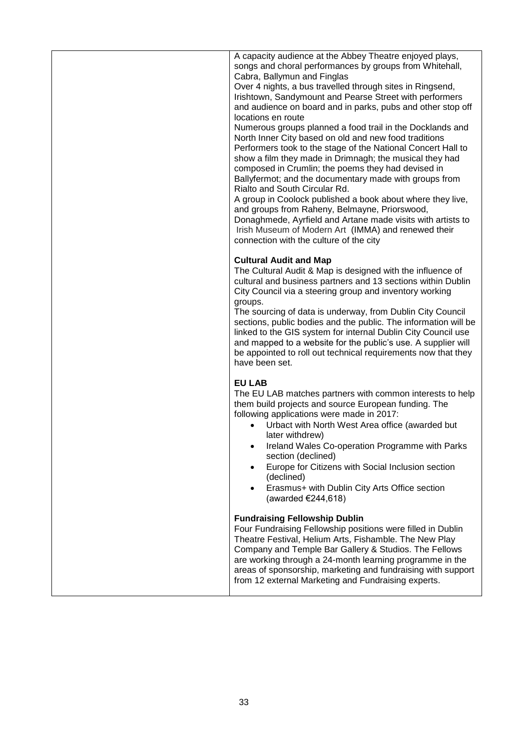| A capacity audience at the Abbey Theatre enjoyed plays,<br>songs and choral performances by groups from Whitehall,<br>Cabra, Ballymun and Finglas<br>Over 4 nights, a bus travelled through sites in Ringsend,<br>Irishtown, Sandymount and Pearse Street with performers<br>and audience on board and in parks, pubs and other stop off<br>locations en route<br>Numerous groups planned a food trail in the Docklands and<br>North Inner City based on old and new food traditions<br>Performers took to the stage of the National Concert Hall to<br>show a film they made in Drimnagh; the musical they had<br>composed in Crumlin; the poems they had devised in<br>Ballyfermot; and the documentary made with groups from<br>Rialto and South Circular Rd.<br>A group in Coolock published a book about where they live,<br>and groups from Raheny, Belmayne, Priorswood,<br>Donaghmede, Ayrfield and Artane made visits with artists to<br>Irish Museum of Modern Art (IMMA) and renewed their<br>connection with the culture of the city |
|--------------------------------------------------------------------------------------------------------------------------------------------------------------------------------------------------------------------------------------------------------------------------------------------------------------------------------------------------------------------------------------------------------------------------------------------------------------------------------------------------------------------------------------------------------------------------------------------------------------------------------------------------------------------------------------------------------------------------------------------------------------------------------------------------------------------------------------------------------------------------------------------------------------------------------------------------------------------------------------------------------------------------------------------------|
| <b>Cultural Audit and Map</b><br>The Cultural Audit & Map is designed with the influence of<br>cultural and business partners and 13 sections within Dublin<br>City Council via a steering group and inventory working<br>groups.<br>The sourcing of data is underway, from Dublin City Council<br>sections, public bodies and the public. The information will be<br>linked to the GIS system for internal Dublin City Council use<br>and mapped to a website for the public's use. A supplier will<br>be appointed to roll out technical requirements now that they<br>have been set.                                                                                                                                                                                                                                                                                                                                                                                                                                                          |
| <b>EU LAB</b><br>The EU LAB matches partners with common interests to help<br>them build projects and source European funding. The<br>following applications were made in 2017:<br>Urbact with North West Area office (awarded but<br>later withdrew)<br>Ireland Wales Co-operation Programme with Parks<br>section (declined)<br>Europe for Citizens with Social Inclusion section<br>(declined)<br>Erasmus+ with Dublin City Arts Office section<br>(awarded $\epsilon$ 244,618)                                                                                                                                                                                                                                                                                                                                                                                                                                                                                                                                                               |
| <b>Fundraising Fellowship Dublin</b><br>Four Fundraising Fellowship positions were filled in Dublin<br>Theatre Festival, Helium Arts, Fishamble. The New Play<br>Company and Temple Bar Gallery & Studios. The Fellows<br>are working through a 24-month learning programme in the<br>areas of sponsorship, marketing and fundraising with support<br>from 12 external Marketing and Fundraising experts.                                                                                                                                                                                                                                                                                                                                                                                                                                                                                                                                                                                                                                        |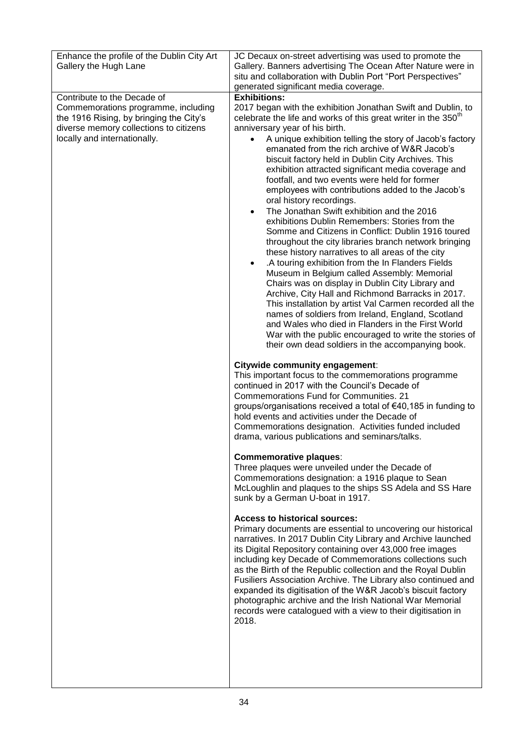| Enhance the profile of the Dublin City Art<br>Gallery the Hugh Lane                                                                                                                     | JC Decaux on-street advertising was used to promote the<br>Gallery. Banners advertising The Ocean After Nature were in                                                                                                                                                                                                                                                                                                                                                                                                                                                                                                                                                                                                                                                                                                                                                                                                                                                                                                                                                                                                                                                                                                                                                                                                                                   |
|-----------------------------------------------------------------------------------------------------------------------------------------------------------------------------------------|----------------------------------------------------------------------------------------------------------------------------------------------------------------------------------------------------------------------------------------------------------------------------------------------------------------------------------------------------------------------------------------------------------------------------------------------------------------------------------------------------------------------------------------------------------------------------------------------------------------------------------------------------------------------------------------------------------------------------------------------------------------------------------------------------------------------------------------------------------------------------------------------------------------------------------------------------------------------------------------------------------------------------------------------------------------------------------------------------------------------------------------------------------------------------------------------------------------------------------------------------------------------------------------------------------------------------------------------------------|
|                                                                                                                                                                                         | situ and collaboration with Dublin Port "Port Perspectives"<br>generated significant media coverage.                                                                                                                                                                                                                                                                                                                                                                                                                                                                                                                                                                                                                                                                                                                                                                                                                                                                                                                                                                                                                                                                                                                                                                                                                                                     |
|                                                                                                                                                                                         | <b>Exhibitions:</b>                                                                                                                                                                                                                                                                                                                                                                                                                                                                                                                                                                                                                                                                                                                                                                                                                                                                                                                                                                                                                                                                                                                                                                                                                                                                                                                                      |
| Contribute to the Decade of<br>Commemorations programme, including<br>the 1916 Rising, by bringing the City's<br>diverse memory collections to citizens<br>locally and internationally. | 2017 began with the exhibition Jonathan Swift and Dublin, to<br>celebrate the life and works of this great writer in the 350 <sup>th</sup><br>anniversary year of his birth.<br>A unique exhibition telling the story of Jacob's factory<br>emanated from the rich archive of W&R Jacob's<br>biscuit factory held in Dublin City Archives. This<br>exhibition attracted significant media coverage and<br>footfall, and two events were held for former<br>employees with contributions added to the Jacob's<br>oral history recordings.<br>The Jonathan Swift exhibition and the 2016<br>$\bullet$<br>exhibitions Dublin Remembers: Stories from the<br>Somme and Citizens in Conflict: Dublin 1916 toured<br>throughout the city libraries branch network bringing<br>these history narratives to all areas of the city<br>.A touring exhibition from the In Flanders Fields<br>$\bullet$<br>Museum in Belgium called Assembly: Memorial<br>Chairs was on display in Dublin City Library and<br>Archive, City Hall and Richmond Barracks in 2017.<br>This installation by artist Val Carmen recorded all the<br>names of soldiers from Ireland, England, Scotland<br>and Wales who died in Flanders in the First World<br>War with the public encouraged to write the stories of                                                                       |
|                                                                                                                                                                                         | their own dead soldiers in the accompanying book.<br>Citywide community engagement:<br>This important focus to the commemorations programme<br>continued in 2017 with the Council's Decade of<br>Commemorations Fund for Communities. 21<br>groups/organisations received a total of €40,185 in funding to<br>hold events and activities under the Decade of<br>Commemorations designation. Activities funded included<br>drama, various publications and seminars/talks.<br><b>Commemorative plaques:</b><br>Three plaques were unveiled under the Decade of<br>Commemorations designation: a 1916 plaque to Sean<br>McLoughlin and plaques to the ships SS Adela and SS Hare<br>sunk by a German U-boat in 1917.<br><b>Access to historical sources:</b><br>Primary documents are essential to uncovering our historical<br>narratives. In 2017 Dublin City Library and Archive launched<br>its Digital Repository containing over 43,000 free images<br>including key Decade of Commemorations collections such<br>as the Birth of the Republic collection and the Royal Dublin<br>Fusiliers Association Archive. The Library also continued and<br>expanded its digitisation of the W&R Jacob's biscuit factory<br>photographic archive and the Irish National War Memorial<br>records were catalogued with a view to their digitisation in<br>2018. |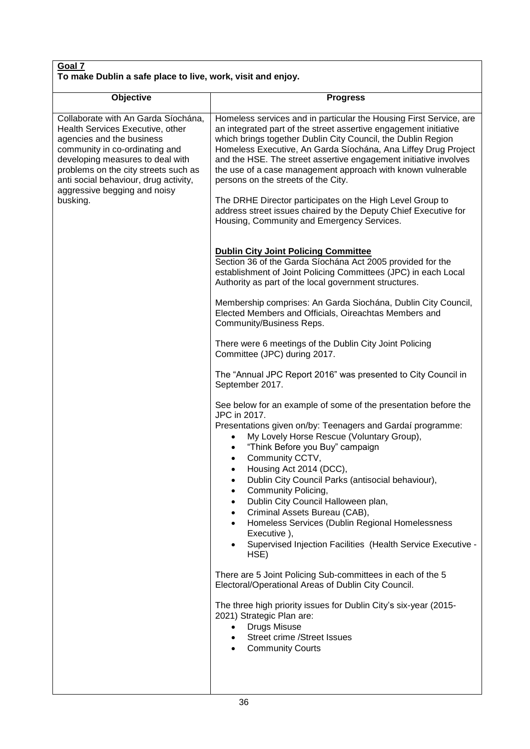#### **Goal 7 To make Dublin a safe place to live, work, visit and enjoy.**

| <b>Progress</b>                                                                                                                                                                                                                                                                                                                                                                                                                                                                                                                                                                                                                                |
|------------------------------------------------------------------------------------------------------------------------------------------------------------------------------------------------------------------------------------------------------------------------------------------------------------------------------------------------------------------------------------------------------------------------------------------------------------------------------------------------------------------------------------------------------------------------------------------------------------------------------------------------|
| Homeless services and in particular the Housing First Service, are<br>an integrated part of the street assertive engagement initiative<br>which brings together Dublin City Council, the Dublin Region<br>Homeless Executive, An Garda Síochána, Ana Liffey Drug Project<br>and the HSE. The street assertive engagement initiative involves<br>the use of a case management approach with known vulnerable<br>persons on the streets of the City.<br>The DRHE Director participates on the High Level Group to<br>address street issues chaired by the Deputy Chief Executive for<br>Housing, Community and Emergency Services.               |
| <b>Dublin City Joint Policing Committee</b><br>Section 36 of the Garda Síochána Act 2005 provided for the<br>establishment of Joint Policing Committees (JPC) in each Local<br>Authority as part of the local government structures.<br>Membership comprises: An Garda Siochána, Dublin City Council,<br>Elected Members and Officials, Oireachtas Members and<br>Community/Business Reps.                                                                                                                                                                                                                                                     |
| There were 6 meetings of the Dublin City Joint Policing<br>Committee (JPC) during 2017.                                                                                                                                                                                                                                                                                                                                                                                                                                                                                                                                                        |
| The "Annual JPC Report 2016" was presented to City Council in<br>September 2017.                                                                                                                                                                                                                                                                                                                                                                                                                                                                                                                                                               |
| See below for an example of some of the presentation before the<br>JPC in 2017.<br>Presentations given on/by: Teenagers and Gardaí programme:<br>My Lovely Horse Rescue (Voluntary Group),<br>$\bullet$<br>"Think Before you Buy" campaign<br>Community CCTV,<br>$\bullet$<br>Housing Act 2014 (DCC),<br>Dublin City Council Parks (antisocial behaviour),<br>Community Policing,<br>٠<br>Dublin City Council Halloween plan,<br>Criminal Assets Bureau (CAB),<br>$\bullet$<br>Homeless Services (Dublin Regional Homelessness<br>$\bullet$<br>Executive),<br>Supervised Injection Facilities (Health Service Executive -<br>$\bullet$<br>HSE) |
| There are 5 Joint Policing Sub-committees in each of the 5<br>Electoral/Operational Areas of Dublin City Council.                                                                                                                                                                                                                                                                                                                                                                                                                                                                                                                              |
| The three high priority issues for Dublin City's six-year (2015-<br>2021) Strategic Plan are:<br><b>Drugs Misuse</b><br><b>Street crime /Street Issues</b><br><b>Community Courts</b>                                                                                                                                                                                                                                                                                                                                                                                                                                                          |
|                                                                                                                                                                                                                                                                                                                                                                                                                                                                                                                                                                                                                                                |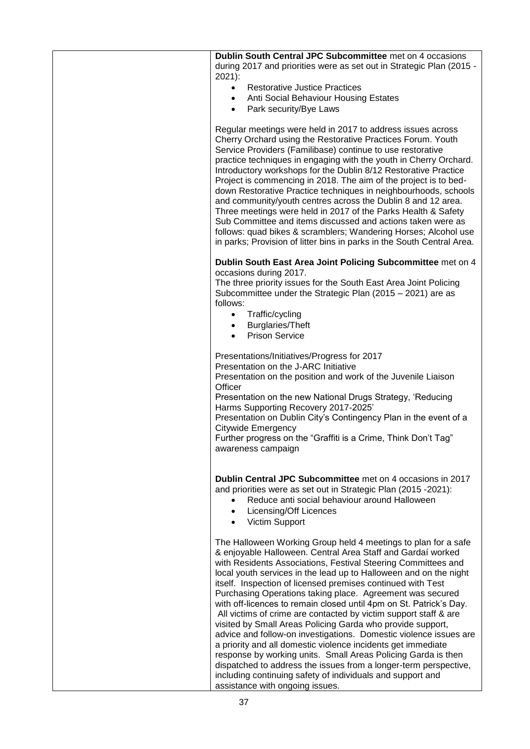| Dublin South Central JPC Subcommittee met on 4 occasions<br>during 2017 and priorities were as set out in Strategic Plan (2015 -<br>2021):                                                                                                                                                                                                                                                                                                                                                                                                                                                                                                                                                                                                                                                                           |
|----------------------------------------------------------------------------------------------------------------------------------------------------------------------------------------------------------------------------------------------------------------------------------------------------------------------------------------------------------------------------------------------------------------------------------------------------------------------------------------------------------------------------------------------------------------------------------------------------------------------------------------------------------------------------------------------------------------------------------------------------------------------------------------------------------------------|
| <b>Restorative Justice Practices</b><br>$\bullet$                                                                                                                                                                                                                                                                                                                                                                                                                                                                                                                                                                                                                                                                                                                                                                    |
| • Anti Social Behaviour Housing Estates                                                                                                                                                                                                                                                                                                                                                                                                                                                                                                                                                                                                                                                                                                                                                                              |
| Park security/Bye Laws<br>$\bullet$                                                                                                                                                                                                                                                                                                                                                                                                                                                                                                                                                                                                                                                                                                                                                                                  |
| Regular meetings were held in 2017 to address issues across<br>Cherry Orchard using the Restorative Practices Forum. Youth<br>Service Providers (Familibase) continue to use restorative<br>practice techniques in engaging with the youth in Cherry Orchard.<br>Introductory workshops for the Dublin 8/12 Restorative Practice<br>Project is commencing in 2018. The aim of the project is to bed-<br>down Restorative Practice techniques in neighbourhoods, schools<br>and community/youth centres across the Dublin 8 and 12 area.<br>Three meetings were held in 2017 of the Parks Health & Safety<br>Sub Committee and items discussed and actions taken were as<br>follows: quad bikes & scramblers; Wandering Horses; Alcohol use<br>in parks; Provision of litter bins in parks in the South Central Area. |
| Dublin South East Area Joint Policing Subcommittee met on 4<br>occasions during 2017.                                                                                                                                                                                                                                                                                                                                                                                                                                                                                                                                                                                                                                                                                                                                |
| The three priority issues for the South East Area Joint Policing<br>Subcommittee under the Strategic Plan (2015 - 2021) are as<br>follows:                                                                                                                                                                                                                                                                                                                                                                                                                                                                                                                                                                                                                                                                           |
| Traffic/cycling<br>$\bullet$                                                                                                                                                                                                                                                                                                                                                                                                                                                                                                                                                                                                                                                                                                                                                                                         |
| <b>Burglaries/Theft</b><br>$\bullet$                                                                                                                                                                                                                                                                                                                                                                                                                                                                                                                                                                                                                                                                                                                                                                                 |
| <b>Prison Service</b><br>$\bullet$                                                                                                                                                                                                                                                                                                                                                                                                                                                                                                                                                                                                                                                                                                                                                                                   |
| Presentations/Initiatives/Progress for 2017                                                                                                                                                                                                                                                                                                                                                                                                                                                                                                                                                                                                                                                                                                                                                                          |
| Presentation on the J-ARC Initiative<br>Presentation on the position and work of the Juvenile Liaison                                                                                                                                                                                                                                                                                                                                                                                                                                                                                                                                                                                                                                                                                                                |
| Officer                                                                                                                                                                                                                                                                                                                                                                                                                                                                                                                                                                                                                                                                                                                                                                                                              |
| Presentation on the new National Drugs Strategy, 'Reducing                                                                                                                                                                                                                                                                                                                                                                                                                                                                                                                                                                                                                                                                                                                                                           |
| Harms Supporting Recovery 2017-2025'                                                                                                                                                                                                                                                                                                                                                                                                                                                                                                                                                                                                                                                                                                                                                                                 |
| Presentation on Dublin City's Contingency Plan in the event of a<br>Citywide Emergency                                                                                                                                                                                                                                                                                                                                                                                                                                                                                                                                                                                                                                                                                                                               |
| Further progress on the "Graffiti is a Crime, Think Don't Tag"                                                                                                                                                                                                                                                                                                                                                                                                                                                                                                                                                                                                                                                                                                                                                       |
| awareness campaign                                                                                                                                                                                                                                                                                                                                                                                                                                                                                                                                                                                                                                                                                                                                                                                                   |
|                                                                                                                                                                                                                                                                                                                                                                                                                                                                                                                                                                                                                                                                                                                                                                                                                      |
| Dublin Central JPC Subcommittee met on 4 occasions in 2017                                                                                                                                                                                                                                                                                                                                                                                                                                                                                                                                                                                                                                                                                                                                                           |
| and priorities were as set out in Strategic Plan (2015 -2021):<br>Reduce anti social behaviour around Halloween                                                                                                                                                                                                                                                                                                                                                                                                                                                                                                                                                                                                                                                                                                      |
| Licensing/Off Licences                                                                                                                                                                                                                                                                                                                                                                                                                                                                                                                                                                                                                                                                                                                                                                                               |
| <b>Victim Support</b>                                                                                                                                                                                                                                                                                                                                                                                                                                                                                                                                                                                                                                                                                                                                                                                                |
| The Halloween Working Group held 4 meetings to plan for a safe                                                                                                                                                                                                                                                                                                                                                                                                                                                                                                                                                                                                                                                                                                                                                       |
| & enjoyable Halloween. Central Area Staff and Gardaí worked<br>with Residents Associations, Festival Steering Committees and<br>local youth services in the lead up to Halloween and on the night                                                                                                                                                                                                                                                                                                                                                                                                                                                                                                                                                                                                                    |
| itself. Inspection of licensed premises continued with Test                                                                                                                                                                                                                                                                                                                                                                                                                                                                                                                                                                                                                                                                                                                                                          |
| Purchasing Operations taking place. Agreement was secured<br>with off-licences to remain closed until 4pm on St. Patrick's Day.                                                                                                                                                                                                                                                                                                                                                                                                                                                                                                                                                                                                                                                                                      |
| All victims of crime are contacted by victim support staff & are                                                                                                                                                                                                                                                                                                                                                                                                                                                                                                                                                                                                                                                                                                                                                     |
| visited by Small Areas Policing Garda who provide support,                                                                                                                                                                                                                                                                                                                                                                                                                                                                                                                                                                                                                                                                                                                                                           |
| advice and follow-on investigations. Domestic violence issues are                                                                                                                                                                                                                                                                                                                                                                                                                                                                                                                                                                                                                                                                                                                                                    |
| a priority and all domestic violence incidents get immediate<br>response by working units. Small Areas Policing Garda is then                                                                                                                                                                                                                                                                                                                                                                                                                                                                                                                                                                                                                                                                                        |
| dispatched to address the issues from a longer-term perspective,                                                                                                                                                                                                                                                                                                                                                                                                                                                                                                                                                                                                                                                                                                                                                     |
| including continuing safety of individuals and support and                                                                                                                                                                                                                                                                                                                                                                                                                                                                                                                                                                                                                                                                                                                                                           |
| assistance with ongoing issues.                                                                                                                                                                                                                                                                                                                                                                                                                                                                                                                                                                                                                                                                                                                                                                                      |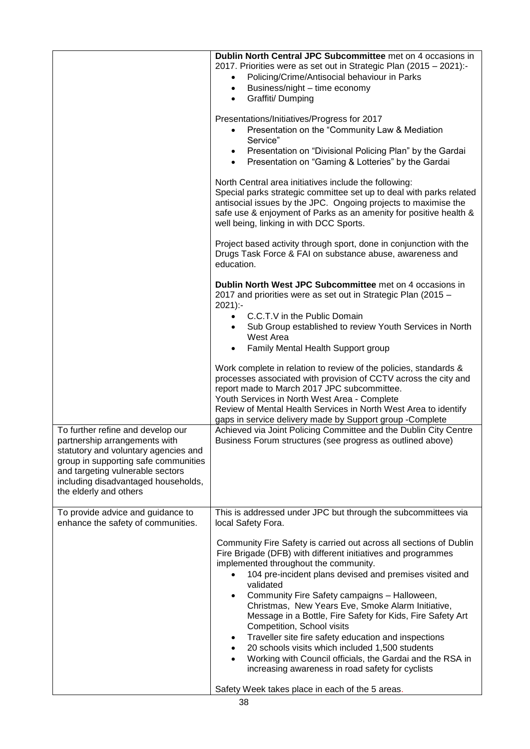|                                                                                                                                                                                                                                                         | Dublin North Central JPC Subcommittee met on 4 occasions in<br>2017. Priorities were as set out in Strategic Plan (2015 - 2021):-<br>Policing/Crime/Antisocial behaviour in Parks<br>$\bullet$<br>Business/night - time economy<br>$\bullet$<br>Graffiti/ Dumping<br>$\bullet$<br>Presentations/Initiatives/Progress for 2017<br>Presentation on the "Community Law & Mediation<br>$\bullet$<br>Service"<br>Presentation on "Divisional Policing Plan" by the Gardai<br>$\bullet$<br>Presentation on "Gaming & Lotteries" by the Gardai<br>$\bullet$<br>North Central area initiatives include the following:<br>Special parks strategic committee set up to deal with parks related<br>antisocial issues by the JPC. Ongoing projects to maximise the<br>safe use & enjoyment of Parks as an amenity for positive health &<br>well being, linking in with DCC Sports.<br>Project based activity through sport, done in conjunction with the<br>Drugs Task Force & FAI on substance abuse, awareness and<br>education.<br>Dublin North West JPC Subcommittee met on 4 occasions in<br>2017 and priorities were as set out in Strategic Plan (2015 -<br>$2021$ :-<br>C.C.T.V in the Public Domain<br>$\bullet$<br>Sub Group established to review Youth Services in North<br>$\bullet$<br>West Area<br>Family Mental Health Support group<br>$\bullet$<br>Work complete in relation to review of the policies, standards &<br>processes associated with provision of CCTV across the city and<br>report made to March 2017 JPC subcommittee.<br>Youth Services in North West Area - Complete<br>Review of Mental Health Services in North West Area to identify |
|---------------------------------------------------------------------------------------------------------------------------------------------------------------------------------------------------------------------------------------------------------|----------------------------------------------------------------------------------------------------------------------------------------------------------------------------------------------------------------------------------------------------------------------------------------------------------------------------------------------------------------------------------------------------------------------------------------------------------------------------------------------------------------------------------------------------------------------------------------------------------------------------------------------------------------------------------------------------------------------------------------------------------------------------------------------------------------------------------------------------------------------------------------------------------------------------------------------------------------------------------------------------------------------------------------------------------------------------------------------------------------------------------------------------------------------------------------------------------------------------------------------------------------------------------------------------------------------------------------------------------------------------------------------------------------------------------------------------------------------------------------------------------------------------------------------------------------------------------------------------------------------------------------------------------------|
| To further refine and develop our<br>partnership arrangements with<br>statutory and voluntary agencies and<br>group in supporting safe communities<br>and targeting vulnerable sectors<br>including disadvantaged households,<br>the elderly and others | gaps in service delivery made by Support group - Complete<br>Achieved via Joint Policing Committee and the Dublin City Centre<br>Business Forum structures (see progress as outlined above)                                                                                                                                                                                                                                                                                                                                                                                                                                                                                                                                                                                                                                                                                                                                                                                                                                                                                                                                                                                                                                                                                                                                                                                                                                                                                                                                                                                                                                                                    |
| To provide advice and guidance to<br>enhance the safety of communities.                                                                                                                                                                                 | This is addressed under JPC but through the subcommittees via<br>local Safety Fora.                                                                                                                                                                                                                                                                                                                                                                                                                                                                                                                                                                                                                                                                                                                                                                                                                                                                                                                                                                                                                                                                                                                                                                                                                                                                                                                                                                                                                                                                                                                                                                            |
|                                                                                                                                                                                                                                                         | Community Fire Safety is carried out across all sections of Dublin<br>Fire Brigade (DFB) with different initiatives and programmes<br>implemented throughout the community.<br>104 pre-incident plans devised and premises visited and<br>validated<br>Community Fire Safety campaigns - Halloween,<br>$\bullet$<br>Christmas, New Years Eve, Smoke Alarm Initiative,<br>Message in a Bottle, Fire Safety for Kids, Fire Safety Art<br>Competition, School visits<br>Traveller site fire safety education and inspections<br>$\bullet$<br>20 schools visits which included 1,500 students<br>$\bullet$<br>Working with Council officials, the Gardai and the RSA in<br>$\bullet$<br>increasing awareness in road safety for cyclists<br>Safety Week takes place in each of the 5 areas.                                                                                                                                                                                                                                                                                                                                                                                                                                                                                                                                                                                                                                                                                                                                                                                                                                                                        |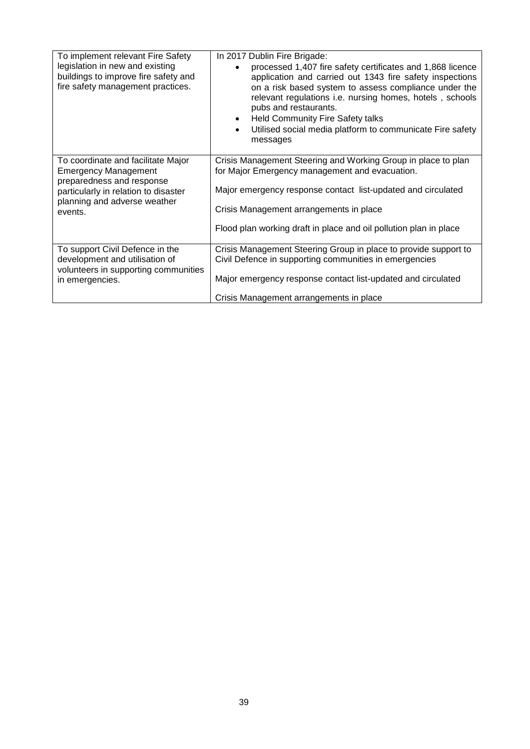| To implement relevant Fire Safety<br>legislation in new and existing<br>buildings to improve fire safety and<br>fire safety management practices.                                 | In 2017 Dublin Fire Brigade:<br>processed 1,407 fire safety certificates and 1,868 licence<br>application and carried out 1343 fire safety inspections<br>on a risk based system to assess compliance under the<br>relevant regulations i.e. nursing homes, hotels, schools<br>pubs and restaurants.<br><b>Held Community Fire Safety talks</b><br>$\bullet$<br>Utilised social media platform to communicate Fire safety<br>$\bullet$<br>messages |
|-----------------------------------------------------------------------------------------------------------------------------------------------------------------------------------|----------------------------------------------------------------------------------------------------------------------------------------------------------------------------------------------------------------------------------------------------------------------------------------------------------------------------------------------------------------------------------------------------------------------------------------------------|
| To coordinate and facilitate Major<br><b>Emergency Management</b><br>preparedness and response<br>particularly in relation to disaster<br>planning and adverse weather<br>events. | Crisis Management Steering and Working Group in place to plan<br>for Major Emergency management and evacuation.<br>Major emergency response contact list-updated and circulated<br>Crisis Management arrangements in place<br>Flood plan working draft in place and oil pollution plan in place                                                                                                                                                    |
| To support Civil Defence in the<br>development and utilisation of<br>volunteers in supporting communities<br>in emergencies.                                                      | Crisis Management Steering Group in place to provide support to<br>Civil Defence in supporting communities in emergencies<br>Major emergency response contact list-updated and circulated<br>Crisis Management arrangements in place                                                                                                                                                                                                               |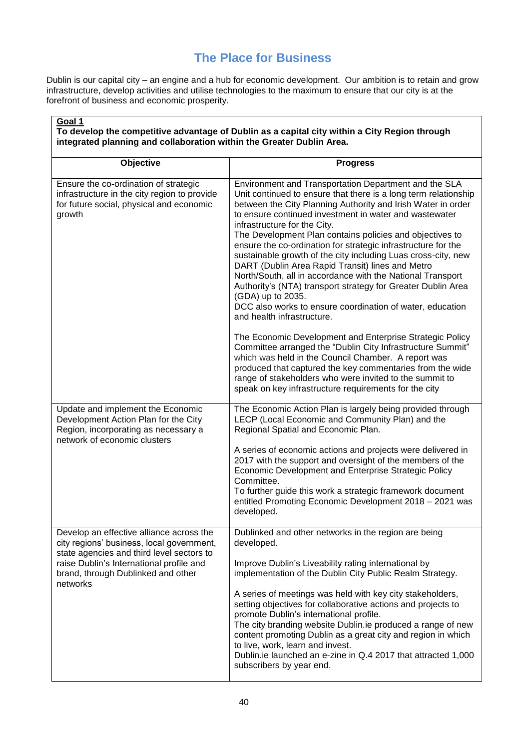# **The Place for Business**

Dublin is our capital city – an engine and a hub for economic development. Our ambition is to retain and grow infrastructure, develop activities and utilise technologies to the maximum to ensure that our city is at the forefront of business and economic prosperity.

| Goal 1<br>To develop the competitive advantage of Dublin as a capital city within a City Region through<br>integrated planning and collaboration within the Greater Dublin Area. |                                                                                                                                                                                                                                                                                                                                                                                                                                                                                                                                                                                                                                                                                                                                                                                    |  |
|----------------------------------------------------------------------------------------------------------------------------------------------------------------------------------|------------------------------------------------------------------------------------------------------------------------------------------------------------------------------------------------------------------------------------------------------------------------------------------------------------------------------------------------------------------------------------------------------------------------------------------------------------------------------------------------------------------------------------------------------------------------------------------------------------------------------------------------------------------------------------------------------------------------------------------------------------------------------------|--|
| Objective                                                                                                                                                                        | <b>Progress</b>                                                                                                                                                                                                                                                                                                                                                                                                                                                                                                                                                                                                                                                                                                                                                                    |  |
| Ensure the co-ordination of strategic<br>infrastructure in the city region to provide<br>for future social, physical and economic<br>growth                                      | Environment and Transportation Department and the SLA<br>Unit continued to ensure that there is a long term relationship<br>between the City Planning Authority and Irish Water in order<br>to ensure continued investment in water and wastewater<br>infrastructure for the City.<br>The Development Plan contains policies and objectives to<br>ensure the co-ordination for strategic infrastructure for the<br>sustainable growth of the city including Luas cross-city, new<br>DART (Dublin Area Rapid Transit) lines and Metro<br>North/South, all in accordance with the National Transport<br>Authority's (NTA) transport strategy for Greater Dublin Area<br>(GDA) up to 2035.<br>DCC also works to ensure coordination of water, education<br>and health infrastructure. |  |
|                                                                                                                                                                                  | The Economic Development and Enterprise Strategic Policy<br>Committee arranged the "Dublin City Infrastructure Summit"<br>which was held in the Council Chamber. A report was<br>produced that captured the key commentaries from the wide<br>range of stakeholders who were invited to the summit to<br>speak on key infrastructure requirements for the city                                                                                                                                                                                                                                                                                                                                                                                                                     |  |
| Update and implement the Economic<br>Development Action Plan for the City<br>Region, incorporating as necessary a<br>network of economic clusters                                | The Economic Action Plan is largely being provided through<br>LECP (Local Economic and Community Plan) and the<br>Regional Spatial and Economic Plan.                                                                                                                                                                                                                                                                                                                                                                                                                                                                                                                                                                                                                              |  |
|                                                                                                                                                                                  | A series of economic actions and projects were delivered in<br>2017 with the support and oversight of the members of the<br>Economic Development and Enterprise Strategic Policy<br>Committee.<br>To further guide this work a strategic framework document                                                                                                                                                                                                                                                                                                                                                                                                                                                                                                                        |  |
|                                                                                                                                                                                  | entitled Promoting Economic Development 2018 - 2021 was<br>developed.                                                                                                                                                                                                                                                                                                                                                                                                                                                                                                                                                                                                                                                                                                              |  |
| Develop an effective alliance across the<br>city regions' business, local government,<br>state agencies and third level sectors to                                               | Dublinked and other networks in the region are being<br>developed.                                                                                                                                                                                                                                                                                                                                                                                                                                                                                                                                                                                                                                                                                                                 |  |
| raise Dublin's International profile and<br>brand, through Dublinked and other<br>networks                                                                                       | Improve Dublin's Liveability rating international by<br>implementation of the Dublin City Public Realm Strategy.                                                                                                                                                                                                                                                                                                                                                                                                                                                                                                                                                                                                                                                                   |  |
|                                                                                                                                                                                  | A series of meetings was held with key city stakeholders,<br>setting objectives for collaborative actions and projects to<br>promote Dublin's international profile.<br>The city branding website Dublin.ie produced a range of new<br>content promoting Dublin as a great city and region in which<br>to live, work, learn and invest.<br>Dublin.ie launched an e-zine in Q.4 2017 that attracted 1,000<br>subscribers by year end.                                                                                                                                                                                                                                                                                                                                               |  |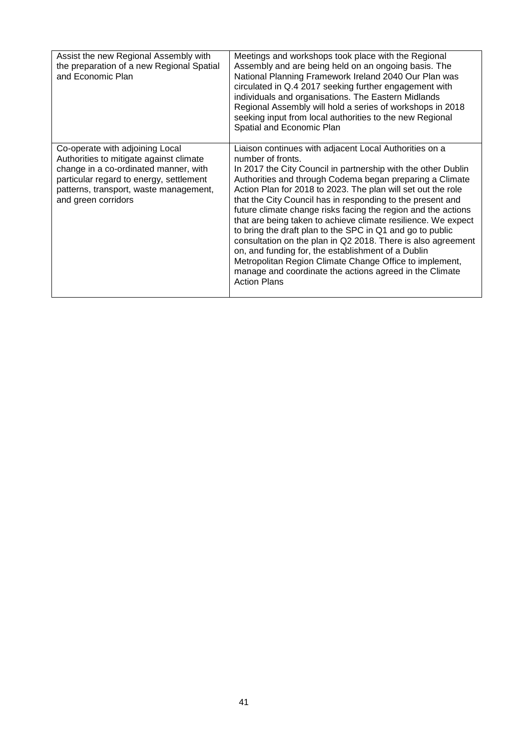| Assist the new Regional Assembly with<br>the preparation of a new Regional Spatial<br>and Economic Plan                                                                                                                         | Meetings and workshops took place with the Regional<br>Assembly and are being held on an ongoing basis. The<br>National Planning Framework Ireland 2040 Our Plan was<br>circulated in Q.4 2017 seeking further engagement with<br>individuals and organisations. The Eastern Midlands<br>Regional Assembly will hold a series of workshops in 2018<br>seeking input from local authorities to the new Regional<br>Spatial and Economic Plan                                                                                                                                                                                                                                                                                                                                                              |
|---------------------------------------------------------------------------------------------------------------------------------------------------------------------------------------------------------------------------------|----------------------------------------------------------------------------------------------------------------------------------------------------------------------------------------------------------------------------------------------------------------------------------------------------------------------------------------------------------------------------------------------------------------------------------------------------------------------------------------------------------------------------------------------------------------------------------------------------------------------------------------------------------------------------------------------------------------------------------------------------------------------------------------------------------|
| Co-operate with adjoining Local<br>Authorities to mitigate against climate<br>change in a co-ordinated manner, with<br>particular regard to energy, settlement<br>patterns, transport, waste management,<br>and green corridors | Liaison continues with adjacent Local Authorities on a<br>number of fronts.<br>In 2017 the City Council in partnership with the other Dublin<br>Authorities and through Codema began preparing a Climate<br>Action Plan for 2018 to 2023. The plan will set out the role<br>that the City Council has in responding to the present and<br>future climate change risks facing the region and the actions<br>that are being taken to achieve climate resilience. We expect<br>to bring the draft plan to the SPC in Q1 and go to public<br>consultation on the plan in Q2 2018. There is also agreement<br>on, and funding for, the establishment of a Dublin<br>Metropolitan Region Climate Change Office to implement,<br>manage and coordinate the actions agreed in the Climate<br><b>Action Plans</b> |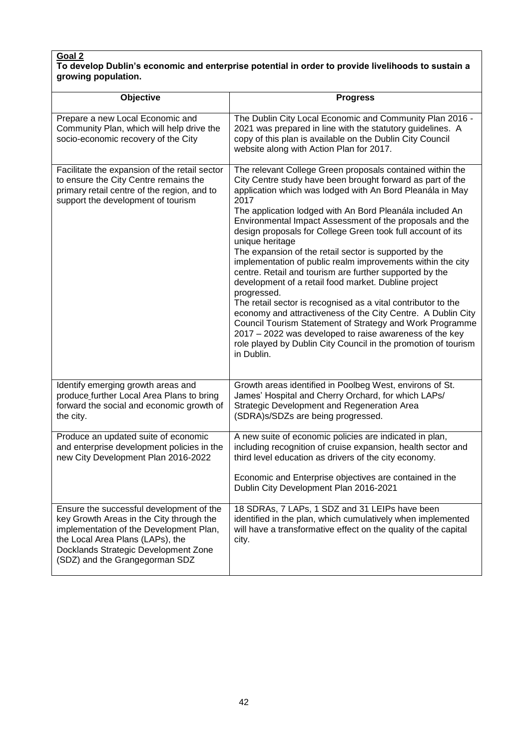#### **Goal 2 To develop Dublin's economic and enterprise potential in order to provide livelihoods to sustain a growing population.**

| Objective                                                                                                                                                                                                                                     | <b>Progress</b>                                                                                                                                                                                                                                                                                                                                                                                                                                                                                                                                                                                                                                                                                                                                                                                                                                                                                                                                                                                           |
|-----------------------------------------------------------------------------------------------------------------------------------------------------------------------------------------------------------------------------------------------|-----------------------------------------------------------------------------------------------------------------------------------------------------------------------------------------------------------------------------------------------------------------------------------------------------------------------------------------------------------------------------------------------------------------------------------------------------------------------------------------------------------------------------------------------------------------------------------------------------------------------------------------------------------------------------------------------------------------------------------------------------------------------------------------------------------------------------------------------------------------------------------------------------------------------------------------------------------------------------------------------------------|
| Prepare a new Local Economic and<br>Community Plan, which will help drive the<br>socio-economic recovery of the City                                                                                                                          | The Dublin City Local Economic and Community Plan 2016 -<br>2021 was prepared in line with the statutory guidelines. A<br>copy of this plan is available on the Dublin City Council<br>website along with Action Plan for 2017.                                                                                                                                                                                                                                                                                                                                                                                                                                                                                                                                                                                                                                                                                                                                                                           |
| Facilitate the expansion of the retail sector<br>to ensure the City Centre remains the<br>primary retail centre of the region, and to<br>support the development of tourism                                                                   | The relevant College Green proposals contained within the<br>City Centre study have been brought forward as part of the<br>application which was lodged with An Bord Pleanála in May<br>2017<br>The application lodged with An Bord Pleanála included An<br>Environmental Impact Assessment of the proposals and the<br>design proposals for College Green took full account of its<br>unique heritage<br>The expansion of the retail sector is supported by the<br>implementation of public realm improvements within the city<br>centre. Retail and tourism are further supported by the<br>development of a retail food market. Dubline project<br>progressed.<br>The retail sector is recognised as a vital contributor to the<br>economy and attractiveness of the City Centre. A Dublin City<br>Council Tourism Statement of Strategy and Work Programme<br>2017 - 2022 was developed to raise awareness of the key<br>role played by Dublin City Council in the promotion of tourism<br>in Dublin. |
| Identify emerging growth areas and<br>produce further Local Area Plans to bring<br>forward the social and economic growth of<br>the city.                                                                                                     | Growth areas identified in Poolbeg West, environs of St.<br>James' Hospital and Cherry Orchard, for which LAPs/<br>Strategic Development and Regeneration Area<br>(SDRA)s/SDZs are being progressed.                                                                                                                                                                                                                                                                                                                                                                                                                                                                                                                                                                                                                                                                                                                                                                                                      |
| Produce an updated suite of economic<br>and enterprise development policies in the<br>new City Development Plan 2016-2022                                                                                                                     | A new suite of economic policies are indicated in plan,<br>including recognition of cruise expansion, health sector and<br>third level education as drivers of the city economy.<br>Economic and Enterprise objectives are contained in the<br>Dublin City Development Plan 2016-2021                                                                                                                                                                                                                                                                                                                                                                                                                                                                                                                                                                                                                                                                                                                     |
| Ensure the successful development of the<br>key Growth Areas in the City through the<br>implementation of the Development Plan,<br>the Local Area Plans (LAPs), the<br>Docklands Strategic Development Zone<br>(SDZ) and the Grangegorman SDZ | 18 SDRAs, 7 LAPs, 1 SDZ and 31 LEIPs have been<br>identified in the plan, which cumulatively when implemented<br>will have a transformative effect on the quality of the capital<br>city.                                                                                                                                                                                                                                                                                                                                                                                                                                                                                                                                                                                                                                                                                                                                                                                                                 |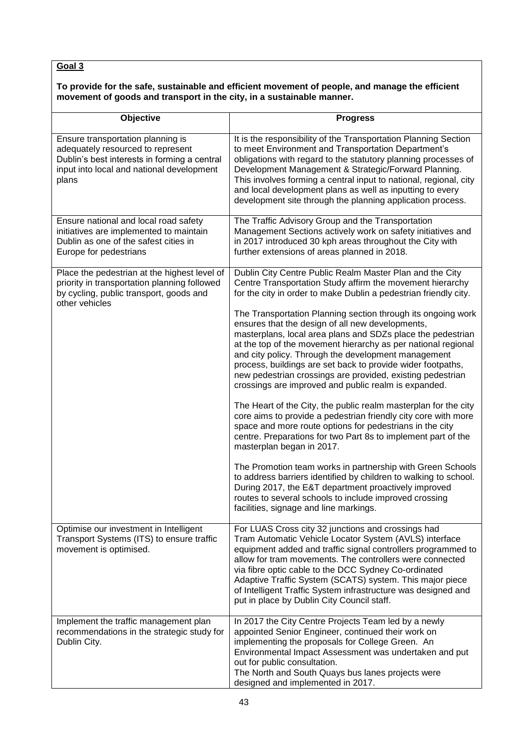**To provide for the safe, sustainable and efficient movement of people, and manage the efficient movement of goods and transport in the city, in a sustainable manner.**

| Objective                                                                                                                                                                    | <b>Progress</b>                                                                                                                                                                                                                                                                                                                                                                                                                                                                                                                                                                                                                                                                                                                                                                                                                                                                                                                                                                                                                                                                                                                                                                                                                                                                        |
|------------------------------------------------------------------------------------------------------------------------------------------------------------------------------|----------------------------------------------------------------------------------------------------------------------------------------------------------------------------------------------------------------------------------------------------------------------------------------------------------------------------------------------------------------------------------------------------------------------------------------------------------------------------------------------------------------------------------------------------------------------------------------------------------------------------------------------------------------------------------------------------------------------------------------------------------------------------------------------------------------------------------------------------------------------------------------------------------------------------------------------------------------------------------------------------------------------------------------------------------------------------------------------------------------------------------------------------------------------------------------------------------------------------------------------------------------------------------------|
| Ensure transportation planning is<br>adequately resourced to represent<br>Dublin's best interests in forming a central<br>input into local and national development<br>plans | It is the responsibility of the Transportation Planning Section<br>to meet Environment and Transportation Department's<br>obligations with regard to the statutory planning processes of<br>Development Management & Strategic/Forward Planning.<br>This involves forming a central input to national, regional, city<br>and local development plans as well as inputting to every<br>development site through the planning application process.                                                                                                                                                                                                                                                                                                                                                                                                                                                                                                                                                                                                                                                                                                                                                                                                                                       |
| Ensure national and local road safety<br>initiatives are implemented to maintain<br>Dublin as one of the safest cities in<br>Europe for pedestrians                          | The Traffic Advisory Group and the Transportation<br>Management Sections actively work on safety initiatives and<br>in 2017 introduced 30 kph areas throughout the City with<br>further extensions of areas planned in 2018.                                                                                                                                                                                                                                                                                                                                                                                                                                                                                                                                                                                                                                                                                                                                                                                                                                                                                                                                                                                                                                                           |
| Place the pedestrian at the highest level of<br>priority in transportation planning followed<br>by cycling, public transport, goods and<br>other vehicles                    | Dublin City Centre Public Realm Master Plan and the City<br>Centre Transportation Study affirm the movement hierarchy<br>for the city in order to make Dublin a pedestrian friendly city.<br>The Transportation Planning section through its ongoing work<br>ensures that the design of all new developments,<br>masterplans, local area plans and SDZs place the pedestrian<br>at the top of the movement hierarchy as per national regional<br>and city policy. Through the development management<br>process, buildings are set back to provide wider footpaths,<br>new pedestrian crossings are provided, existing pedestrian<br>crossings are improved and public realm is expanded.<br>The Heart of the City, the public realm masterplan for the city<br>core aims to provide a pedestrian friendly city core with more<br>space and more route options for pedestrians in the city<br>centre. Preparations for two Part 8s to implement part of the<br>masterplan began in 2017.<br>The Promotion team works in partnership with Green Schools<br>to address barriers identified by children to walking to school.<br>During 2017, the E&T department proactively improved<br>routes to several schools to include improved crossing<br>facilities, signage and line markings. |
| Optimise our investment in Intelligent<br>Transport Systems (ITS) to ensure traffic<br>movement is optimised.                                                                | For LUAS Cross city 32 junctions and crossings had<br>Tram Automatic Vehicle Locator System (AVLS) interface<br>equipment added and traffic signal controllers programmed to<br>allow for tram movements. The controllers were connected<br>via fibre optic cable to the DCC Sydney Co-ordinated<br>Adaptive Traffic System (SCATS) system. This major piece<br>of Intelligent Traffic System infrastructure was designed and<br>put in place by Dublin City Council staff.                                                                                                                                                                                                                                                                                                                                                                                                                                                                                                                                                                                                                                                                                                                                                                                                            |
| Implement the traffic management plan<br>recommendations in the strategic study for<br>Dublin City.                                                                          | In 2017 the City Centre Projects Team led by a newly<br>appointed Senior Engineer, continued their work on<br>implementing the proposals for College Green. An<br>Environmental Impact Assessment was undertaken and put<br>out for public consultation.<br>The North and South Quays bus lanes projects were<br>designed and implemented in 2017.                                                                                                                                                                                                                                                                                                                                                                                                                                                                                                                                                                                                                                                                                                                                                                                                                                                                                                                                     |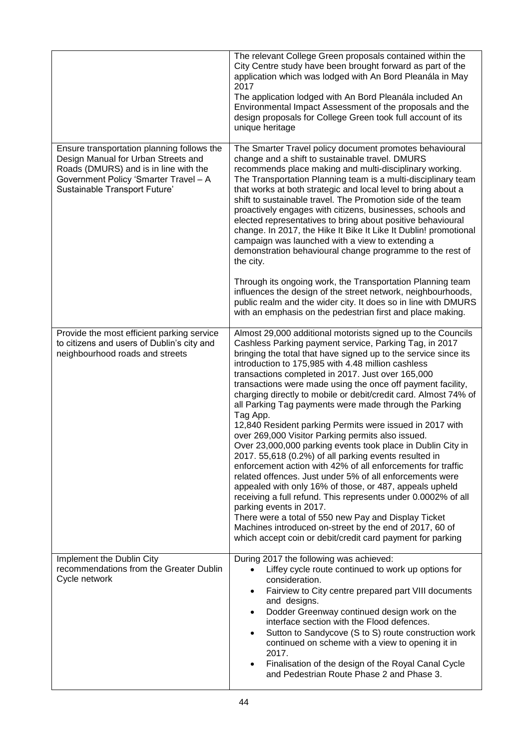|                                                                                                                                                                                                      | The relevant College Green proposals contained within the<br>City Centre study have been brought forward as part of the<br>application which was lodged with An Bord Pleanála in May<br>2017<br>The application lodged with An Bord Pleanála included An<br>Environmental Impact Assessment of the proposals and the<br>design proposals for College Green took full account of its<br>unique heritage                                                                                                                                                                                                                                                                                                                                                                                                                                                                                                                                                                                                                                                                                                                                                                                                                   |
|------------------------------------------------------------------------------------------------------------------------------------------------------------------------------------------------------|--------------------------------------------------------------------------------------------------------------------------------------------------------------------------------------------------------------------------------------------------------------------------------------------------------------------------------------------------------------------------------------------------------------------------------------------------------------------------------------------------------------------------------------------------------------------------------------------------------------------------------------------------------------------------------------------------------------------------------------------------------------------------------------------------------------------------------------------------------------------------------------------------------------------------------------------------------------------------------------------------------------------------------------------------------------------------------------------------------------------------------------------------------------------------------------------------------------------------|
| Ensure transportation planning follows the<br>Design Manual for Urban Streets and<br>Roads (DMURS) and is in line with the<br>Government Policy 'Smarter Travel - A<br>Sustainable Transport Future' | The Smarter Travel policy document promotes behavioural<br>change and a shift to sustainable travel. DMURS<br>recommends place making and multi-disciplinary working.<br>The Transportation Planning team is a multi-disciplinary team<br>that works at both strategic and local level to bring about a<br>shift to sustainable travel. The Promotion side of the team<br>proactively engages with citizens, businesses, schools and<br>elected representatives to bring about positive behavioural<br>change. In 2017, the Hike It Bike It Like It Dublin! promotional<br>campaign was launched with a view to extending a<br>demonstration behavioural change programme to the rest of<br>the city.<br>Through its ongoing work, the Transportation Planning team<br>influences the design of the street network, neighbourhoods,<br>public realm and the wider city. It does so in line with DMURS                                                                                                                                                                                                                                                                                                                    |
|                                                                                                                                                                                                      | with an emphasis on the pedestrian first and place making.                                                                                                                                                                                                                                                                                                                                                                                                                                                                                                                                                                                                                                                                                                                                                                                                                                                                                                                                                                                                                                                                                                                                                               |
| Provide the most efficient parking service<br>to citizens and users of Dublin's city and<br>neighbourhood roads and streets                                                                          | Almost 29,000 additional motorists signed up to the Councils<br>Cashless Parking payment service, Parking Tag, in 2017<br>bringing the total that have signed up to the service since its<br>introduction to 175,985 with 4.48 million cashless<br>transactions completed in 2017. Just over 165,000<br>transactions were made using the once off payment facility,<br>charging directly to mobile or debit/credit card. Almost 74% of<br>all Parking Tag payments were made through the Parking<br>Tag App.<br>12,840 Resident parking Permits were issued in 2017 with<br>over 269,000 Visitor Parking permits also issued.<br>Over 23,000,000 parking events took place in Dublin City in<br>2017. 55,618 (0.2%) of all parking events resulted in<br>enforcement action with 42% of all enforcements for traffic<br>related offences. Just under 5% of all enforcements were<br>appealed with only 16% of those, or 487, appeals upheld<br>receiving a full refund. This represents under 0.0002% of all<br>parking events in 2017.<br>There were a total of 550 new Pay and Display Ticket<br>Machines introduced on-street by the end of 2017, 60 of<br>which accept coin or debit/credit card payment for parking |
| Implement the Dublin City<br>recommendations from the Greater Dublin<br>Cycle network                                                                                                                | During 2017 the following was achieved:<br>Liffey cycle route continued to work up options for<br>consideration.<br>Fairview to City centre prepared part VIII documents<br>$\bullet$<br>and designs.<br>Dodder Greenway continued design work on the<br>$\bullet$<br>interface section with the Flood defences.<br>Sutton to Sandycove (S to S) route construction work<br>$\bullet$<br>continued on scheme with a view to opening it in<br>2017.<br>Finalisation of the design of the Royal Canal Cycle<br>and Pedestrian Route Phase 2 and Phase 3.                                                                                                                                                                                                                                                                                                                                                                                                                                                                                                                                                                                                                                                                   |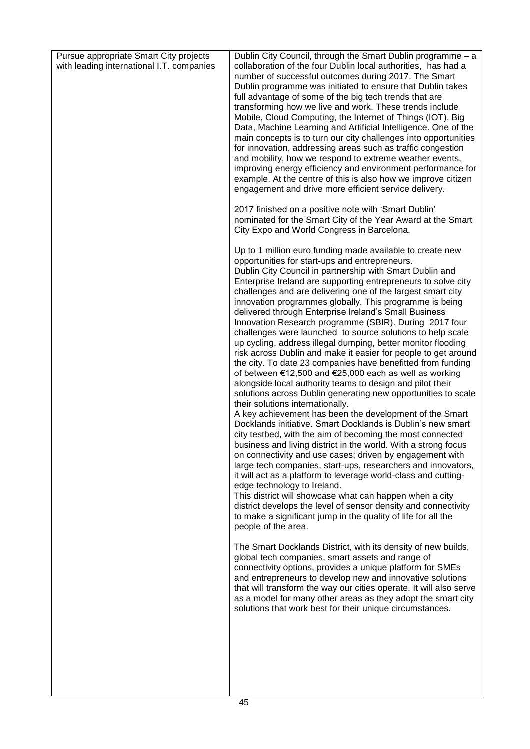| Pursue appropriate Smart City projects    | Dublin City Council, through the Smart Dublin programme - a                                                                  |
|-------------------------------------------|------------------------------------------------------------------------------------------------------------------------------|
| with leading international I.T. companies | collaboration of the four Dublin local authorities, has had a                                                                |
|                                           | number of successful outcomes during 2017. The Smart                                                                         |
|                                           | Dublin programme was initiated to ensure that Dublin takes                                                                   |
|                                           | full advantage of some of the big tech trends that are                                                                       |
|                                           | transforming how we live and work. These trends include                                                                      |
|                                           | Mobile, Cloud Computing, the Internet of Things (IOT), Big<br>Data, Machine Learning and Artificial Intelligence. One of the |
|                                           | main concepts is to turn our city challenges into opportunities                                                              |
|                                           | for innovation, addressing areas such as traffic congestion                                                                  |
|                                           | and mobility, how we respond to extreme weather events,                                                                      |
|                                           | improving energy efficiency and environment performance for                                                                  |
|                                           | example. At the centre of this is also how we improve citizen                                                                |
|                                           | engagement and drive more efficient service delivery.                                                                        |
|                                           | 2017 finished on a positive note with 'Smart Dublin'                                                                         |
|                                           | nominated for the Smart City of the Year Award at the Smart                                                                  |
|                                           | City Expo and World Congress in Barcelona.                                                                                   |
|                                           |                                                                                                                              |
|                                           | Up to 1 million euro funding made available to create new                                                                    |
|                                           | opportunities for start-ups and entrepreneurs.                                                                               |
|                                           | Dublin City Council in partnership with Smart Dublin and                                                                     |
|                                           | Enterprise Ireland are supporting entrepreneurs to solve city<br>challenges and are delivering one of the largest smart city |
|                                           | innovation programmes globally. This programme is being                                                                      |
|                                           | delivered through Enterprise Ireland's Small Business                                                                        |
|                                           | Innovation Research programme (SBIR). During 2017 four                                                                       |
|                                           | challenges were launched to source solutions to help scale                                                                   |
|                                           | up cycling, address illegal dumping, better monitor flooding                                                                 |
|                                           | risk across Dublin and make it easier for people to get around                                                               |
|                                           | the city. To date 23 companies have benefitted from funding<br>of between €12,500 and €25,000 each as well as working        |
|                                           | alongside local authority teams to design and pilot their                                                                    |
|                                           | solutions across Dublin generating new opportunities to scale                                                                |
|                                           | their solutions internationally.                                                                                             |
|                                           | A key achievement has been the development of the Smart                                                                      |
|                                           | Docklands initiative. Smart Docklands is Dublin's new smart                                                                  |
|                                           | city testbed, with the aim of becoming the most connected                                                                    |
|                                           | business and living district in the world. With a strong focus<br>on connectivity and use cases; driven by engagement with   |
|                                           | large tech companies, start-ups, researchers and innovators,                                                                 |
|                                           | it will act as a platform to leverage world-class and cutting-                                                               |
|                                           | edge technology to Ireland.                                                                                                  |
|                                           | This district will showcase what can happen when a city                                                                      |
|                                           | district develops the level of sensor density and connectivity                                                               |
|                                           | to make a significant jump in the quality of life for all the                                                                |
|                                           | people of the area.                                                                                                          |
|                                           | The Smart Docklands District, with its density of new builds,                                                                |
|                                           | global tech companies, smart assets and range of                                                                             |
|                                           | connectivity options, provides a unique platform for SMEs                                                                    |
|                                           | and entrepreneurs to develop new and innovative solutions                                                                    |
|                                           | that will transform the way our cities operate. It will also serve                                                           |
|                                           | as a model for many other areas as they adopt the smart city<br>solutions that work best for their unique circumstances.     |
|                                           |                                                                                                                              |
|                                           |                                                                                                                              |
|                                           |                                                                                                                              |
|                                           |                                                                                                                              |
|                                           |                                                                                                                              |
|                                           |                                                                                                                              |
|                                           |                                                                                                                              |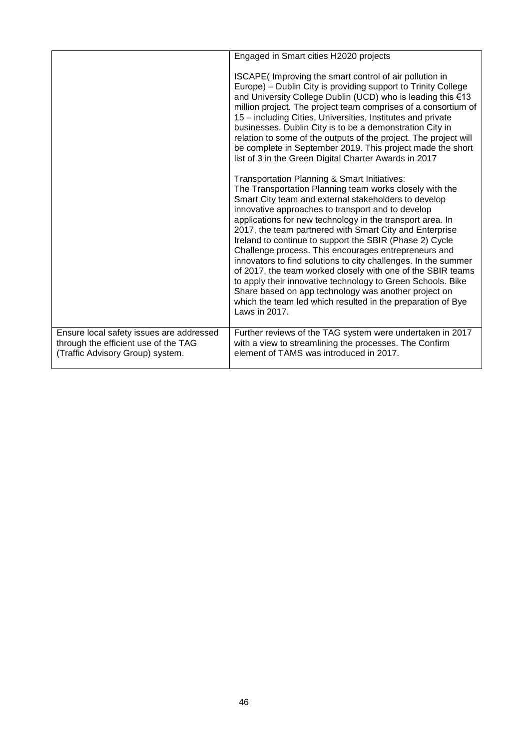|                                                                                                                      | Engaged in Smart cities H2020 projects                                                                                                                                                                                                                                                                                                                                                                                                                                                                                                                                                                                                                                                                                                                                                                  |
|----------------------------------------------------------------------------------------------------------------------|---------------------------------------------------------------------------------------------------------------------------------------------------------------------------------------------------------------------------------------------------------------------------------------------------------------------------------------------------------------------------------------------------------------------------------------------------------------------------------------------------------------------------------------------------------------------------------------------------------------------------------------------------------------------------------------------------------------------------------------------------------------------------------------------------------|
|                                                                                                                      | ISCAPE(Improving the smart control of air pollution in<br>Europe) - Dublin City is providing support to Trinity College<br>and University College Dublin (UCD) who is leading this €13<br>million project. The project team comprises of a consortium of<br>15 - including Cities, Universities, Institutes and private<br>businesses. Dublin City is to be a demonstration City in<br>relation to some of the outputs of the project. The project will<br>be complete in September 2019. This project made the short<br>list of 3 in the Green Digital Charter Awards in 2017                                                                                                                                                                                                                          |
|                                                                                                                      | Transportation Planning & Smart Initiatives:<br>The Transportation Planning team works closely with the<br>Smart City team and external stakeholders to develop<br>innovative approaches to transport and to develop<br>applications for new technology in the transport area. In<br>2017, the team partnered with Smart City and Enterprise<br>Ireland to continue to support the SBIR (Phase 2) Cycle<br>Challenge process. This encourages entrepreneurs and<br>innovators to find solutions to city challenges. In the summer<br>of 2017, the team worked closely with one of the SBIR teams<br>to apply their innovative technology to Green Schools. Bike<br>Share based on app technology was another project on<br>which the team led which resulted in the preparation of Bye<br>Laws in 2017. |
| Ensure local safety issues are addressed<br>through the efficient use of the TAG<br>(Traffic Advisory Group) system. | Further reviews of the TAG system were undertaken in 2017<br>with a view to streamlining the processes. The Confirm<br>element of TAMS was introduced in 2017.                                                                                                                                                                                                                                                                                                                                                                                                                                                                                                                                                                                                                                          |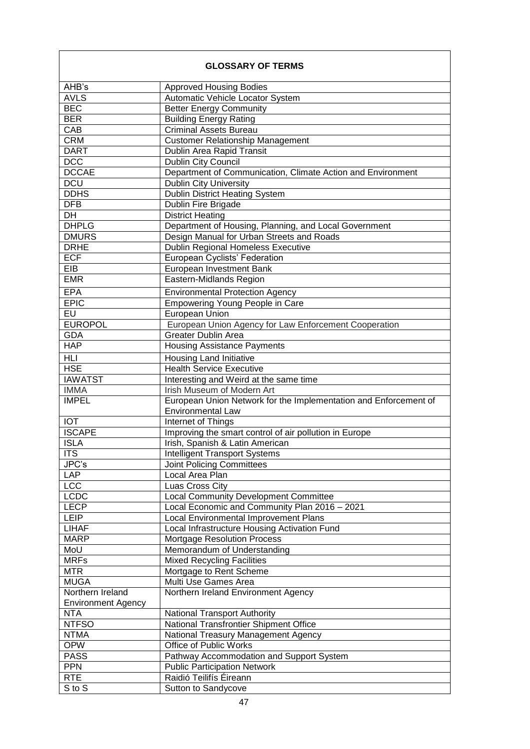| <b>GLOSSARY OF TERMS</b>  |                                                                                              |  |
|---------------------------|----------------------------------------------------------------------------------------------|--|
| AHB's                     | <b>Approved Housing Bodies</b>                                                               |  |
| <b>AVLS</b>               | Automatic Vehicle Locator System                                                             |  |
| <b>BEC</b>                | <b>Better Energy Community</b>                                                               |  |
| <b>BER</b>                | <b>Building Energy Rating</b>                                                                |  |
| CAB                       | <b>Criminal Assets Bureau</b>                                                                |  |
| <b>CRM</b>                | <b>Customer Relationship Management</b>                                                      |  |
| <b>DART</b>               | Dublin Area Rapid Transit                                                                    |  |
| <b>DCC</b>                | Dublin City Council                                                                          |  |
| <b>DCCAE</b>              | Department of Communication, Climate Action and Environment                                  |  |
| <b>DCU</b>                | <b>Dublin City University</b>                                                                |  |
| <b>DDHS</b>               | <b>Dublin District Heating System</b>                                                        |  |
| <b>DFB</b>                | Dublin Fire Brigade                                                                          |  |
| <b>DH</b>                 | <b>District Heating</b>                                                                      |  |
| <b>DHPLG</b>              | Department of Housing, Planning, and Local Government                                        |  |
| <b>DMURS</b>              | Design Manual for Urban Streets and Roads                                                    |  |
| <b>DRHE</b>               | <b>Dublin Regional Homeless Executive</b>                                                    |  |
| <b>ECF</b>                | European Cyclists' Federation                                                                |  |
| EIB                       | European Investment Bank                                                                     |  |
| <b>EMR</b>                | Eastern-Midlands Region                                                                      |  |
| <b>EPA</b>                |                                                                                              |  |
| <b>EPIC</b>               | <b>Environmental Protection Agency</b>                                                       |  |
|                           | Empowering Young People in Care                                                              |  |
| EU                        | European Union                                                                               |  |
| <b>EUROPOL</b>            | European Union Agency for Law Enforcement Cooperation                                        |  |
| <b>GDA</b>                | <b>Greater Dublin Area</b>                                                                   |  |
| <b>HAP</b>                | <b>Housing Assistance Payments</b>                                                           |  |
| <b>HLI</b>                | <b>Housing Land Initiative</b>                                                               |  |
| <b>HSE</b>                | <b>Health Service Executive</b>                                                              |  |
| <b>IAWATST</b>            | Interesting and Weird at the same time                                                       |  |
| <b>IMMA</b>               | Irish Museum of Modern Art                                                                   |  |
| <b>IMPEL</b>              | European Union Network for the Implementation and Enforcement of<br><b>Environmental Law</b> |  |
| <b>IOT</b>                | Internet of Things                                                                           |  |
| <b>ISCAPE</b>             | Improving the smart control of air pollution in Europe                                       |  |
| <b>ISLA</b>               | Irish, Spanish & Latin American                                                              |  |
| <b>ITS</b>                | <b>Intelligent Transport Systems</b>                                                         |  |
| JPC's                     | <b>Joint Policing Committees</b>                                                             |  |
| <b>LAP</b>                | Local Area Plan                                                                              |  |
| <b>LCC</b>                | Luas Cross City                                                                              |  |
| LCDC                      | Local Community Development Committee                                                        |  |
| <b>LECP</b>               | Local Economic and Community Plan 2016 - 2021                                                |  |
| LEIP                      | Local Environmental Improvement Plans                                                        |  |
| <b>LIHAF</b>              | Local Infrastructure Housing Activation Fund                                                 |  |
| <b>MARP</b>               | <b>Mortgage Resolution Process</b>                                                           |  |
| MoU                       | Memorandum of Understanding                                                                  |  |
| <b>MRFs</b>               | <b>Mixed Recycling Facilities</b>                                                            |  |
| <b>MTR</b>                | Mortgage to Rent Scheme                                                                      |  |
| <b>MUGA</b>               | Multi Use Games Area                                                                         |  |
| Northern Ireland          | Northern Ireland Environment Agency                                                          |  |
| <b>Environment Agency</b> |                                                                                              |  |
| <b>NTA</b>                | <b>National Transport Authority</b>                                                          |  |
| <b>NTFSO</b>              | National Transfrontier Shipment Office                                                       |  |
| <b>NTMA</b>               | National Treasury Management Agency                                                          |  |
| OPW                       | Office of Public Works                                                                       |  |
| <b>PASS</b>               | Pathway Accommodation and Support System                                                     |  |
| <b>PPN</b>                | <b>Public Participation Network</b>                                                          |  |
| <b>RTE</b>                | Raidió Teilifís Éireann                                                                      |  |
| S to S                    | Sutton to Sandycove                                                                          |  |